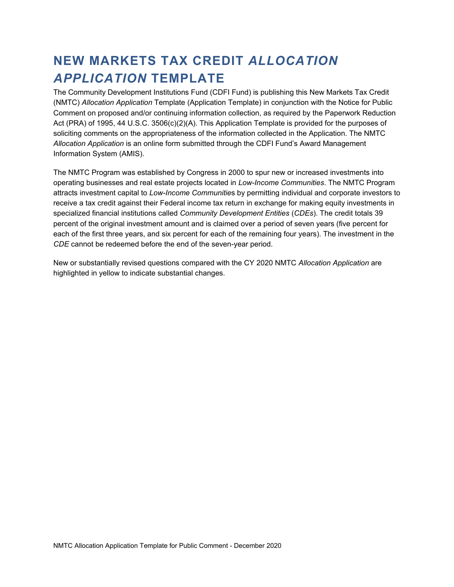# **NEW MARKETS TAX CREDIT** *ALLOCATION APPLICATION* **TEMPLATE**

The Community Development Institutions Fund (CDFI Fund) is publishing this New Markets Tax Credit (NMTC) *Allocation Application* Template (Application Template) in conjunction with the Notice for Public Comment on proposed and/or continuing information collection, as required by the Paperwork Reduction Act (PRA) of 1995, 44 U.S.C. 3506(c)(2)(A). This Application Template is provided for the purposes of soliciting comments on the appropriateness of the information collected in the Application. The NMTC *Allocation Application* is an online form submitted through the CDFI Fund's Award Management Information System (AMIS).

The NMTC Program was established by Congress in 2000 to spur new or increased investments into operating businesses and real estate projects located in *Low-Income Communities*. The NMTC Program attracts investment capital to *Low-Income Communitie*s by permitting individual and corporate investors to receive a tax credit against their Federal income tax return in exchange for making equity investments in specialized financial institutions called *Community Development Entities* (*CDEs*). The credit totals 39 percent of the original investment amount and is claimed over a period of seven years (five percent for each of the first three years, and six percent for each of the remaining four years). The investment in the *CDE* cannot be redeemed before the end of the seven-year period.

New or substantially revised questions compared with the CY 2020 NMTC *Allocation Application* are highlighted in yellow to indicate substantial changes.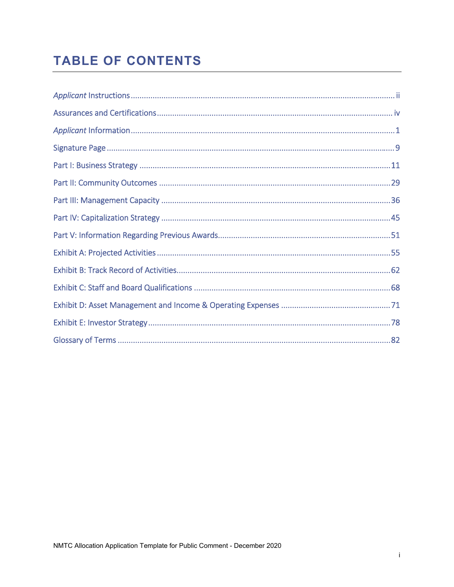# **TABLE OF CONTENTS**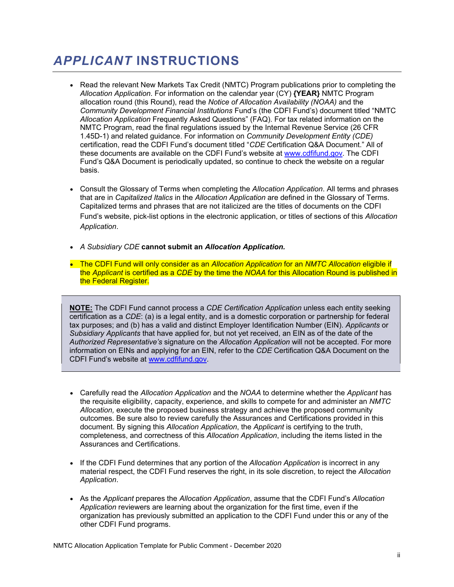# *APPLICANT* **INSTRUCTIONS**

- Read the relevant New Markets Tax Credit (NMTC) Program publications prior to completing the *Allocation Application*. For information on the calendar year (CY) **{YEAR}** NMTC Program allocation round (this Round), read the *Notice of Allocation Availability (NOAA)* and the *Community Development Financial Institutions* Fund's (the CDFI Fund's) document titled "NMTC *Allocation Application* Frequently Asked Questions" (FAQ). For tax related information on the NMTC Program, read the final regulations issued by the Internal Revenue Service (26 CFR 1.45D-1) and related guidance. For information on *Community Development Entity (CDE)*  certification, read the CDFI Fund's document titled "*CDE* Certification Q&A Document." All of these documents are available on the CDFI Fund's website at [www.cdfifund.gov.](www.cdfifund.gov) The CDFI Fund's Q&A Document is periodically updated, so continue to check the website on a regular basis.
- Consult the Glossary of Terms when completing the *Allocation Application*. All terms and phrases that are in *Capitalized Italics* in the *Allocation Application* are defined in the Glossary of Terms. Capitalized terms and phrases that are not italicized are the titles of documents on the CDFI Fund's website, pick-list options in the electronic application, or titles of sections of this *Allocation Application*.
- *A Subsidiary CDE* **cannot submit an** *Allocation Application.*
- The CDFI Fund will only consider as an *Allocation Application* for an *NMTC Allocation* eligible if the *Applicant* is certified as a *CDE* by the time the *NOAA* for this Allocation Round is published in the Federal Register.

**NOTE:** The CDFI Fund cannot process a *CDE Certification Application* unless each entity seeking certification as a *CDE*: (a) is a legal entity, and is a domestic corporation or partnership for federal tax purposes; and (b) has a valid and distinct Employer Identification Number (EIN). *Applicants* or *Subsidiary Applicants* that have applied for, but not yet received, an EIN as of the date of the *Authorized Representative's* signature on the *Allocation Application* will not be accepted. For more information on EINs and applying for an EIN, refer to the *CDE* Certification Q&A Document on the CDFI Fund's website at www.cdfifund.gov.

- Carefully read the *Allocation Application* and the *NOAA* to determine whether the *Applicant* has the requisite eligibility, capacity, experience, and skills to compete for and administer an *NMTC Allocation,* execute the proposed business strategy and achieve the proposed community outcomes. Be sure also to review carefully the Assurances and Certifications provided in this document. By signing this *Allocation Application*, the *Applicant* is certifying to the truth, completeness, and correctness of this *Allocation Application*, including the items listed in the Assurances and Certifications.
- If the CDFI Fund determines that any portion of the *Allocation Application* is incorrect in any material respect, the CDFI Fund reserves the right, in its sole discretion, to reject the *Allocation Application*.
- As the *Applicant* prepares the *Allocation Application*, assume that the CDFI Fund's *Allocation Application* reviewers are learning about the organization for the first time, even if the organization has previously submitted an application to the CDFI Fund under this or any of the other CDFI Fund programs.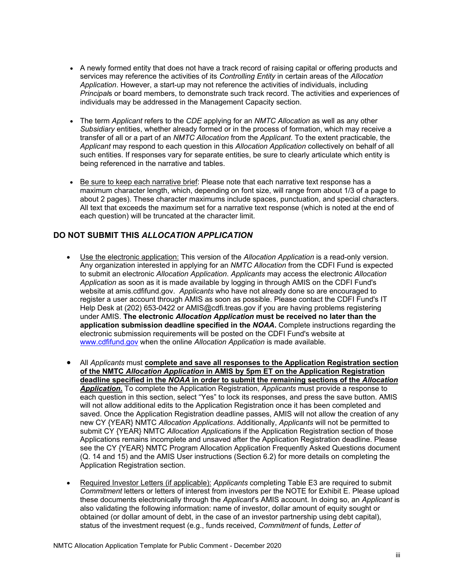- A newly formed entity that does not have a track record of raising capital or offering products and services may reference the activities of its *Controlling Entity* in certain areas of the *Allocation Application*. However, a start-up may not reference the activities of individuals, including *Principal*s or board members, to demonstrate such track record. The activities and experiences of individuals may be addressed in the Management Capacity section.
- The term *Applicant* refers to the *CDE* applying for an *NMTC Allocation* as well as any other *Subsidiary* entities, whether already formed or in the process of formation, which may receive a transfer of all or a part of an *NMTC Allocation* from the *Applicant*. To the extent practicable, the *Applicant* may respond to each question in this *Allocation Application* collectively on behalf of all such entities. If responses vary for separate entities, be sure to clearly articulate which entity is being referenced in the narrative and tables.
- Be sure to keep each narrative brief: Please note that each narrative text response has a maximum character length, which, depending on font size, will range from about 1/3 of a page to about 2 pages). These character maximums include spaces, punctuation, and special characters. All text that exceeds the maximum set for a narrative text response (which is noted at the end of each question) will be truncated at the character limit.

### **DO NOT SUBMIT THIS** *ALLOCATION APPLICATION*

- Use the electronic application: This version of the *Allocation Application* is a read-only version. Any organization interested in applying for an *NMTC Allocation* from the CDFI Fund is expected to submit an electronic *Allocation Application*. *Applicants* may access the electronic *Allocation Application* as soon as it is made available by logging in through AMIS on the CDFI Fund's website at [amis.cdfifund.gov.](https://amis.cdfifund.gov) *Applicants* who have not already done so are encouraged to register a user account through AMIS as soon as possible. Please contact the CDFI Fund's IT Help Desk at (202) 653-0422 or [AMIS@cdfi.treas.gov](mailto:AMIS@cdfi.treas.gov) if you are having problems registering under AMIS. **The electronic** *Allocation Application* **must be received no later than the application submission deadline specified in the** *NOAA***.** Complete instructions regarding the electronic submission requirements will be posted on the CDFI Fund's website at <www.cdfifund.gov> when the online *Allocation Application* is made available.
- Application Registration section. All *Applicants* must **complete and save all responses to the Application Registration section of the NMTC** *Allocation Application* **in AMIS by 5pm ET on the Application Registration deadline specified in the** *NOAA* **in order to submit the remaining sections of the** *Allocation Application***.** To complete the Application Registration, *Applicants* must provide a response to each question in this section, select "Yes" to lock its responses, and press the save button. AMIS will not allow additional edits to the Application Registration once it has been completed and saved. Once the Application Registration deadline passes, AMIS will not allow the creation of any new CY {YEAR} NMTC *Allocation Applications*. Additionally, *Applicants* will not be permitted to submit CY {YEAR} NMTC *Allocation Application*s if the Application Registration section of those Applications remains incomplete and unsaved after the Application Registration deadline. Please see the CY {YEAR} NMTC Program Allocation Application Frequently Asked Questions document (Q. 14 and 15) and the AMIS User instructions (Section 6.2) for more details on completing the
- **•** Required Investor Letters (if applicable): *Applicants* completing Table E3 are required to submit *Commitment* letters or letters of interest from investors per the NOTE for Exhibit E. Please upload these documents electronically through the *Applicant*'s AMIS account. In doing so, an *Applicant* is also validating the following information: name of investor, dollar amount of equity sought or obtained (or dollar amount of debt, in the case of an investor partnership using debt capital), status of the investment request (e.g., funds received, *Commitment* of funds, *Letter of*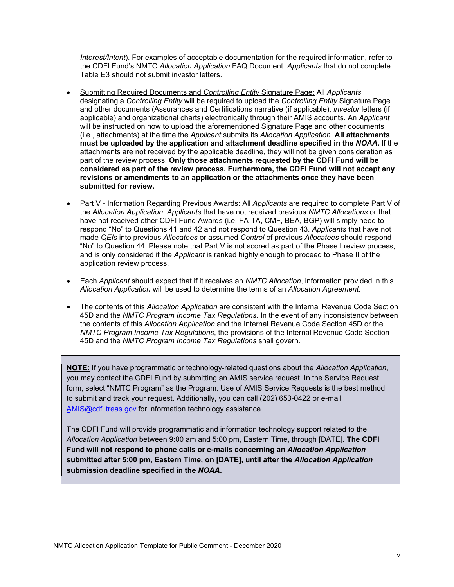*Interest/Intent*). For examples of acceptable documentation for the required information, refer to the CDFI Fund's NMTC *Allocation Application* FAQ Document. *Applicants* that do not complete Table E3 should not submit investor letters.

- Submitting Required Documents and *Controlling Entity* Signature Page: All *Applicants*  designating a *Controlling Entity* will be required to upload the *Controlling Entity* Signature Page and other documents (Assurances and Certifications narrative (if applicable), *investor* letters (if applicable) and organizational charts) electronically through their AMIS accounts. An *Applicant*  will be instructed on how to upload the aforementioned Signature Page and other documents (i.e., attachments) at the time the *Applicant* submits its *Allocation Application*. **All attachments must be uploaded by the application and attachment deadline specified in the** *NOAA***.** If the attachments are not received by the applicable deadline, they will not be given consideration as part of the review process. **Only those attachments requested by the CDFI Fund will be considered as part of the review process. Furthermore, the CDFI Fund will not accept any revisions or amendments to an application or the attachments once they have been submitted for review.**
- Part V Information Regarding Previous Awards: All *Applicants* are required to complete Part V of the *Allocation Application*. *Applicants* that have not received previous *NMTC Allocations* or that have not received other CDFI Fund Awards (i.e. FA-TA, CMF, BEA, BGP) will simply need to respond "No" to Questions 41 and 42 and not respond to Question 43. *Applicants* that have not made *QEIs* into previous *Allocatees* or assumed *Control* of previous *Allocatees* should respond "No" to Question 44. Please note that Part V is not scored as part of the Phase I review process, and is only considered if the *Applicant* is ranked highly enough to proceed to Phase II of the application review process.
- Each *Applicant* should expect that if it receives an *NMTC Allocation*, information provided in this *Allocation Application* will be used to determine the terms of an *Allocation Agreement*.
- The contents of this *Allocation Application* are consistent with the Internal Revenue Code Section 45D and the *NMTC Program Income Tax Regulations*. In the event of any inconsistency between the contents of this *Allocation Application* and the Internal Revenue Code Section 45D or the *NMTC Program Income Tax Regulations*, the provisions of the Internal Revenue Code Section 45D and the *NMTC Program Income Tax Regulations* shall govern.

**NOTE:** If you have programmatic or technology-related questions about the *Allocation Application*, you may contact the CDFI Fund by submitting an AMIS service request. In the Service Request form, select "NMTC Program" as the Program. Use of AMIS Service Requests is the best method to submit and track your request. Additionally, you can call (202) 653-0422 or e-mail [AMIS@cdfi.treas.gov](mailto:AMIS@cdfi.treas.gov) for information technology assistance.

The CDFI Fund will provide programmatic and information technology support related to the *Allocation Application* between 9:00 am and 5:00 pm, Eastern Time, through [DATE]. **The CDFI Fund will not respond to phone calls or e-mails concerning an** *Allocation Application*  **submitted after 5:00 pm, Eastern Time, on [DATE], until after the** *Allocation Application*  **submission deadline specified in the** *NOAA***.**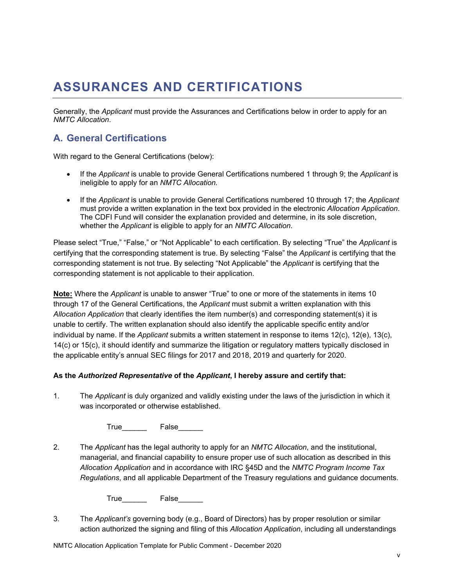# **ASSURANCES AND CERTIFICATIONS**

Generally, the *Applicant* must provide the Assurances and Certifications below in order to apply for an *NMTC Allocation*.

### **A. General Certifications**

With regard to the General Certifications (below):

- If the *Applicant* is unable to provide General Certifications numbered 1 through 9; the *Applicant* is ineligible to apply for an *NMTC Allocation.*
- If the *Applicant* is unable to provide General Certifications numbered 10 through 17; the *Applicant* must provide a written explanation in the text box provided in the electronic *Allocation Application*. The CDFI Fund will consider the explanation provided and determine, in its sole discretion, whether the *Applicant* is eligible to apply for an *NMTC Allocation*.

Please select "True," "False," or "Not Applicable" to each certification. By selecting "True" the *Applicant* is certifying that the corresponding statement is true. By selecting "False" the *Applicant* is certifying that the corresponding statement is not true. By selecting "Not Applicable" the *Applicant* is certifying that the corresponding statement is not applicable to their application.

**Note:** Where the *Applicant* is unable to answer "True" to one or more of the statements in items 10 through 17 of the General Certifications, the *Applicant* must submit a written explanation with this *Allocation Application* that clearly identifies the item number(s) and corresponding statement(s) it is unable to certify. The written explanation should also identify the applicable specific entity and/or individual by name. If the *Applicant* submits a written statement in response to items 12(c), 12(e), 13(c), 14(c) or 15(c), it should identify and summarize the litigation or regulatory matters typically disclosed in the applicable entity's annual SEC filings for 2017 and 2018, 2019 and quarterly for 2020.

#### **As the** *Authorized Representative* **of the** *Applicant***, I hereby assure and certify that:**

1. The *Applicant* is duly organized and validly existing under the laws of the jurisdiction in which it was incorporated or otherwise established.

True<sub>by</sub> False

2. The *Applicant* has the legal authority to apply for an *NMTC Allocation*, and the institutional, managerial, and financial capability to ensure proper use of such allocation as described in this *Allocation Application* and in accordance with IRC §45D and the *NMTC Program Income Tax Regulations*, and all applicable Department of the Treasury regulations and guidance documents.

True<sub>c</sub> False

3. The *Applicant's* governing body (e.g., Board of Directors) has by proper resolution or similar action authorized the signing and filing of this *Allocation Application*, including all understandings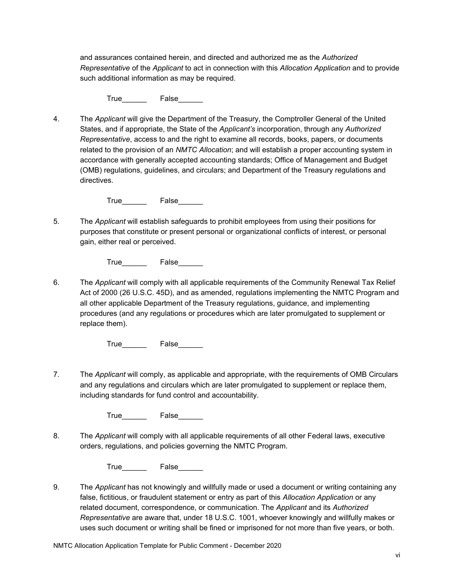and assurances contained herein, and directed and authorized me as the *Authorized Representative* of the *Applicant* to act in connection with this *Allocation Application* and to provide such additional information as may be required.

True<sub>c</sub> False

4. The *Applicant* will give the Department of the Treasury, the Comptroller General of the United States, and if appropriate, the State of the *Applicant's* incorporation, through any *Authorized Representative*, access to and the right to examine all records, books, papers, or documents related to the provision of an *NMTC Allocation*; and will establish a proper accounting system in accordance with generally accepted accounting standards; Office of Management and Budget (OMB) regulations, guidelines, and circulars; and Department of the Treasury regulations and directives.

True False

5. The *Applicant* will establish safeguards to prohibit employees from using their positions for purposes that constitute or present personal or organizational conflicts of interest, or personal gain, either real or perceived.

True False

6. The *Applicant* will comply with all applicable requirements of the Community Renewal Tax Relief Act of 2000 (26 U.S.C. 45D), and as amended, regulations implementing the NMTC Program and all other applicable Department of the Treasury regulations, guidance, and implementing procedures (and any regulations or procedures which are later promulgated to supplement or replace them).

True False

7. The *Applicant* will comply, as applicable and appropriate, with the requirements of OMB Circulars and any regulations and circulars which are later promulgated to supplement or replace them, including standards for fund control and accountability.

True\_\_\_\_\_\_\_\_\_ False

8. The *Applicant* will comply with all applicable requirements of all other Federal laws, executive orders, regulations, and policies governing the NMTC Program.

True False

9. The *Applicant* has not knowingly and willfully made or used a document or writing containing any false, fictitious, or fraudulent statement or entry as part of this *Allocation Application* or any related document, correspondence, or communication. The *Applicant* and its *Authorized Representative* are aware that, under 18 U.S.C. 1001, whoever knowingly and willfully makes or uses such document or writing shall be fined or imprisoned for not more than five years, or both.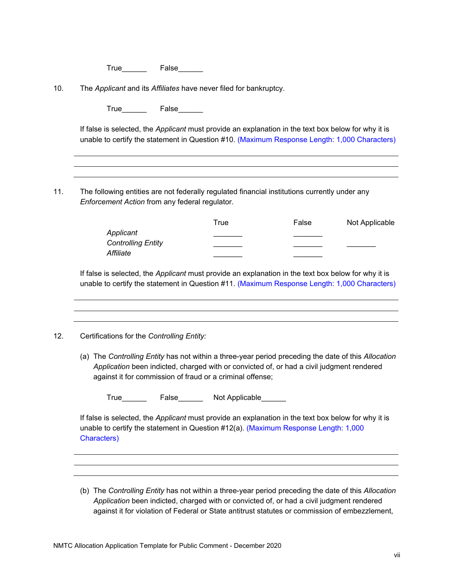| I rue | False |
|-------|-------|
|       |       |

10. The *Applicant* and its *Affiliates* have never filed for bankruptcy.

True<sub>ch</sub> False

unable to certify the statement in Question #10. (Maximum Response Length: 1,000 Characters) If false is selected, the *Applicant* must provide an explanation in the text box below for why it is

11. The following entities are not federally regulated financial institutions currently under any *Enforcement Action* from any federal regulator.

|                           | True | False | Not Applicable |
|---------------------------|------|-------|----------------|
| Applicant                 |      |       |                |
| <b>Controlling Entity</b> |      |       |                |
| Affiliate                 |      |       |                |

 unable to certify the statement in Question #11. (Maximum Response Length: 1,000 Characters) 12. Certifications for the *Controlling Entity:*  If false is selected, the *Applicant* must provide an explanation in the text box below for why it is

(a) The *Controlling Entity* has not within a three-year period preceding the date of this *Allocation Application* been indicted, charged with or convicted of, or had a civil judgment rendered against it for commission of fraud or a criminal offense;

True\_\_\_\_\_\_ False\_\_\_\_\_\_ Not Applicable\_\_\_\_\_\_

Characters) If false is selected, the *Applicant* must provide an explanation in the text box below for why it is unable to certify the statement in Question #12(a). (Maximum Response Length: 1,000

(b) The *Controlling Entity* has not within a three-year period preceding the date of this *Allocation Application* been indicted, charged with or convicted of, or had a civil judgment rendered against it for violation of Federal or State antitrust statutes or commission of embezzlement,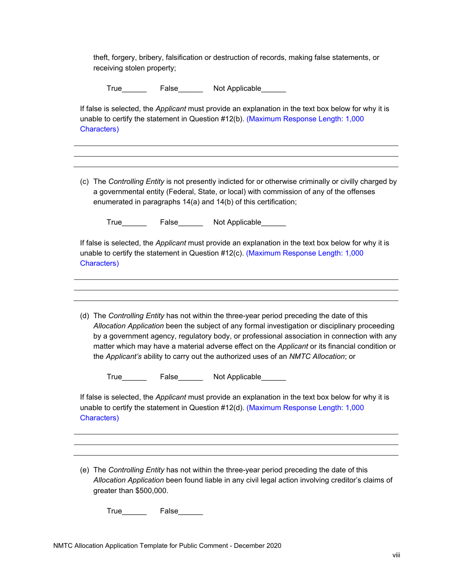theft, forgery, bribery, falsification or destruction of records, making false statements, or receiving stolen property;

|                     | a governmental entity (Federal, State, or local) with commission of any of the offenses<br>enumerated in paragraphs 14(a) and 14(b) of this certification;                                                                                                                                                                                                                                                                                                                          |
|---------------------|-------------------------------------------------------------------------------------------------------------------------------------------------------------------------------------------------------------------------------------------------------------------------------------------------------------------------------------------------------------------------------------------------------------------------------------------------------------------------------------|
|                     |                                                                                                                                                                                                                                                                                                                                                                                                                                                                                     |
|                     |                                                                                                                                                                                                                                                                                                                                                                                                                                                                                     |
|                     | If false is selected, the Applicant must provide an explanation in the text box below for why it is<br>unable to certify the statement in Question #12(c). (Maximum Response Length: 1,000                                                                                                                                                                                                                                                                                          |
|                     | (d) The Controlling Entity has not within the three-year period preceding the date of this<br>Allocation Application been the subject of any formal investigation or disciplinary proceeding<br>by a government agency, regulatory body, or professional association in connection with any<br>matter which may have a material adverse effect on the Applicant or its financial condition or<br>the Applicant's ability to carry out the authorized uses of an NMTC Allocation; or |
|                     |                                                                                                                                                                                                                                                                                                                                                                                                                                                                                     |
|                     | If false is selected, the Applicant must provide an explanation in the text box below for why it is<br>unable to certify the statement in Question #12(d). (Maximum Response Length: 1,000                                                                                                                                                                                                                                                                                          |
| <b>Characters</b> ) | Characters) <b>Characters</b>                                                                                                                                                                                                                                                                                                                                                                                                                                                       |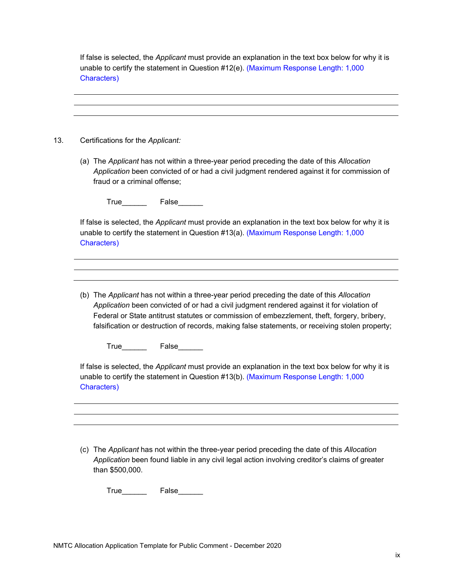**Characters**) If false is selected, the *Applicant* must provide an explanation in the text box below for why it is unable to certify the statement in Question #12(e). (Maximum Response Length: 1,000

Certifications for the Applicant: Characters)<br>
<u>13.</u> Certifications for the *Applicant:* 

(a) The *Applicant* has not within a three-year period preceding the date of this *Allocation Application* been convicted of or had a civil judgment rendered against it for commission of fraud or a criminal offense;

True\_\_\_\_\_\_\_\_\_ False\_\_\_\_\_\_

Characters) If false is selected, the *Applicant* must provide an explanation in the text box below for why it is unable to certify the statement in Question #13(a). (Maximum Response Length: 1,000

(b) The *Applicant* has not within a three-year period preceding the date of this *Allocation Application* been convicted of or had a civil judgment rendered against it for violation of Federal or State antitrust statutes or commission of embezzlement, theft, forgery, bribery, falsification or destruction of records, making false statements, or receiving stolen property;

True\_\_\_\_\_\_\_\_\_ False\_\_\_\_\_\_\_

**Characters**) If false is selected, the *Applicant* must provide an explanation in the text box below for why it is unable to certify the statement in Question #13(b). (Maximum Response Length: 1,000

(c) The *Applicant* has not within the three-year period preceding the date of this *Allocation Application* been found liable in any civil legal action involving creditor's claims of greater than \$500,000.

True<sub>by</sub> False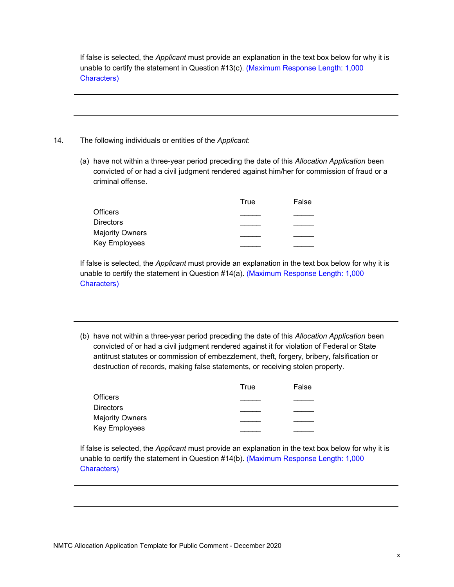Characters) If false is selected, the *Applicant* must provide an explanation in the text box below for why it is unable to certify the statement in Question #13(c). (Maximum Response Length: 1,000

- Characters)<br>
14. The following individuals or entities of the *Applicant*:
	- (a) have not within a three-year period preceding the date of this *Allocation Application* been convicted of or had a civil judgment rendered against him/her for commission of fraud or a criminal offense.

|                        | True | False |
|------------------------|------|-------|
| <b>Officers</b>        |      |       |
| <b>Directors</b>       |      |       |
| <b>Majority Owners</b> |      |       |
| Key Employees          |      |       |

Characters) If false is selected, the *Applicant* must provide an explanation in the text box below for why it is unable to certify the statement in Question #14(a). (Maximum Response Length: 1,000

(b) have not within a three-year period preceding the date of this *Allocation Application* been convicted of or had a civil judgment rendered against it for violation of Federal or State antitrust statutes or commission of embezzlement, theft, forgery, bribery, falsification or destruction of records, making false statements, or receiving stolen property.

|                        | True | False |  |
|------------------------|------|-------|--|
| <b>Officers</b>        |      |       |  |
| <b>Directors</b>       |      |       |  |
| <b>Majority Owners</b> |      |       |  |
| Key Employees          |      |       |  |

Characters) If false is selected, the *Applicant* must provide an explanation in the text box below for why it is unable to certify the statement in Question #14(b). (Maximum Response Length: 1,000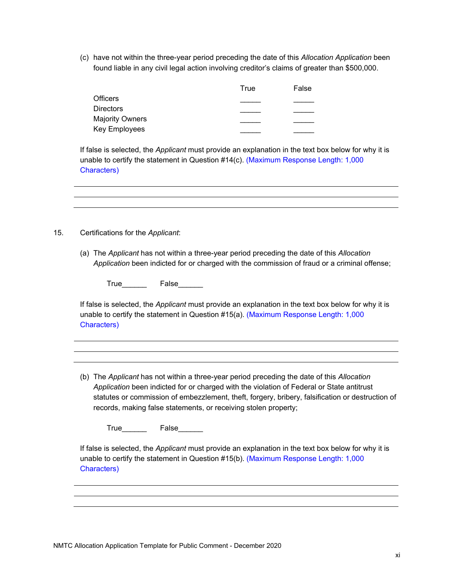(c) have not within the three-year period preceding the date of this *Allocation Application* been found liable in any civil legal action involving creditor's claims of greater than \$500,000.

|                        | True | False |  |
|------------------------|------|-------|--|
| <b>Officers</b>        |      |       |  |
| <b>Directors</b>       |      |       |  |
| <b>Majority Owners</b> |      |       |  |
| Key Employees          |      |       |  |

**Characters**) If false is selected, the *Applicant* must provide an explanation in the text box below for why it is unable to certify the statement in Question #14(c). (Maximum Response Length: 1,000

Characters)<br>
<u>According</u><br>
15. Certifications for the *Applicant*:

(a) The *Applicant* has not within a three-year period preceding the date of this *Allocation Application* been indicted for or charged with the commission of fraud or a criminal offense;

True\_\_\_\_\_\_\_\_\_\_ False\_\_\_\_\_\_

Characters) If false is selected, the *Applicant* must provide an explanation in the text box below for why it is unable to certify the statement in Question #15(a). (Maximum Response Length: 1,000

(b) The *Applicant* has not within a three-year period preceding the date of this *Allocation Application* been indicted for or charged with the violation of Federal or State antitrust statutes or commission of embezzlement, theft, forgery, bribery, falsification or destruction of records, making false statements, or receiving stolen property;

True\_\_\_\_\_\_\_\_ False\_\_\_\_\_\_\_

Characters) If false is selected, the *Applicant* must provide an explanation in the text box below for why it is unable to certify the statement in Question #15(b). (Maximum Response Length: 1,000 Characters)<br>
MMTC Allocation Application Template for Public Comment - December 2020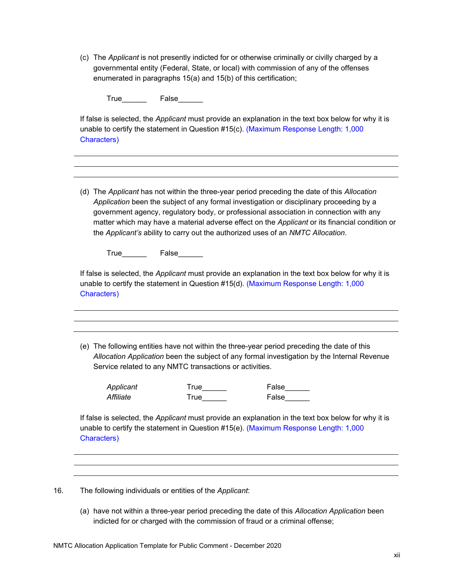(c) The *Applicant* is not presently indicted for or otherwise criminally or civilly charged by a governmental entity (Federal, State, or local) with commission of any of the offenses enumerated in paragraphs 15(a) and 15(b) of this certification;

True<sub>c</sub> False

Characters) If false is selected, the *Applicant* must provide an explanation in the text box below for why it is unable to certify the statement in Question #15(c). (Maximum Response Length: 1,000

(d) The *Applicant* has not within the three-year period preceding the date of this *Allocation Application* been the subject of any formal investigation or disciplinary proceeding by a government agency, regulatory body, or professional association in connection with any matter which may have a material adverse effect on the *Applicant* or its financial condition or the *Applicant's* ability to carry out the authorized uses of an *NMTC Allocation*.

True\_\_\_\_\_\_\_\_\_ False

Characters) If false is selected, the *Applicant* must provide an explanation in the text box below for why it is unable to certify the statement in Question #15(d). (Maximum Response Length: 1,000

(e) The following entities have not within the three-year period preceding the date of this *Allocation Application* been the subject of any formal investigation by the Internal Revenue Service related to any NMTC transactions or activities.

*Applicant* True\_\_\_\_\_\_ False\_\_\_\_\_\_ *Affiliate* True True False

Characters) If false is selected, the *Applicant* must provide an explanation in the text box below for why it is unable to certify the statement in Question #15(e). (Maximum Response Length: 1,000

16. The following individuals or entities of the *Applicant*:

(a) have not within a three-year period preceding the date of this *Allocation Application* been indicted for or charged with the commission of fraud or a criminal offense;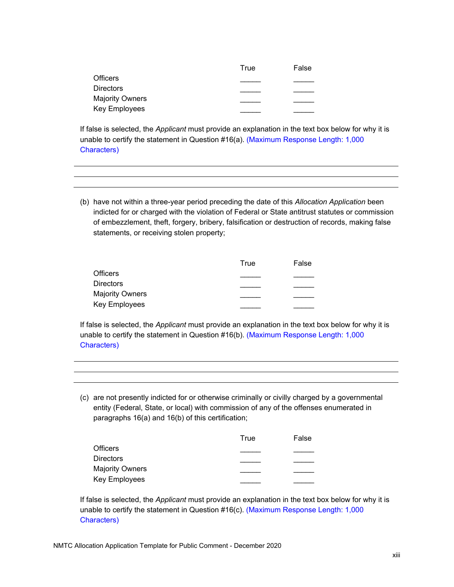|                  | True | False |  |
|------------------|------|-------|--|
| Officers         |      |       |  |
| <b>Directors</b> |      |       |  |
| Majority Owners  |      |       |  |
| Key Employees    |      |       |  |

**Characters**) If false is selected, the *Applicant* must provide an explanation in the text box below for why it is unable to certify the statement in Question #16(a). (Maximum Response Length: 1,000

(b) have not within a three-year period preceding the date of this *Allocation Application* been indicted for or charged with the violation of Federal or State antitrust statutes or commission of embezzlement, theft, forgery, bribery, falsification or destruction of records, making false statements, or receiving stolen property;

|                        | True | False |  |
|------------------------|------|-------|--|
| Officers               |      |       |  |
| <b>Directors</b>       |      |       |  |
| <b>Majority Owners</b> |      |       |  |
| Key Employees          |      |       |  |

Characters) If false is selected, the *Applicant* must provide an explanation in the text box below for why it is unable to certify the statement in Question #16(b). (Maximum Response Length: 1,000

(c) are not presently indicted for or otherwise criminally or civilly charged by a governmental entity (Federal, State, or local) with commission of any of the offenses enumerated in paragraphs 16(a) and 16(b) of this certification;

|                        | True | False |
|------------------------|------|-------|
| <b>Officers</b>        |      |       |
| <b>Directors</b>       |      |       |
| <b>Majority Owners</b> |      |       |
| <b>Key Employees</b>   |      |       |

**Characters**) If false is selected, the *Applicant* must provide an explanation in the text box below for why it is unable to certify the statement in Question #16(c). (Maximum Response Length: 1,000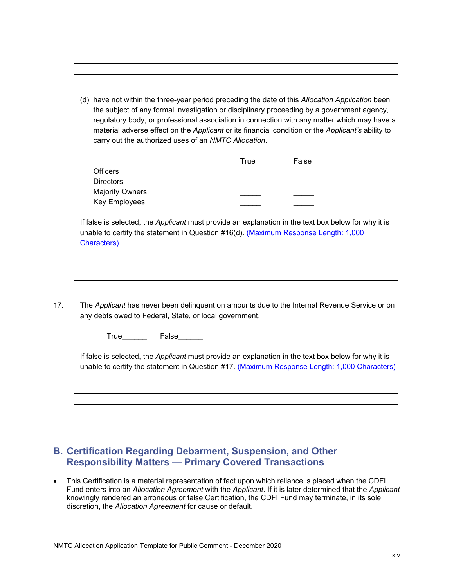(d) have not within the three-year period preceding the date of this *Allocation Application* been the subject of any formal investigation or disciplinary proceeding by a government agency, regulatory body, or professional association in connection with any matter which may have a material adverse effect on the *Applicant* or its financial condition or the *Applicant's* ability to carry out the authorized uses of an *NMTC Allocation*.

|                        | True | False |  |
|------------------------|------|-------|--|
| Officers               |      |       |  |
| Directors              |      |       |  |
| <b>Majority Owners</b> |      |       |  |
| Key Employees          |      |       |  |

Characters) If false is selected, the *Applicant* must provide an explanation in the text box below for why it is unable to certify the statement in Question #16(d). (Maximum Response Length: 1,000

Characters)<br>
17. The *Applicant* has never been delinquent on amounts due to the Internal Revenue Service or on any debts owed to Federal, State, or local government.

True\_\_\_\_\_\_ False\_\_\_\_\_\_

 unable to certify the statement in Question #17. (Maximum Response Length: 1,000 Characters) If false is selected, the *Applicant* must provide an explanation in the text box below for why it is

### **B. Certification Regarding Debarment, Suspension, and Other Responsibility Matters — Primary Covered Transactions**

 This Certification is a material representation of fact upon which reliance is placed when the CDFI Fund enters into an *Allocation Agreement* with the *Applicant*. If it is later determined that the *Applicant*  knowingly rendered an erroneous or false Certification, the CDFI Fund may terminate, in its sole discretion, the *Allocation Agreement* for cause or default.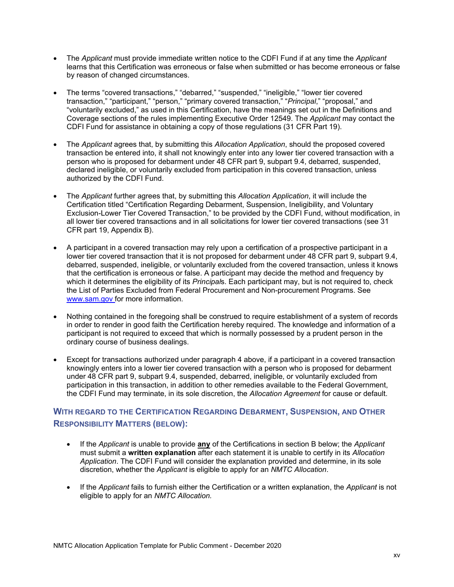- The *Applicant* must provide immediate written notice to the CDFI Fund if at any time the *Applicant*  learns that this Certification was erroneous or false when submitted or has become erroneous or false by reason of changed circumstances.
- The terms "covered transactions," "debarred," "suspended," "ineligible," "lower tier covered transaction," "participant," "person," "primary covered transaction," "*Principal*," "proposal," and "voluntarily excluded," as used in this Certification, have the meanings set out in the Definitions and Coverage sections of the rules implementing Executive Order 12549. The *Applicant* may contact the CDFI Fund for assistance in obtaining a copy of those regulations (31 CFR Part 19).
- The *Applicant* agrees that, by submitting this *Allocation Application*, should the proposed covered transaction be entered into, it shall not knowingly enter into any lower tier covered transaction with a person who is proposed for debarment under 48 CFR part 9, subpart 9.4, debarred, suspended, declared ineligible, or voluntarily excluded from participation in this covered transaction, unless authorized by the CDFI Fund.
- The *Applicant* further agrees that, by submitting this *Allocation Application*, it will include the Certification titled "Certification Regarding Debarment, Suspension, Ineligibility, and Voluntary Exclusion-Lower Tier Covered Transaction," to be provided by the CDFI Fund, without modification, in all lower tier covered transactions and in all solicitations for lower tier covered transactions (see 31 CFR part 19, Appendix B).
- A participant in a covered transaction may rely upon a certification of a prospective participant in a lower tier covered transaction that it is not proposed for debarment under 48 CFR part 9, subpart 9.4, debarred, suspended, ineligible, or voluntarily excluded from the covered transaction, unless it knows that the certification is erroneous or false. A participant may decide the method and frequency by which it determines the eligibility of its *Principal*s. Each participant may, but is not required to, check the List of Parties Excluded from Federal Procurement and Non-procurement Programs. See <www.sam.gov> for more information.
- Nothing contained in the foregoing shall be construed to require establishment of a system of records in order to render in good faith the Certification hereby required. The knowledge and information of a participant is not required to exceed that which is normally possessed by a prudent person in the ordinary course of business dealings.
- Except for transactions authorized under paragraph 4 above, if a participant in a covered transaction knowingly enters into a lower tier covered transaction with a person who is proposed for debarment under 48 CFR part 9, subpart 9.4, suspended, debarred, ineligible, or voluntarily excluded from participation in this transaction, in addition to other remedies available to the Federal Government, the CDFI Fund may terminate, in its sole discretion, the *Allocation Agreement* for cause or default.

### **WITH REGARD TO THE CERTIFICATION REGARDING DEBARMENT, SUSPENSION, AND OTHER RESPONSIBILITY MATTERS (BELOW):**

- If the *Applicant* is unable to provide **any** of the Certifications in section B below; the *Applicant*  must submit a **written explanation** after each statement it is unable to certify in its *Allocation Application*. The CDFI Fund will consider the explanation provided and determine, in its sole discretion, whether the *Applicant* is eligible to apply for an *NMTC Allocation*.
- If the *Applicant* fails to furnish either the Certification or a written explanation, the *Applicant* is not eligible to apply for an *NMTC Allocation.*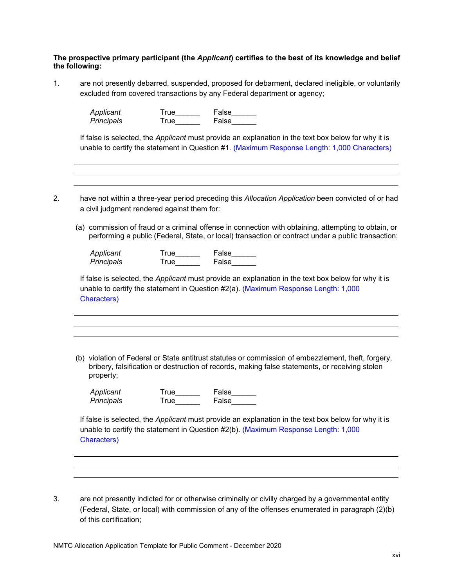### **The prospective primary participant (the** *Applicant***) certifies to the best of its knowledge and belief the following:**

1. are not presently debarred, suspended, proposed for debarment, declared ineligible, or voluntarily excluded from covered transactions by any Federal department or agency;

> *Applicant* True\_\_\_\_\_\_ False\_\_\_\_\_\_ *Principals* **Principals** True False

unable to certify the statement in Question #1. (Maximum Response Length: 1,000 Characters) If false is selected, the *Applicant* must provide an explanation in the text box below for why it is

2. have not within a three-year period preceding this Allocation Application been convicted of or had a civil judgment rendered against them for:

 performing a public (Federal, State, or local) transaction or contract under a public transaction; (a) commission of fraud or a criminal offense in connection with obtaining, attempting to obtain, or

| Applicant  | True | False |
|------------|------|-------|
| Principals | True | False |

Characters) If false is selected, the *Applicant* must provide an explanation in the text box below for why it is unable to certify the statement in Question #2(a). (Maximum Response Length: 1,000

(b) violation of Federal or State antitrust statutes or commission of embezzlement, theft, forgery, bribery, falsification or destruction of records, making false statements, or receiving stolen property;

| Applicant  |  |
|------------|--|
| Principals |  |

| Applicant  | True | False |
|------------|------|-------|
| Principals | True | False |

Characters) If false is selected, the *Applicant* must provide an explanation in the text box below for why it is unable to certify the statement in Question #2(b). (Maximum Response Length: 1,000

3. are not presently indicted for or otherwise criminally or civilly charged by a governmental entity (Federal, State, or local) with commission of any of the offenses enumerated in paragraph (2)(b) of this certification;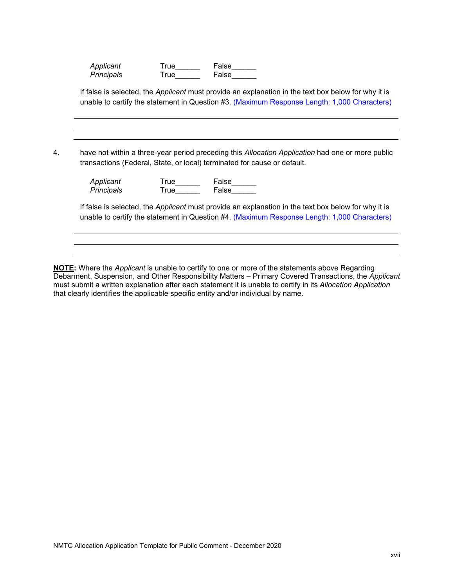| Applicant  | True | False |
|------------|------|-------|
| Principals | True | False |

unable to certify the statement in Question #3. (Maximum Response Length: 1,000 Characters) If false is selected, the *Applicant* must provide an explanation in the text box below for why it is

unable to certify the statement in Question #3. (Maximum Response Length: 1,000 Characters) 4. have not within a three-year period preceding this *Allocation Application* had one or more public transactions (Federal, State, or local) terminated for cause or default.

| Applicant  | True | False |
|------------|------|-------|
| Principals | True | False |

 unable to certify the statement in Question #4. (Maximum Response Length: 1,000 Characters) If false is selected, the *Applicant* must provide an explanation in the text box below for why it is

**NOTE:** Where the *Applicant* is unable to certify to one or more of the statements above Regarding Debarment, Suspension, and Other Responsibility Matters – Primary Covered Transactions, the *Applicant*  must submit a written explanation after each statement it is unable to certify in its *Allocation Application*  that clearly identifies the applicable specific entity and/or individual by name.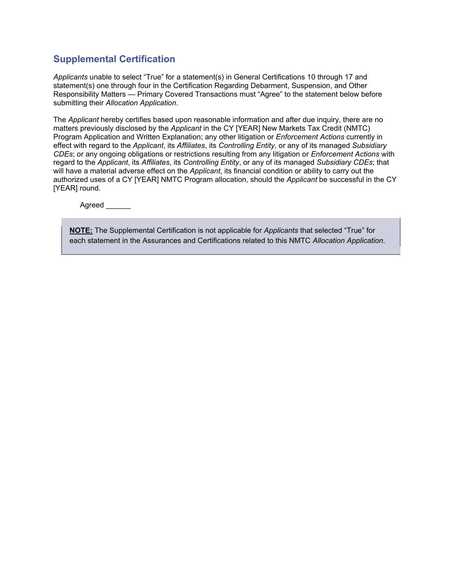### **Supplemental Certification**

*Applicants* unable to select "True" for a statement(s) in General Certifications 10 through 17 and statement(s) one through four in the Certification Regarding Debarment, Suspension, and Other Responsibility Matters — Primary Covered Transactions must "Agree" to the statement below before submitting their *Allocation Application*.

The *Applicant* hereby certifies based upon reasonable information and after due inquiry, there are no matters previously disclosed by the *Applicant* in the CY [YEAR] New Markets Tax Credit (NMTC) Program Application and Written Explanation; any other litigation or *Enforcement Actions* currently in effect with regard to the *Applicant*, its *Affiliates*, its *Controlling Entity*, or any of its managed *Subsidiary CDEs*; or any ongoing obligations or restrictions resulting from any litigation or *Enforcement Actions* with regard to the *Applicant*, its *Affiliates*, its *Controlling Entity*, or any of its managed *Subsidiary CDEs*; that will have a material adverse effect on the *Applicant*, its financial condition or ability to carry out the authorized uses of a CY [YEAR] NMTC Program allocation, should the *Applicant* be successful in the CY [YEAR] round.

Agreed  $\overline{\phantom{a}}$ 

**NOTE:** The Supplemental Certification is not applicable for *Applicants* that selected "True" for each statement in the Assurances and Certifications related to this NMTC *Allocation Application*.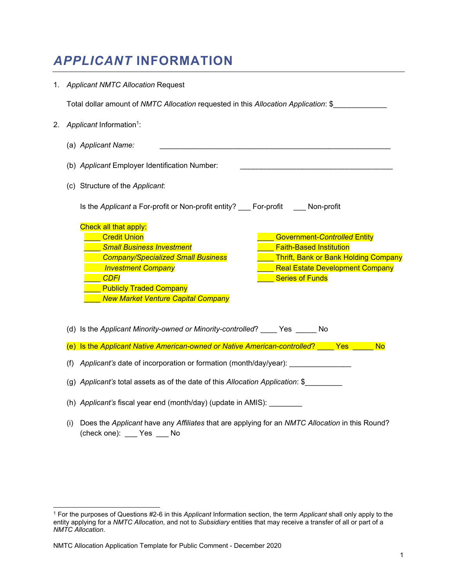# *APPLICANT* **INFORMATION**

|                                                                                     | 1. Applicant NMTC Allocation Request                                                                                                                                                                                                                                                                                                                                                                                                                        |  |  |
|-------------------------------------------------------------------------------------|-------------------------------------------------------------------------------------------------------------------------------------------------------------------------------------------------------------------------------------------------------------------------------------------------------------------------------------------------------------------------------------------------------------------------------------------------------------|--|--|
| Total dollar amount of NMTC Allocation requested in this Allocation Application: \$ |                                                                                                                                                                                                                                                                                                                                                                                                                                                             |  |  |
| 2.                                                                                  | Applicant Information <sup>1</sup> :                                                                                                                                                                                                                                                                                                                                                                                                                        |  |  |
|                                                                                     | (a) Applicant Name:                                                                                                                                                                                                                                                                                                                                                                                                                                         |  |  |
|                                                                                     | (b) Applicant Employer Identification Number:                                                                                                                                                                                                                                                                                                                                                                                                               |  |  |
|                                                                                     | (c) Structure of the Applicant:                                                                                                                                                                                                                                                                                                                                                                                                                             |  |  |
|                                                                                     | Is the Applicant a For-profit or Non-profit entity? For-profit Non-profit                                                                                                                                                                                                                                                                                                                                                                                   |  |  |
|                                                                                     | <b>Check all that apply:</b><br><b>Credit Union</b><br><b>Government-Controlled Entity</b><br><b>Small Business Investment</b><br><b>Faith-Based Institution</b><br><b>Company/Specialized Small Business</b><br><b>Thrift, Bank or Bank Holding Company</b><br><b>Investment Company</b><br><b>Real Estate Development Company</b><br><b>Series of Funds</b><br><b>CDFI</b><br><b>Publicly Traded Company</b><br><b>New Market Venture Capital Company</b> |  |  |
|                                                                                     | (d) Is the Applicant Minority-owned or Minority-controlled? ____ Yes _____ No                                                                                                                                                                                                                                                                                                                                                                               |  |  |
|                                                                                     | (e) Is the Applicant Native American-owned or Native American-controlled? ____ Yes _____<br><b>No</b>                                                                                                                                                                                                                                                                                                                                                       |  |  |
|                                                                                     | Applicant's date of incorporation or formation (month/day/year):<br>(f)                                                                                                                                                                                                                                                                                                                                                                                     |  |  |
|                                                                                     | (g) Applicant's total assets as of the date of this Allocation Application: \$                                                                                                                                                                                                                                                                                                                                                                              |  |  |
|                                                                                     | (h) Applicant's fiscal year end (month/day) (update in AMIS): ________                                                                                                                                                                                                                                                                                                                                                                                      |  |  |
|                                                                                     | Does the Applicant have any Affiliates that are applying for an NMTC Allocation in this Round?<br>(i)<br>(check one): ___ Yes ___ No                                                                                                                                                                                                                                                                                                                        |  |  |

1

<sup>1</sup> For the purposes of Questions #2-6 in this *Applicant* Information section, the term *Applicant* shall only apply to the entity applying for a *NMTC Allocation*, and not to *Subsidiary* entities that may receive a transfer of all or part of a *NMTC Allocation*.

NMTC Allocation Application Template for Public Comment - December 2020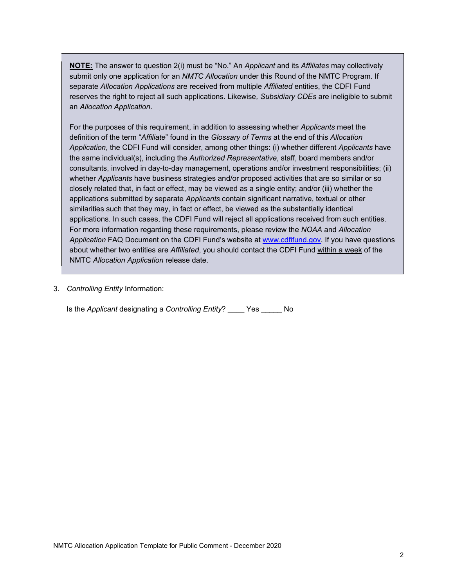<span id="page-20-0"></span>**NOTE:** The answer to question 2(i) must be "No." An *Applicant* and its *Affiliates* may collectively submit only one application for an *NMTC Allocation* under this Round of the NMTC Program. If separate *Allocation Applications* are received from multiple *Affiliated* entities, the CDFI Fund reserves the right to reject all such applications. Likewise*, Subsidiary CDEs* are ineligible to submit an *Allocation Application*.

For the purposes of this requirement, in addition to assessing whether *Applicants* meet the definition of the term "*Affiliate*" found in the *Glossary of Terms* at the end of this *Allocation Application*, the CDFI Fund will consider, among other things: (i) whether different *Applicants* have the same individual(s), including the *Authorized Representative*, staff, board members and/or consultants, involved in day-to-day management, operations and/or investment responsibilities; (ii) whether *Applicants* have business strategies and/or proposed activities that are so similar or so closely related that, in fact or effect, may be viewed as a single entity; and/or (iii) whether the applications submitted by separate *Applicants* contain significant narrative, textual or other similarities such that they may, in fact or effect, be viewed as the substantially identical applications. In such cases, the CDFI Fund will reject all applications received from such entities. For more information regarding these requirements, please review the *NOAA* and *Allocation Application* FAQ Document on the CDFI Fund's website at [www.cdfifund.gov.](www.cdfifund.gov) If you have questions about whether two entities are *Affiliated*, you should contact the CDFI Fund within a week of the NMTC *Allocation Application* release date.

3. *Controlling Entity* Information:

Is the *Applicant* designating a *Controlling Entity*? \_\_\_\_ Yes \_\_\_\_\_ No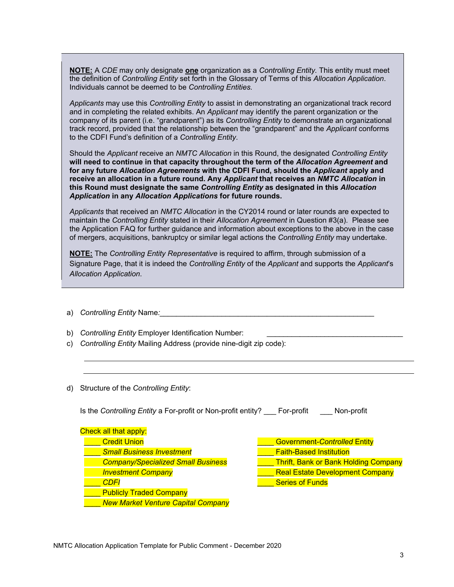Individuals cannot be deemed to be Controlling Entities. **NOTE:** A *CDE* may only designate **one** organization as a *Controlling Entity.* This entity must meet the definition of *Controlling Entity* set forth in the Glossary of Terms of this *Allocation Application*.

Applicants may use this *Controlling Entity* to assist in demonstrating an organizational track record and in completing the related exhibits. An *Applicant* may identify the parent organization or the company of its parent (i.e. "grandparent") as its *Controlling Entity* to demonstrate an organizational track record, provided that the relationship between the "grandparent" and the *Applicant* conforms to the CDFI Fund's definition of a *Controlling Entity*.

*Application* **in any** *Allocation Applications* **for future rounds.**  Should the *Applicant* receive an *NMTC Allocation* in this Round, the designated *Controlling Entity*  **will need to continue in that capacity throughout the term of the** *Allocation Agreement* **and for any future** *Allocation Agreements* **with the CDFI Fund, should the** *Applicant* **apply and receive an allocation in a future round. Any** *Applicant* **that receives an** *NMTC Allocation* **in this Round must designate the same** *Controlling Entity* **as designated in this** *Allocation* 

 maintain the *Controlling Entity* stated in their *Allocation Agreement* in Question #3(a). Please see *Applicants* that received an *NMTC Allocation* in the CY2014 round or later rounds are expected to the Application FAQ for further guidance and information about exceptions to the above in the case of mergers, acquisitions, bankruptcy or similar legal actions the *Controlling Entity* may undertake.

**NOTE:** The *Controlling Entity Representative* is required to affirm, through submission of a Signature Page, that it is indeed the *Controlling Entity* of the *Applicant* and supports the *Applicant*'s *Allocation Application*.

- a) *Controlling Entity* Name:
- b) *Controlling Entity* Employer Identification Number:
- c) *Controlling Entity* Mailing Address (provide nine-digit zip code):
- d) Structure of the *Controlling Entity*:

| Is the Controlling Entity a For-profit or Non-profit entity? | Non-profit<br>For-profit                    |
|--------------------------------------------------------------|---------------------------------------------|
| Check all that apply:                                        |                                             |
| <b>Credit Union</b>                                          | <b>Government-Controlled Entity</b>         |
| <b>Small Business Investment</b>                             | <b>Faith-Based Institution</b>              |
| <b>Company/Specialized Small Business</b>                    | <b>Thrift, Bank or Bank Holding Company</b> |
| <b>Investment Company</b>                                    | <b>Real Estate Development Company</b>      |
| <b>CDFI</b>                                                  | <b>Series of Funds</b>                      |
| <b>Publicly Traded Company</b>                               |                                             |
| <b>New Market Venture Capital Company</b>                    |                                             |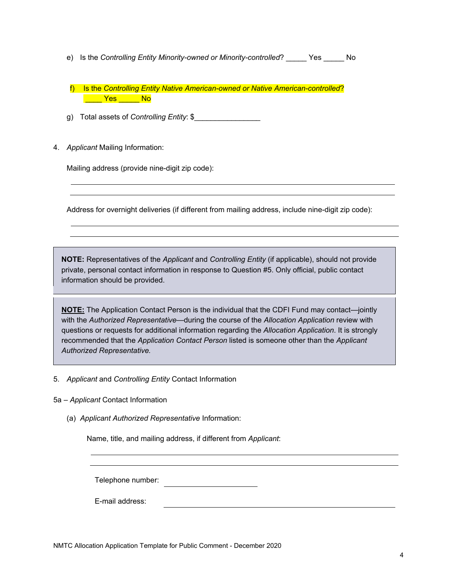<span id="page-22-0"></span>e) Is the *Controlling Entity Minority-owned or Minority-controlled*? Yes No

 f) Is the *Controlling Entity Native American-owned or Native American-controlled*? **Example 18** Yes <mark>No</mark>

g) Total assets of *Controlling Entity*: \$\_\_\_\_\_\_\_\_\_\_\_\_\_\_\_\_

4. Applicant Mailing Information:

Mailing address (provide nine-digit zip code):

Address for overnight deliveries (if different from mailing address, include nine-digit zip code):

**NOTE:** Representatives of the *Applicant* and *Controlling Entity* (if applicable), should not provide private, personal contact information in response to Question #5. Only official, public contact information should be provided.

**NOTE:** The Application Contact Person is the individual that the CDFI Fund may contact—jointly with the *Authorized Representative*—during the course of the *Allocation Application* review with questions or requests for additional information regarding the *Allocation Application*. It is strongly recommended that the *Application Contact Person* listed is someone other than the *Applicant Authorized Representative.* 

- 5. *Applicant* and *Controlling Entity* Contact Information
- 5a *Applicant* Contact Information
	- (a) *Applicant Authorized Representative* Information:

Name, title, and mailing address, if different from *Applicant*:

Telephone number:<br>E-mail address: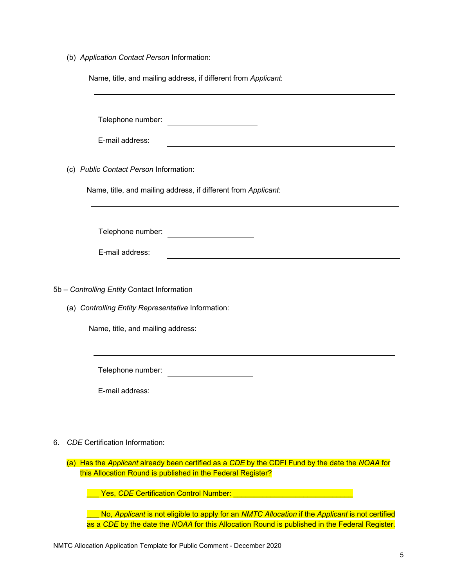(b) *Application Contact Person* Information:

| Name, title, and mailing address, if different from Applicant:                                                                                                 |
|----------------------------------------------------------------------------------------------------------------------------------------------------------------|
| Telephone number:                                                                                                                                              |
| E-mail address:                                                                                                                                                |
| (c) Public Contact Person Information:                                                                                                                         |
| Name, title, and mailing address, if different from Applicant:                                                                                                 |
|                                                                                                                                                                |
| Telephone number:                                                                                                                                              |
| E-mail address:                                                                                                                                                |
|                                                                                                                                                                |
| 5b - Controlling Entity Contact Information                                                                                                                    |
| (a) Controlling Entity Representative Information:                                                                                                             |
| Name, title, and mailing address:                                                                                                                              |
|                                                                                                                                                                |
| Telephone number:                                                                                                                                              |
| E-mail address:                                                                                                                                                |
|                                                                                                                                                                |
| <b>CDE</b> Certification Information:<br>6.                                                                                                                    |
| (a) Has the Applicant already been certified as a CDE by the CDFI Fund by the date the NOAA for<br>this Allocation Round is published in the Federal Register? |
| Yes, CDE Certification Control Number:                                                                                                                         |

\_\_\_ No, *Applicant* is not eligible to apply for an *NMTC Allocation* if the *Applicant* is not certified as a *CDE* by the date the *NOAA* for this Allocation Round is published in the Federal Register.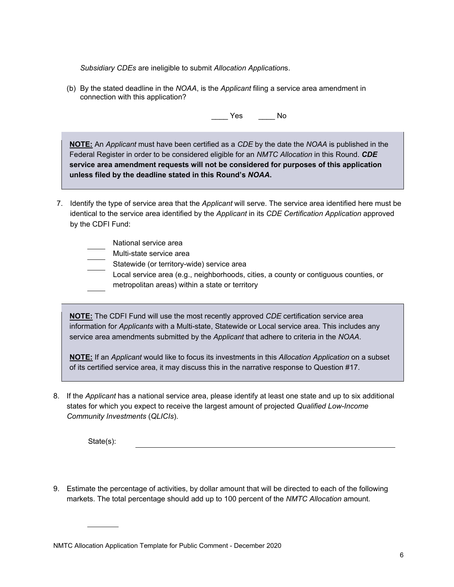*Subsidiary CDEs* are ineligible to submit *Allocation Application*s.

(b) By the stated deadline in the *NOAA*, is the *Applicant* filing a service area amendment in connection with this application?

\_\_\_\_ Yes \_\_\_\_ No

**NOTE:** An *Applicant* must have been certified as a *CDE* by the date the *NOAA* is published in the Federal Register in order to be considered eligible for an *NMTC Allocation* in this Round. *CDE*  **service area amendment requests will not be considered for purposes of this application unless filed by the deadline stated in this Round's** *NOAA***.** 

7. Identify the type of service area that the *Applicant* will serve. The service area identified here must be identical to the service area identified by the *Applicant* in its *CDE Certification Application* approved by the CDFI Fund:

| National service area                                                                                                                   |
|-----------------------------------------------------------------------------------------------------------------------------------------|
| Multi-state service area                                                                                                                |
| Statewide (or territory-wide) service area                                                                                              |
| Local service area (e.g., neighborhoods, cities, a county or contiguous counties, or<br>metropolitan areas) within a state or territory |
|                                                                                                                                         |

**NOTE:** The CDFI Fund will use the most recently approved *CDE* certification service area information for *Applicants* with a Multi-state, Statewide or Local service area. This includes any service area amendments submitted by the *Applicant* that adhere to criteria in the *NOAA*.

**NOTE:** If an *Applicant* would like to focus its investments in this *Allocation Application* on a subset of its certified service area, it may discuss this in the narrative response to Question #17.

8. If the *Applicant* has a national service area, please identify at least one state and up to six additional states for which you expect to receive the largest amount of projected *Qualified Low-Income Community Investments* (*QLICIs*).

State(s):

9. Estimate the percentage of activities, by dollar amount that will be directed to each of the following markets. The total percentage should add up to 100 percent of the *NMTC Allocation* amount.

NMTC Allocation Application Template for Public Comment - December 2020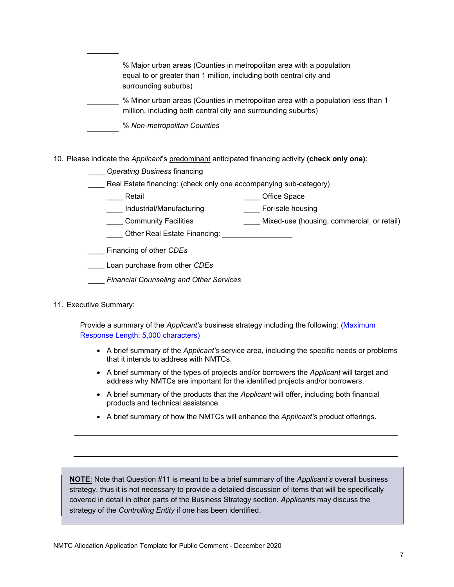| % Major urban areas (Counties in metropolitan area with a population<br>equal to or greater than 1 million, including both central city and<br>surrounding suburbs) |
|---------------------------------------------------------------------------------------------------------------------------------------------------------------------|
| % Minor urban areas (Counties in metropolitan area with a population less than 1<br>million, including both central city and surrounding suburbs)                   |
| % Non-metropolitan Counties                                                                                                                                         |

- 10. Please indicate the *Applicant*'s predominant anticipated financing activity **(check only one)**:
	- \_\_\_\_ *Operating Business* financing
	- Real Estate financing: (check only one accompanying sub-category)
		- Latter and the set of the Space of The Space of the Space of the Space of the Space of the Space of the Space o
		- \_\_\_\_ Industrial/Manufacturing \_\_\_\_ For-sale housing
		- \_\_\_\_ Community Facilities \_\_\_\_ Mixed-use (housing, commercial, or retail)
		- Other Real Estate Financing:
	- \_\_\_\_ Financing of other *CDEs*
	- \_\_\_\_ Loan purchase from other *CDEs*
	- \_\_\_\_ *Financial Counseling and Other Services*
- 11. Executive Summary:

Provide a summary of the *Applicant's* business strategy including the following: (Maximum Response Length: 5,000 characters)

- A brief summary of the *Applicant's* service area, including the specific needs or problems that it intends to address with NMTCs.
- A brief summary of the types of projects and/or borrowers the *Applicant* will target and address why NMTCs are important for the identified projects and/or borrowers.
- A brief summary of the products that the *Applicant* will offer, including both financial products and technical assistance.
- A brief summary of how the NMTCs will enhance the *Applicant's* product offerings.

**NOTE**: Note that Question #11 is meant to be a brief summary of the *Applicant's* overall business strategy, thus it is not necessary to provide a detailed discussion of items that will be specifically covered in detail in other parts of the Business Strategy section. *Applicants* may discuss the strategy of the *Controlling Entity* if one has been identified.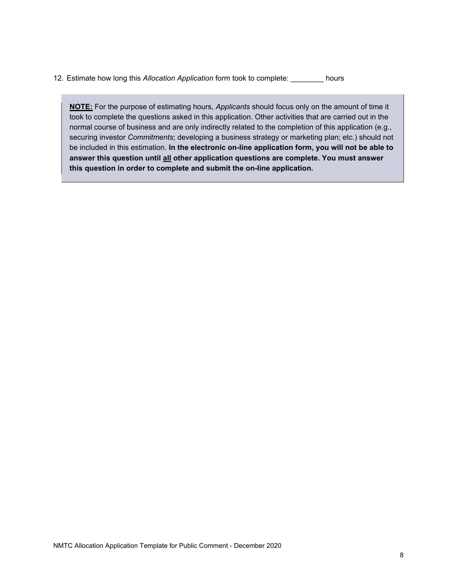12. Estimate how long this *Allocation Application* form took to complete: \_\_\_\_\_\_\_\_ hours

**NOTE:** For the purpose of estimating hours, *Applicants* should focus only on the amount of time it took to complete the questions asked in this application. Other activities that are carried out in the normal course of business and are only indirectly related to the completion of this application (e.g., securing investor *Commitments*; developing a business strategy or marketing plan; etc.) should not be included in this estimation. **In the electronic on-line application form, you will not be able to answer this question until all other application questions are complete. You must answer this question in order to complete and submit the on-line application.**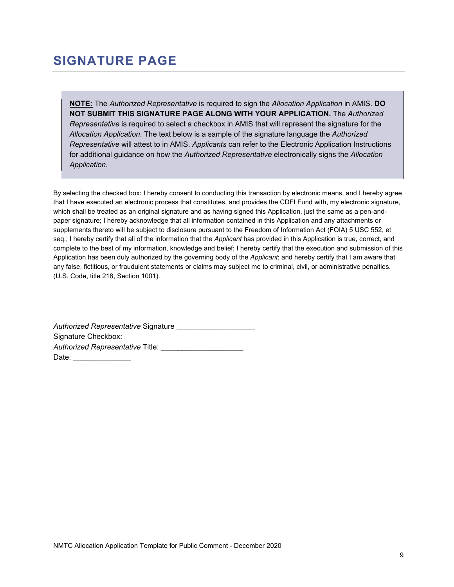# **SIGNATURE PAGE**

**NOTE:** The *Authorized Representative* is required to sign the *Allocation Application* in AMIS. **DO NOT SUBMIT THIS SIGNATURE PAGE ALONG WITH YOUR APPLICATION.** The *Authorized Representative* is required to select a checkbox in AMIS that will represent the signature for the *Allocation Application*. The text below is a sample of the signature language the *Authorized Representative* will attest to in AMIS. *Applicants* can refer to the Electronic Application Instructions for additional guidance on how the *Authorized Representative* electronically signs the *Allocation Application*.

By selecting the checked box: I hereby consent to conducting this transaction by electronic means, and I hereby agree that I have executed an electronic process that constitutes, and provides the CDFI Fund with, my electronic signature, which shall be treated as an original signature and as having signed this Application, just the same as a pen-andpaper signature; I hereby acknowledge that all information contained in this Application and any attachments or supplements thereto will be subject to disclosure pursuant to the Freedom of Information Act (FOIA) 5 USC 552, et seq.; I hereby certify that all of the information that the *Applicant* has provided in this Application is true, correct, and complete to the best of my information, knowledge and belief; I hereby certify that the execution and submission of this Application has been duly authorized by the governing body of the *Applicant*; and hereby certify that I am aware that any false, fictitious, or fraudulent statements or claims may subject me to criminal, civil, or administrative penalties. (U.S. Code, title 218, Section 1001).

*Authorized Representative* Signature \_\_\_\_\_\_\_\_\_\_\_\_\_\_\_\_\_\_\_ Signature Checkbox: Authorized Representative Title: Date: \_\_\_\_\_\_\_\_\_\_\_\_\_\_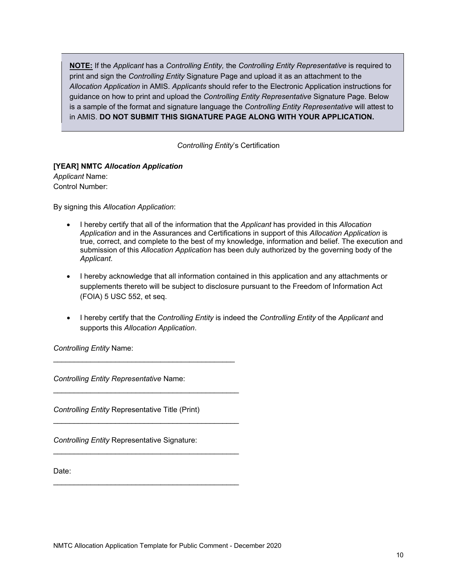**NOTE:** If the *Applicant* has a *Controlling Entity,* the *Controlling Entity Representative* is required to print and sign the *Controlling Entity* Signature Page and upload it as an attachment to the *Allocation Application* in AMIS. *Applicants* should refer to the Electronic Application instructions for guidance on how to print and upload the *Controlling Entity Representative* Signature Page*.* Below is a sample of the format and signature language the *Controlling Entity Representative* will attest to in AMIS. **DO NOT SUBMIT THIS SIGNATURE PAGE ALONG WITH YOUR APPLICATION.** 

*Controlling Entity*'s Certification

#### **[YEAR] NMTC** *Allocation Application Applicant* Name: Control Number:

By signing this *Allocation Application*:

- I hereby certify that all of the information that the *Applicant* has provided in this *Allocation Application* and in the Assurances and Certifications in support of this *Allocation Application* is true, correct, and complete to the best of my knowledge, information and belief. The execution and submission of this *Allocation Application* has been duly authorized by the governing body of the *Applicant*.
- I hereby acknowledge that all information contained in this application and any attachments or supplements thereto will be subject to disclosure pursuant to the Freedom of Information Act (FOIA) 5 USC 552, et seq.
- I hereby certify that the *Controlling Entity* is indeed the *Controlling Entity* of the *Applicant* and supports this *Allocation Application*.

*Controlling Entity* Name:

*Controlling Entity Representative* Name:

*Controlling Entity* Representative Title (Print)

\_\_\_\_\_\_\_\_\_\_\_\_\_\_\_\_\_\_\_\_\_\_\_\_\_\_\_\_\_\_\_\_\_\_\_\_\_\_\_\_\_\_\_\_\_

\_\_\_\_\_\_\_\_\_\_\_\_\_\_\_\_\_\_\_\_\_\_\_\_\_\_\_\_\_\_\_\_\_\_\_\_\_\_\_\_\_\_\_\_\_

 $\mathcal{L}_\text{max}$  and  $\mathcal{L}_\text{max}$  and  $\mathcal{L}_\text{max}$  and  $\mathcal{L}_\text{max}$ 

*Controlling Entity* Representative Signature:

Date: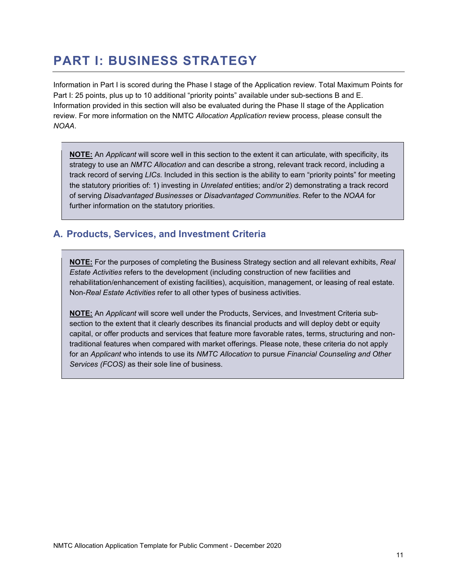# **PART I: BUSINESS STRATEGY**

Information in Part I is scored during the Phase I stage of the Application review. Total Maximum Points for Part I: 25 points, plus up to 10 additional "priority points" available under sub-sections B and E. Information provided in this section will also be evaluated during the Phase II stage of the Application review. For more information on the NMTC *Allocation Application* review process, please consult the *NOAA*.

**NOTE:** An *Applicant* will score well in this section to the extent it can articulate, with specificity, its strategy to use an *NMTC Allocation* and can describe a strong, relevant track record, including a track record of serving *LICs*. Included in this section is the ability to earn "priority points" for meeting the statutory priorities of: 1) investing in *Unrelated* entities; and/or 2) demonstrating a track record of serving *Disadvantaged Businesses* or *Disadvantaged Communities*. Refer to the *NOAA* for further information on the statutory priorities.

## **A. Products, Services, and Investment Criteria**

**NOTE:** For the purposes of completing the Business Strategy section and all relevant exhibits, *Real Estate Activities* refers to the development (including construction of new facilities and rehabilitation/enhancement of existing facilities), acquisition, management, or leasing of real estate. Non-*Real Estate Activities* refer to all other types of business activities.

**NOTE:** An *Applicant* will score well under the Products, Services, and Investment Criteria subsection to the extent that it clearly describes its financial products and will deploy debt or equity capital, or offer products and services that feature more favorable rates, terms, structuring and nontraditional features when compared with market offerings. Please note, these criteria do not apply for an *Applicant* who intends to use its *NMTC Allocation* to pursue *Financial Counseling and Other Services (FCOS)* as their sole line of business.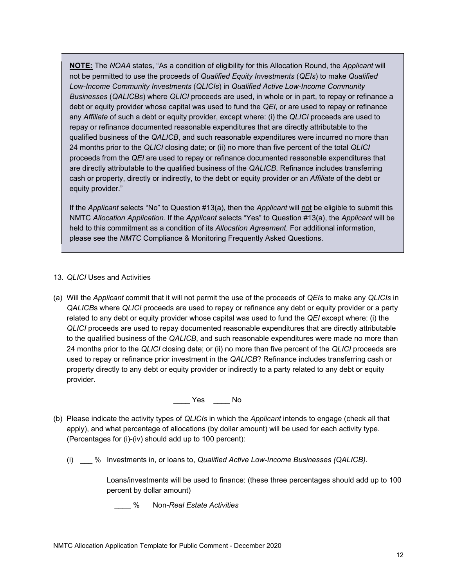**NOTE:** The *NOAA* states, "As a condition of eligibility for this Allocation Round, the *Applicant* will not be permitted to use the proceeds of *Qualified Equity Investments* (*QEIs*) to make *Qualified Low-Income Community Investments* (*QLICIs*) in *Qualified Active Low-Income Community Businesses* (*QALICBs*) where *QLICI* proceeds are used, in whole or in part, to repay or refinance a debt or equity provider whose capital was used to fund the *QEI*, or are used to repay or refinance any *Affiliate* of such a debt or equity provider, except where: (i) the *QLICI* proceeds are used to repay or refinance documented reasonable expenditures that are directly attributable to the qualified business of the *QALICB*, and such reasonable expenditures were incurred no more than 24 months prior to the *QLICI* closing date; or (ii) no more than five percent of the total *QLICI*  proceeds from the *QEI* are used to repay or refinance documented reasonable expenditures that are directly attributable to the qualified business of the *QALICB*. Refinance includes transferring cash or property, directly or indirectly, to the debt or equity provider or an *Affiliate* of the debt or equity provider."

If the *Applicant* selects "No" to Question #13(a), then the *Applicant* will not be eligible to submit this NMTC *Allocation Application*. If the *Applicant* selects "Yes" to Question #13(a), the *Applicant* will be held to this commitment as a condition of its *Allocation Agreement*. For additional information, please see the *NMTC* Compliance & Monitoring Frequently Asked Questions.

### 13. *QLICI* Uses and Activities

(a) Will the *Applicant* commit that it will not permit the use of the proceeds of *QEIs* to make any *QLICIs* in *QALICB*s where *QLICI* proceeds are used to repay or refinance any debt or equity provider or a party related to any debt or equity provider whose capital was used to fund the *QEI* except where: (i) the *QLICI* proceeds are used to repay documented reasonable expenditures that are directly attributable to the qualified business of the *QALICB*, and such reasonable expenditures were made no more than 24 months prior to the *QLICI* closing date; or (ii) no more than five percent of the *QLICI* proceeds are used to repay or refinance prior investment in the *QALICB*? Refinance includes transferring cash or property directly to any debt or equity provider or indirectly to a party related to any debt or equity provider.

\_\_\_\_ Yes \_\_\_\_ No

- (b) Please indicate the activity types of *QLICIs* in which the *Applicant* intends to engage (check all that apply), and what percentage of allocations (by dollar amount) will be used for each activity type. (Percentages for (i)-(iv) should add up to 100 percent):
	- (i) \_\_\_ % Investments in, or loans to, *Qualified Active Low-Income Businesses (QALICB)*.

Loans/investments will be used to finance: (these three percentages should add up to 100 percent by dollar amount)

\_\_\_\_ % Non-*Real Estate Activities*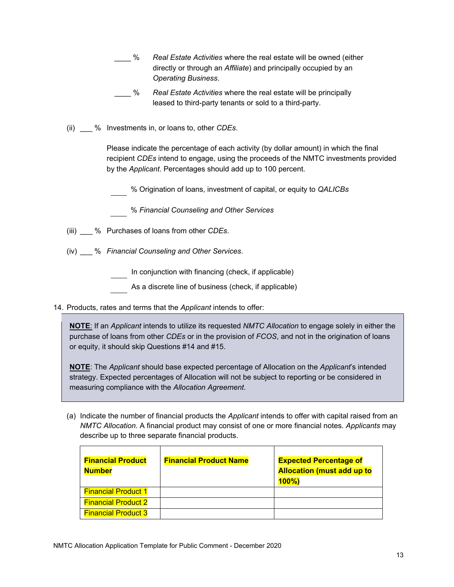- \_\_\_\_ % *Real Estate Activities* where the real estate will be owned (either directly or through an *Affiliate*) and principally occupied by an *Operating Business*.
- \_\_\_\_ % *Real Estate Activities* where the real estate will be principally leased to third-party tenants or sold to a third-party.
- (ii) \_\_\_ % Investments in, or loans to, other *CDEs*.

Please indicate the percentage of each activity (by dollar amount) in which the final recipient *CDEs* intend to engage, using the proceeds of the NMTC investments provided by the *Applicant*. Percentages should add up to 100 percent.

% Origination of loans, investment of capital, or equity to *QALICBs*

% *Financial Counseling and Other Services* 

- (iii) \_\_\_ % Purchases of loans from other *CDEs*.
- (iv) \_\_\_ % *Financial Counseling and Other Services*.

In conjunction with financing (check, if applicable)

- As a discrete line of business (check, if applicable)
- 14. Products, rates and terms that the *Applicant* intends to offer:

**NOTE**: If an *Applicant* intends to utilize its requested *NMTC Allocation* to engage solely in either the purchase of loans from other *CDEs* or in the provision of *FCOS*, and not in the origination of loans or equity, it should skip Questions #14 and #15.

**NOTE**: The *Applicant* should base expected percentage of Allocation on the *Applicant*'s intended strategy. Expected percentages of Allocation will not be subject to reporting or be considered in measuring compliance with the *Allocation Agreement*.

(a) Indicate the number of financial products the *Applicant* intends to offer with capital raised from an *NMTC Allocation*. A financial product may consist of one or more financial notes. *Applicants* may describe up to three separate financial products.

| <b>Financial Product</b><br><b>Number</b> | <b>Financial Product Name</b> | <b>Expected Percentage of</b><br><b>Allocation (must add up to</b><br>$100\%$ |
|-------------------------------------------|-------------------------------|-------------------------------------------------------------------------------|
| <b>Financial Product 1</b>                |                               |                                                                               |
| <b>Financial Product 2</b>                |                               |                                                                               |
| <b>Financial Product 3</b>                |                               |                                                                               |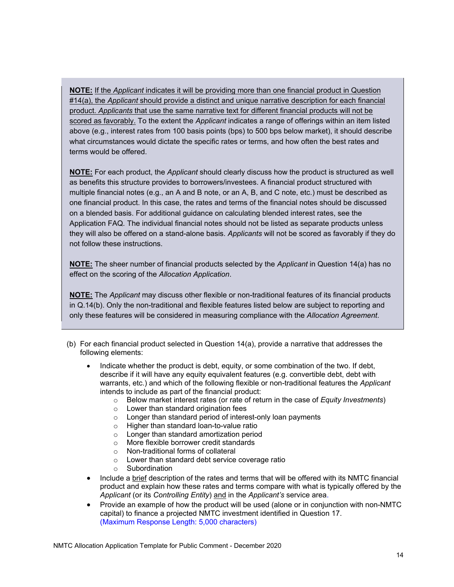**NOTE:** If the *Applicant* indicates it will be providing more than one financial product in Question #14(a), the *Applicant* should provide a distinct and unique narrative description for each financial product. *Applicants* that use the same narrative text for different financial products will not be scored as favorably. To the extent the *Applicant* indicates a range of offerings within an item listed above (e.g., interest rates from 100 basis points (bps) to 500 bps below market), it should describe what circumstances would dictate the specific rates or terms, and how often the best rates and terms would be offered.

**NOTE:** For each product, the *Applicant* should clearly discuss how the product is structured as well as benefits this structure provides to borrowers/investees. A financial product structured with multiple financial notes (e.g., an A and B note, or an A, B, and C note, etc.) must be described as one financial product. In this case, the rates and terms of the financial notes should be discussed on a blended basis. For additional guidance on calculating blended interest rates, see the Application FAQ*.* The individual financial notes should not be listed as separate products unless they will also be offered on a stand-alone basis. *Applicants* will not be scored as favorably if they do not follow these instructions.

**NOTE:** The sheer number of financial products selected by the *Applicant* in Question 14(a) has no effect on the scoring of the *Allocation Application*.

**NOTE:** The *Applicant* may discuss other flexible or non-traditional features of its financial products in Q.14(b). Only the non-traditional and flexible features listed below are subject to reporting and only these features will be considered in measuring compliance with the *Allocation Agreement*.

- (b) For each financial product selected in Question 14(a), provide a narrative that addresses the following elements:
	- Indicate whether the product is debt, equity, or some combination of the two. If debt, describe if it will have any equity equivalent features (e.g. convertible debt, debt with warrants, etc.) and which of the following flexible or non-traditional features the *Applicant*  intends to include as part of the financial product:
		- o Below market interest rates (or rate of return in the case of *Equity Investments*)
		- o Lower than standard origination fees
		- o Longer than standard period of interest-only loan payments
		- o Higher than standard loan-to-value ratio
		- o Longer than standard amortization period
		- o More flexible borrower credit standards
		- o Non-traditional forms of collateral
		- o Lower than standard debt service coverage ratio
		- o Subordination
	- Include a brief description of the rates and terms that will be offered with its NMTC financial product and explain how these rates and terms compare with what is typically offered by the *Applicant* (or its *Controlling Entity*) and in the *Applicant's* service area.
	- Provide an example of how the product will be used (alone or in conjunction with non-NMTC capital) to finance a projected NMTC investment identified in Question 17. (Maximum Response Length: 5,000 characters)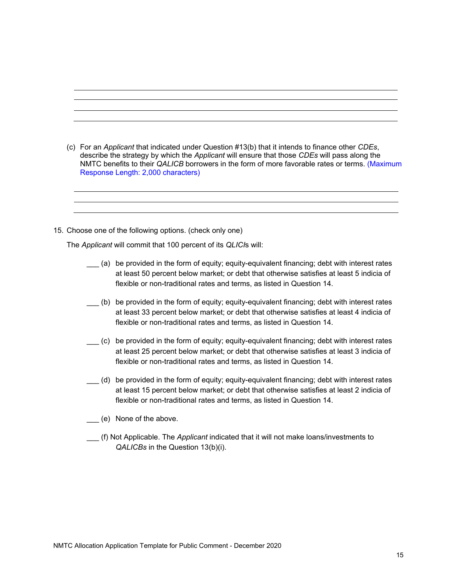- (c) For an *Applicant* that indicated under Question #13(b) that it intends to finance other *CDEs*, describe the strategy by which the *Applicant* will ensure that those *CDEs* will pass along the NMTC benefits to their *QALICB* borrowers in the form of more favorable rates or terms. (Maximum Response Length: 2,000 characters)
- 15. Choose one of the following options. (check only one)

The *Applicant* will commit that 100 percent of its *QLICI*s will:

- \_\_\_ (a) be provided in the form of equity; equity-equivalent financing; debt with interest rates at least 50 percent below market; or debt that otherwise satisfies at least 5 indicia of flexible or non-traditional rates and terms, as listed in Question 14.
- \_\_\_ (b) be provided in the form of equity; equity-equivalent financing; debt with interest rates at least 33 percent below market; or debt that otherwise satisfies at least 4 indicia of flexible or non-traditional rates and terms, as listed in Question 14.
- \_\_\_ (c) be provided in the form of equity; equity-equivalent financing; debt with interest rates at least 25 percent below market; or debt that otherwise satisfies at least 3 indicia of flexible or non-traditional rates and terms, as listed in Question 14.
- \_\_\_ (d) be provided in the form of equity; equity-equivalent financing; debt with interest rates at least 15 percent below market; or debt that otherwise satisfies at least 2 indicia of flexible or non-traditional rates and terms, as listed in Question 14.
- \_\_\_ (e) None of the above.
- \_\_\_ (f) Not Applicable. The *Applicant* indicated that it will not make loans/investments to *QALICBs* in the Question 13(b)(i).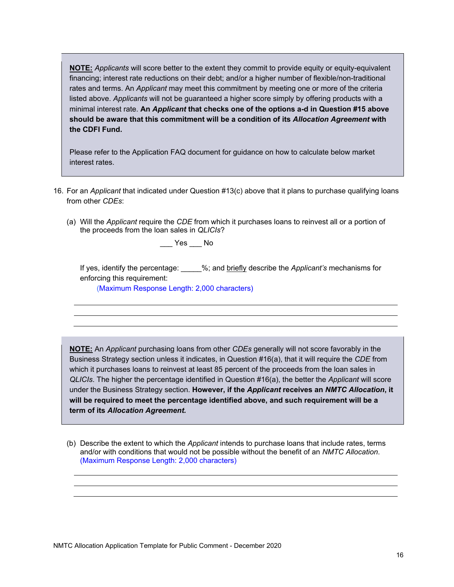**the CDFI Fund. NOTE:** *Applicants* will score better to the extent they commit to provide equity or equity-equivalent financing; interest rate reductions on their debt; and/or a higher number of flexible/non-traditional rates and terms. An *Applicant* may meet this commitment by meeting one or more of the criteria listed above. *Applicants* will not be guaranteed a higher score simply by offering products with a minimal interest rate. **An** *Applicant* **that checks one of the options a-d in Question #15 above should be aware that this commitment will be a condition of its** *Allocation Agreement* **with** 

interest rates. Please refer to the Application FAQ document for guidance on how to calculate below market

- 16. For an *Applicant* that indicated under Question #13(c) above that it plans to purchase qualifying loans from other *CDEs*:
	- (a) Will the *Applicant* require the *CDE* from which it purchases loans to reinvest all or a portion of the proceeds from the loan sales in *QLICIs*?

 $\rule{1em}{0.15mm}$  Yes  $\rule{1em}{0.15mm}$  No

If yes, identify the percentage: \_\_\_\_\_%; and briefly describe the *Applicant's* mechanisms for enforcing this requirement:

(Maximum Response Length: 2,000 characters)

**NOTE:** An *Applicant* purchasing loans from other *CDEs* generally will not score favorably in the Business Strategy section unless it indicates, in Question #16(a), that it will require the *CDE* from which it purchases loans to reinvest at least 85 percent of the proceeds from the loan sales in *QLICIs*. The higher the percentage identified in Question #16(a), the better the *Applicant* will score under the Business Strategy section. **However, if the** *Applicant* **receives an** *NMTC Allocation***, it will be required to meet the percentage identified above, and such requirement will be a term of its** *Allocation Agreement.* 

(b) Describe the extent to which the *Applicant* intends to purchase loans that include rates, terms and/or with conditions that would not be possible without the benefit of an *NMTC Allocation*. (Maximum Response Length: 2,000 characters)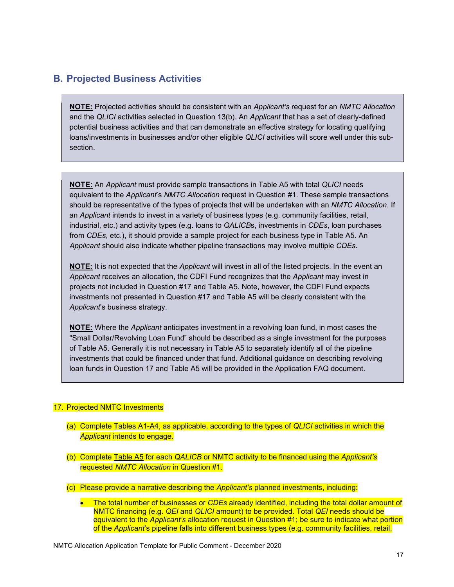### **B. Projected Business Activities**

**NOTE:** Projected activities should be consistent with an *Applicant's* request for an *NMTC Allocation*  and the *QLICI* activities selected in Question 13(b). An *Applicant* that has a set of clearly-defined potential business activities and that can demonstrate an effective strategy for locating qualifying loans/investments in businesses and/or other eligible *QLICI* activities will score well under this subsection.

**NOTE:** An *Applicant* must provide sample transactions in Table A5 with total *QLICI* needs equivalent to the *Applicant*'s *NMTC Allocation* request in Question #1. These sample transactions should be representative of the types of projects that will be undertaken with an *NMTC Allocation*. If an *Applicant* intends to invest in a variety of business types (e.g. community facilities, retail, industrial, etc.) and activity types (e.g. loans to *QALICB*s, investments in *CDEs*, loan purchases from *CDEs*, etc.), it should provide a sample project for each business type in Table A5. An *Applicant* should also indicate whether pipeline transactions may involve multiple *CDEs*.

**NOTE:** It is not expected that the *Applicant* will invest in all of the listed projects. In the event an *Applicant* receives an allocation, the CDFI Fund recognizes that the *Applicant* may invest in projects not included in Question #17 and Table A5. Note, however, the CDFI Fund expects investments not presented in Question #17 and Table A5 will be clearly consistent with the *Applicant*'s business strategy.

**NOTE:** Where the *Applicant* anticipates investment in a revolving loan fund, in most cases the "Small Dollar/Revolving Loan Fund" should be described as a single investment for the purposes of Table A5. Generally it is not necessary in Table A5 to separately identify all of the pipeline investments that could be financed under that fund. Additional guidance on describing revolving loan funds in Question 17 and Table A5 will be provided in the Application FAQ document.

### 17. Projected NMTC Investments

- (a) Complete Tables A1-A4, as applicable, according to the types of *QLICI* activities in which the *Applicant* intends to engage.
- (b) Complete Table A5 for each *QALICB* or NMTC activity to be financed using the *Applicant's*  requested *NMTC Allocation* in Question #1.
- (c) Please provide a narrative describing the *Applicant's* planned investments, including:
	- The total number of businesses or *CDEs* already identified, including the total dollar amount of NMTC financing (e.g. *QEI* and *QLICI* amount) to be provided. Total *QEI* needs should be equivalent to the *Applicant's* allocation request in Question #1; be sure to indicate what portion of the *Applicant*'s pipeline falls into different business types (e.g. community facilities, retail,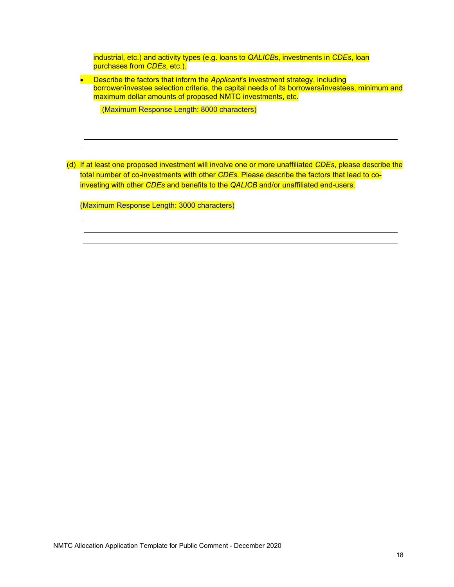industrial, etc.) and activity types (e.g. loans to *QALICB*s, investments in *CDEs*, loan purchases from *CDEs*, etc.).

**Describe the factors that inform the Applicant's investment strategy, including** borrower/investee selection criteria, the capital needs of its borrowers/investees, minimum and maximum dollar amounts of proposed NMTC investments, etc.

(Maximum Response Length: 8000 characters)

(d) If at least one proposed investment will involve one or more unaffiliated *CDEs*, please describe the total number of co-investments with other *CDEs*. Please describe the factors that lead to coinvesting with other *CDEs* and benefits to the *QALICB* and/or unaffiliated end-users.

(Maximum Response Length: 3000 characters)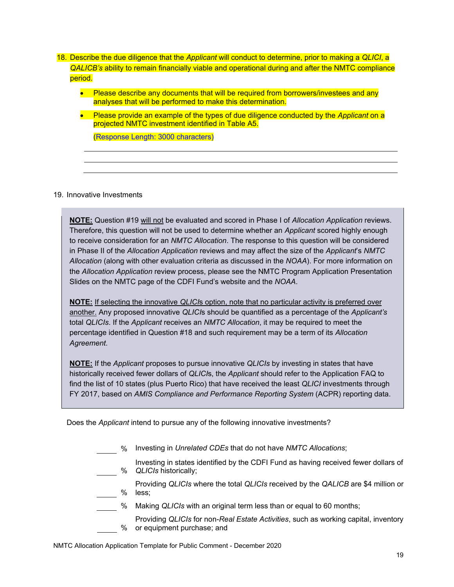- 18. Describe the due diligence that the *Applicant* will conduct to determine, prior to making a *QLICI*, a *QALICB's* ability to remain financially viable and operational during and after the NMTC compliance period.
	- Please describe any documents that will be required from borrowers/investees and any analyses that will be performed to make this determination.
	- Please provide an example of the types of due diligence conducted by the *Applicant* on a projected NMTC investment identified in Table A5.

(Response Length: 3000 characters)

### 19. Innovative Investments

**NOTE:** Question #19 will not be evaluated and scored in Phase I of *Allocation Application* reviews. Therefore, this question will not be used to determine whether an *Applicant* scored highly enough to receive consideration for an *NMTC Allocation*. The response to this question will be considered in Phase II of the *Allocation Application* reviews and may affect the size of the *Applicant*'s *NMTC Allocation* (along with other evaluation criteria as discussed in the *NOAA*). For more information on the *Allocation Application* review process, please see the NMTC Program Application Presentation Slides on the NMTC page of the CDFI Fund's website and the *NOAA*.

**NOTE:** If selecting the innovative *QLICI*s option, note that no particular activity is preferred over another. Any proposed innovative *QLICI*s should be quantified as a percentage of the *Applicant's*  total *QLICIs*. If the *Applicant* receives an *NMTC Allocation*, it may be required to meet the percentage identified in Question #18 and such requirement may be a term of its *Allocation Agreement.* 

**NOTE:** If the *Applicant* proposes to pursue innovative *QLICIs* by investing in states that have historically received fewer dollars of *QLICI*s, the *Applicant* should refer to the Application FAQ to find the list of 10 states (plus Puerto Rico) that have received the least *QLICI* investments through FY 2017, based on *AMIS Compliance and Performance Reporting System* (ACPR) reporting data.

Does the *Applicant* intend to pursue any of the following innovative investments?

- % Investing in *Unrelated CDEs* that do not have *NMTC Allocations*;
- % *QLICIs* historically; Investing in states identified by the CDFI Fund as having received fewer dollars of
	- % Providing *QLICIs* where the total *QLICIs* received by the *QALICB* are \$4 million or less;
- % Making *QLICIs* with an original term less than or equal to 60 months;
	- % or equipment purchase; and Providing *QLICIs* for non-*Real Estate Activities*, such as working capital, inventory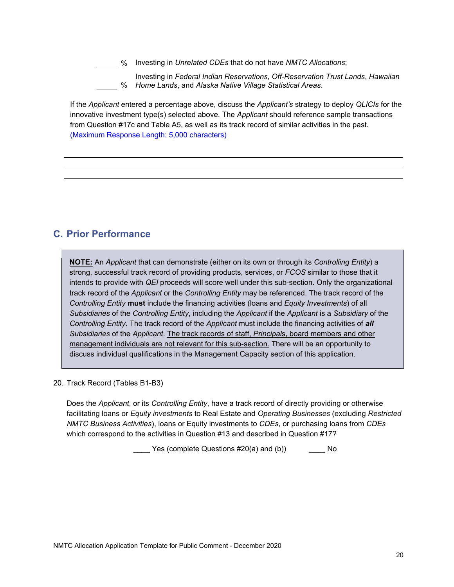% Investing in *Unrelated CDEs* that do not have *NMTC Allocations*;

Investing in *Federal Indian Reservations*, *Off-Reservation Trust Lands*, *Hawaiian*  % *Home Lands*, and *Alaska Native Village Statistical Areas*.

If the *Applicant* entered a percentage above, discuss the *Applicant's* strategy to deploy *QLICIs* for the innovative investment type(s) selected above*.* The *Applicant* should reference sample transactions from Question #17c and Table A5, as well as its track record of similar activities in the past. (Maximum Response Length: 5,000 characters)

## **C. Prior Performance**

**NOTE:** An *Applicant* that can demonstrate (either on its own or through its *Controlling Entity*) a strong, successful track record of providing products, services, or *FCOS* similar to those that it intends to provide with *QEI* proceeds will score well under this sub-section. Only the organizational track record of the *Applicant* or the *Controlling Entity* may be referenced. The track record of the *Controlling Entity* **must** include the financing activities (loans and *Equity Investments*) of all *Subsidiaries* of the *Controlling Entity*, including the *Applicant* if the *Applicant* is a *Subsidiary* of the *Controlling Entity*. The track record of the *Applicant* must include the financing activities of *all Subsidiaries* of the *Applicant*. The track records of staff, *Principal*s, board members and other management individuals are not relevant for this sub-section. There will be an opportunity to discuss individual qualifications in the Management Capacity section of this application.

20. Track Record (Tables B1-B3)

Does the *Applicant*, or its *Controlling Entity*, have a track record of directly providing or otherwise facilitating loans or *Equity investments* to Real Estate and *Operating Businesses* (excluding *Restricted NMTC Business Activities*), loans or Equity investments to *CDEs*, or purchasing loans from *CDEs*  which correspond to the activities in Question #13 and described in Question #17?

\_\_\_\_ Yes (complete Questions #20(a) and (b)) \_\_\_\_ No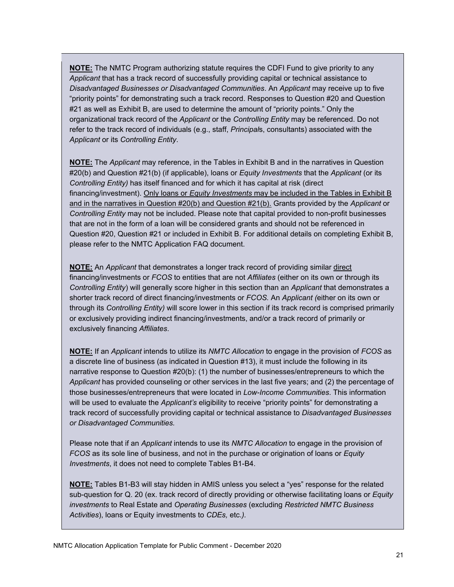**NOTE:** The NMTC Program authorizing statute requires the CDFI Fund to give priority to any *Applicant* that has a track record of successfully providing capital or technical assistance to *Disadvantaged Businesses or Disadvantaged Communities*. An *Applicant* may receive up to five "priority points" for demonstrating such a track record. Responses to Question #20 and Question #21 as well as Exhibit B, are used to determine the amount of "priority points." Only the organizational track record of the *Applicant* or the *Controlling Entity* may be referenced. Do not refer to the track record of individuals (e.g., staff, *Principal*s, consultants) associated with the *Applicant* or its *Controlling Entity*.

**NOTE:** The *Applicant* may reference, in the Tables in Exhibit B and in the narratives in Question #20(b) and Question #21(b) (if applicable), loans or *Equity Investments* that the *Applicant* (or its *Controlling Entity)* has itself financed and for which it has capital at risk (direct financing/investment). Only loans or *Equity Investments* may be included in the Tables in Exhibit B and in the narratives in Question #20(b) and Question #21(b). Grants provided by the *Applicant* or *Controlling Entity* may not be included. Please note that capital provided to non-profit businesses that are not in the form of a loan will be considered grants and should not be referenced in Question #20, Question #21 or included in Exhibit B. For additional details on completing Exhibit B, please refer to the NMTC Application FAQ document.

 exclusively financing *Affiliates*. **NOTE:** An *Applicant* that demonstrates a longer track record of providing similar direct financing/investments or *FCOS* to entities that are not *Affiliates* (either on its own or through its *Controlling Entity*) will generally score higher in this section than an *Applicant* that demonstrates a shorter track record of direct financing/investments or *FCOS.* An *Applicant (*either on its own or through its *Controlling Entity)* will score lower in this section if its track record is comprised primarily or exclusively providing indirect financing/investments, and/or a track record of primarily or

**NOTE:** If an *Applicant* intends to utilize its *NMTC Allocation* to engage in the provision of *FCOS* as a discrete line of business (as indicated in Question #13), it must include the following in its narrative response to Question #20(b): (1) the number of businesses/entrepreneurs to which the *Applicant* has provided counseling or other services in the last five years; and (2) the percentage of those businesses/entrepreneurs that were located in *Low-Income Communities*. This information will be used to evaluate the *Applicant's* eligibility to receive "priority points" for demonstrating a track record of successfully providing capital or technical assistance to *Disadvantaged Businesses or Disadvantaged Communities.* 

Please note that if an *Applicant* intends to use its *NMTC Allocation* to engage in the provision of *FCOS* as its sole line of business, and not in the purchase or origination of loans or *Equity Investments*, it does not need to complete Tables B1-B4.

**NOTE:** Tables B1-B3 will stay hidden in AMIS unless you select a "yes" response for the related sub-question for Q. 20 (ex. track record of directly providing or otherwise facilitating loans or *Equity investments* to Real Estate and *Operating Businesses* (excluding *Restricted NMTC Business Activities*), loans or Equity investments to *CDEs,* etc.*).*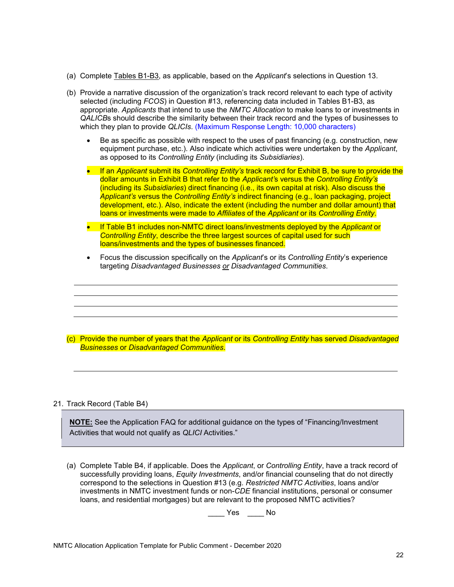- (a) Complete Tables B1-B3, as applicable, based on the *Applicant*'s selections in Question 13.
- (b) Provide a narrative discussion of the organization's track record relevant to each type of activity selected (including *FCOS*) in Question #13, referencing data included in Tables B1-B3, as appropriate. *Applicants* that intend to use the *NMTC Allocation* to make loans to or investments in *QALICB*s should describe the similarity between their track record and the types of businesses to which they plan to provide *QLICIs*. (Maximum Response Length: 10,000 characters)
	- Be as specific as possible with respect to the uses of past financing (e.g. construction, new equipment purchase, etc.). Also indicate which activities were undertaken by the *Applicant*, as opposed to its *Controlling Entity* (including its *Subsidiaries*).
	- If an *Applicant* submit its *Controlling Entity's* track record for Exhibit B, be sure to provide the dollar amounts in Exhibit B that refer to the *Applicant'*s versus the *Controlling Entity's*  (including its *Subsidiaries*) direct financing (i.e., its own capital at risk). Also discuss the *Applicant's* versus the *Controlling Entity's* indirect financing (e.g., loan packaging, project development, etc.). Also, indicate the extent (including the number and dollar amount) that loans or investments were made to *Affiliates* of the *Applicant* or its *Controlling Entity*.
	- If Table B1 includes non-NMTC direct loans/investments deployed by the *Applicant* or *Controlling Entity*, describe the three largest sources of capital used for such loans/investments and the types of businesses financed.
	- Focus the discussion specifically on the *Applicant*'s or its *Controlling Entity*'s experience targeting *Disadvantaged Businesses or Disadvantaged Communities*.

(c) Provide the number of years that the *Applicant* or its *Controlling Entity* has served *Disadvantaged Businesses* or *Disadvantaged Communities*.

### 21. Track Record (Table B4)

**NOTE:** See the Application FAQ for additional guidance on the types of "Financing/Investment Activities that would not qualify as *QLICI* Activities."

(a) Complete Table B4, if applicable. Does the *Applicant*, or *Controlling Entity*, have a track record of successfully providing loans, *Equity Investments*, and/or financial counseling that do not directly correspond to the selections in Question #13 (e.g. *Restricted NMTC Activities*, loans and/or investments in NMTC investment funds or non-*CDE* financial institutions, personal or consumer loans, and residential mortgages) but are relevant to the proposed NMTC activities?

 $\rule{1em}{0.15mm}$  Yes  $\rule{1em}{0.15mm}$  No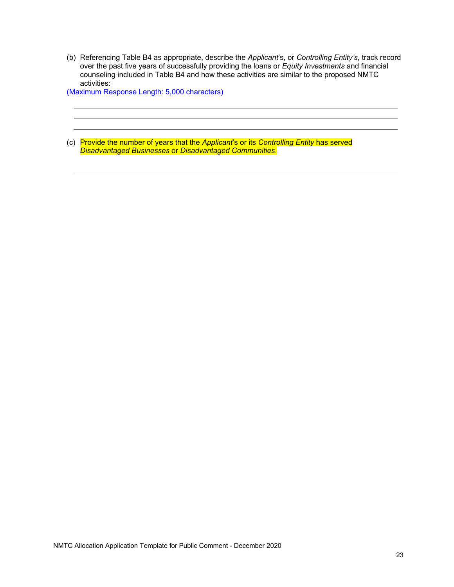(b) Referencing Table B4 as appropriate, describe the *Applicant*'s, or *Controlling Entity's*, track record over the past five years of successfully providing the loans or *Equity Investments* and financial counseling included in Table B4 and how these activities are similar to the proposed NMTC activities:

(Maximum Response Length: 5,000 characters)

(c) Provide the number of years that the *Applicant*'s or its *Controlling Entity* has served *Disadvantaged Businesses* or *Disadvantaged Communities*.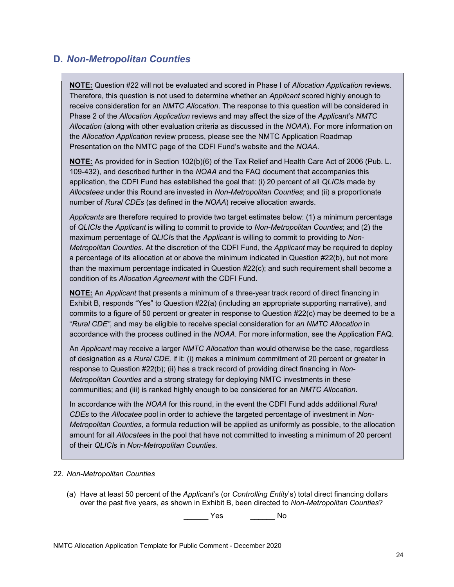### **D.** *Non-Metropolitan Counties*

**NOTE:** Question #22 will not be evaluated and scored in Phase I of *Allocation Application* reviews. Therefore, this question is not used to determine whether an *Applicant* scored highly enough to receive consideration for an *NMTC Allocation*. The response to this question will be considered in Phase 2 of the *Allocation Application* reviews and may affect the size of the *Applicant*'s *NMTC Allocation* (along with other evaluation criteria as discussed in the *NOAA*). For more information on the *Allocation Application* review process, please see the NMTC Application Roadmap Presentation on the NMTC page of the CDFI Fund's website and the *NOAA*.

**NOTE:** As provided for in Section 102(b)(6) of the Tax Relief and Health Care Act of 2006 (Pub. L. 109-432), and described further in the *NOAA* and the FAQ document that accompanies this application, the CDFI Fund has established the goal that: (i) 20 percent of all *QLICI*s made by *Allocatees* under this Round are invested in *Non-Metropolitan Counties*; and (ii) a proportionate number of *Rural CDEs* (as defined in the *NOAA*) receive allocation awards.

*Applicants* are therefore required to provide two target estimates below: (1) a minimum percentage of *QLICIs* the *Applicant* is willing to commit to provide to *Non-Metropolitan Counties*; and (2) the maximum percentage of *QLICI*s that the *Applicant* is willing to commit to providing to *Non-Metropolitan Counties*. At the discretion of the CDFI Fund, the *Applicant* may be required to deploy a percentage of its allocation at or above the minimum indicated in Question #22(b), but not more than the maximum percentage indicated in Question #22(c); and such requirement shall become a condition of its *Allocation Agreement* with the CDFI Fund.

**NOTE:** An *Applicant* that presents a minimum of a three-year track record of direct financing in Exhibit B, responds "Yes" to Question #22(a) (including an appropriate supporting narrative), and commits to a figure of 50 percent or greater in response to Question #22(c) may be deemed to be a "*Rural CDE"*, and may be eligible to receive special consideration for *an NMTC Allocation* in accordance with the process outlined in the *NOAA*. For more information, see the Application FAQ.

An *Applicant* may receive a larger *NMTC Allocation* than would otherwise be the case, regardless of designation as a *Rural CDE,* if it: (i) makes a minimum commitment of 20 percent or greater in response to Question #22(b); (ii) has a track record of providing direct financing in *Non-Metropolitan Counties* and a strong strategy for deploying NMTC investments in these communities; and (iii) is ranked highly enough to be considered for an *NMTC Allocation*.

In accordance with the *NOAA* for this round, in the event the CDFI Fund adds additional *Rural CDEs* to the *Allocatee* pool in order to achieve the targeted percentage of investment in *Non-Metropolitan Counties,* a formula reduction will be applied as uniformly as possible, to the allocation amount for all *Allocatee*s in the pool that have not committed to investing a minimum of 20 percent of their *QLICI*s in *Non-Metropolitan Counties.* 

### 22. *Non-Metropolitan Counties*

(a) Have at least 50 percent of the *Applicant*'s (or *Controlling Entity*'s) total direct financing dollars over the past five years, as shown in Exhibit B, been directed to *Non-Metropolitan Counties*?

\_\_\_\_\_\_ Yes \_\_\_\_\_\_ No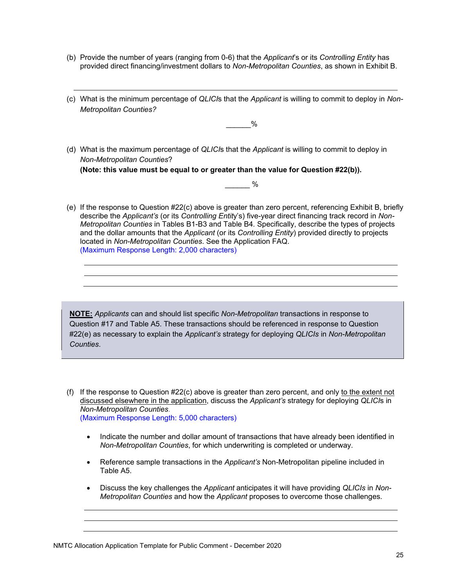- (b) Provide the number of years (ranging from 0-6) that the *Applicant*'s or its *Controlling Entity* has provided direct financing/investment dollars to *Non-Metropolitan Counties*, as shown in Exhibit B.
- (c) What is the minimum percentage of *QLICI*s that the *Applicant* is willing to commit to deploy in *Non-Metropolitan Counties?*

 $\frac{0}{0}$ 

(d) What is the maximum percentage of *QLICI*s that the *Applicant* is willing to commit to deploy in *Non-Metropolitan Counties*? **(Note: this value must be equal to or greater than the value for Question #22(b)).** 

 $\frac{0}{0}$ 

(e) If the response to Question #22(c) above is greater than zero percent, referencing Exhibit B, briefly describe the *Applicant's* (or its *Controlling Entit*y's) five-year direct financing track record in *Non-Metropolitan Counties* in Tables B1-B3 and Table B4*.* Specifically, describe the types of projects and the dollar amounts that the *Applicant* (or its *Controlling Entity*) provided directly to projects located in *Non-Metropolitan Counties*. See the Application FAQ. (Maximum Response Length: 2,000 characters)

**NOTE:** *Applicants* can and should list specific *Non-Metropolitan* transactions in response to Question #17 and Table A5. These transactions should be referenced in response to Question #22(e) as necessary to explain the *Applicant's* strategy for deploying *QLICIs* in *Non-Metropolitan Counties*.

- (f) If the response to Question  $#22(c)$  above is greater than zero percent, and only to the extent not discussed elsewhere in the application, discuss the *Applicant's* strategy for deploying *QLICI*s in *Non-Metropolitan Counties*. (Maximum Response Length: 5,000 characters)
	- Indicate the number and dollar amount of transactions that have already been identified in *Non-Metropolitan Counties*, for which underwriting is completed or underway.
	- Reference sample transactions in the *Applicant's* Non-Metropolitan pipeline included in Table A5.
	- Discuss the key challenges the *Applicant* anticipates it will have providing *QLICIs* in *Non-Metropolitan Counties* and how the *Applicant* proposes to overcome those challenges.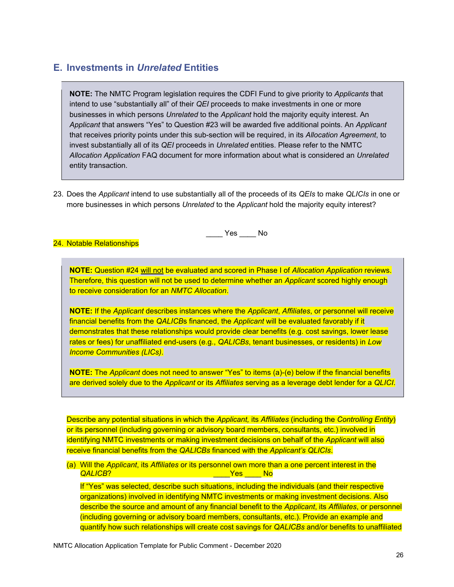### **E. Investments in** *Unrelated* **Entities**

**NOTE:** The NMTC Program legislation requires the CDFI Fund to give priority to *Applicants* that intend to use "substantially all" of their *QEI* proceeds to make investments in one or more businesses in which persons *Unrelated* to the *Applicant* hold the majority equity interest. An *Applicant* that answers "Yes" to Question #23 will be awarded five additional points. An *Applicant*  that receives priority points under this sub-section will be required, in its *Allocation Agreement*, to invest substantially all of its *QEI* proceeds in *Unrelated* entities. Please refer to the NMTC *Allocation Application* FAQ document for more information about what is considered an *Unrelated*  entity transaction.

23. Does the *Applicant* intend to use substantially all of the proceeds of its *QEIs* to make *QLICIs* in one or more businesses in which persons *Unrelated* to the *Applicant* hold the majority equity interest?

24. Notable Relationships

**NOTE:** Question #24 will not be evaluated and scored in Phase I of *Allocation Application* reviews. Therefore, this question will not be used to determine whether an *Applicant* scored highly enough to receive consideration for an *NMTC Allocation*.

\_\_\_\_ Yes \_\_\_\_ No

**NOTE:** If the *Applicant* describes instances where the *Applicant*, *Affiliates*, or personnel will receive financial benefits from the *QALICB*s financed, the *Applicant* will be evaluated favorably if it demonstrates that these relationships would provide clear benefits (e.g. cost savings, lower lease rates or fees) for unaffiliated end-users (e.g., *QALICBs*, tenant businesses, or residents) in *Low Income Communities (LICs)*.

**NOTE:** The *Applicant* does not need to answer "Yes" to items (a)-(e) below if the financial benefits are derived solely due to the *Applicant* or its *Affiliates* serving as a leverage debt lender for a *QLICI*.

Describe any potential situations in which the *Applicant,* its *Affiliates* (including the *Controlling Entity*) or its personnel (including governing or advisory board members, consultants, etc.) involved in identifying NMTC investments or making investment decisions on behalf of the *Applicant* will also receive financial benefits from the *QALICBs* financed with the *Applicant's QLICIs*.

 *QALICB*? \_\_\_\_Yes \_\_\_\_ No (a) Will the *Applicant*, its *Affiliates* or its personnel own more than a one percent interest in the

If "Yes" was selected, describe such situations, including the individuals (and their respective organizations) involved in identifying NMTC investments or making investment decisions. Also describe the source and amount of any financial benefit to the *Applicant*, its *Affiliates*, or personnel (including governing or advisory board members, consultants, etc.). Provide an example and quantify how such relationships will create cost savings for *QALICBs* and/or benefits to unaffiliated

NMTC Allocation Application Template for Public Comment - December 2020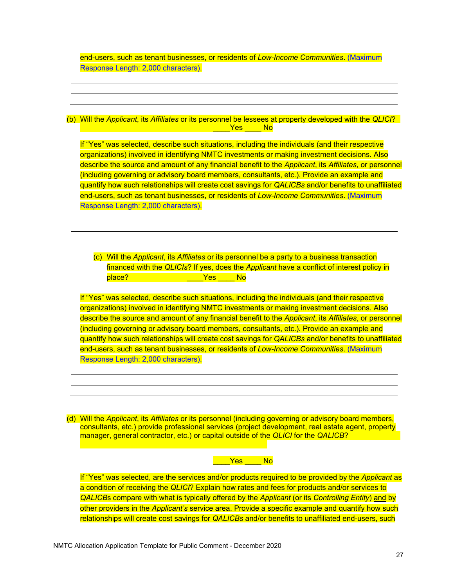end-users, such as tenant businesses, or residents of *Low-Income Communities*. (Maximum Response Length: 2,000 characters).

 \_\_\_\_Yes \_\_\_\_ No (b) Will the *Applicant*, its *Affiliates* or its personnel be lessees at property developed with the *QLICI*?

If "Yes" was selected, describe such situations, including the individuals (and their respective organizations) involved in identifying NMTC investments or making investment decisions. Also describe the source and amount of any financial benefit to the *Applicant*, its *Affiliates*, or personnel (including governing or advisory board members, consultants, etc.). Provide an example and quantify how such relationships will create cost savings for *QALICBs* and/or benefits to unaffiliated end-users, such as tenant businesses, or residents of *Low-Income Communities*. (Maximum Response Length: 2,000 characters).

place? \_\_\_\_\_\_\_\_\_\_\_\_\_\_\_\_\_\_\_\_Yes \_\_\_\_\_ No (c) Will the *Applicant*, its *Affiliates* or its personnel be a party to a business transaction financed with the *QLICIs*? If yes, does the *Applicant* have a conflict of interest policy in

If "Yes" was selected, describe such situations, including the individuals (and their respective organizations) involved in identifying NMTC investments or making investment decisions. Also describe the source and amount of any financial benefit to the *Applicant*, its *Affiliates*, or personnel (including governing or advisory board members, consultants, etc.). Provide an example and quantify how such relationships will create cost savings for *QALICBs* and/or benefits to unaffiliated end-users, such as tenant businesses, or residents of *Low-Income Communities*. (Maximum Response Length: 2,000 characters).

(d) Will the *Applicant*, its *Affiliates* or its personnel (including governing or advisory board members, consultants, etc.) provide professional services (project development, real estate agent, property manager, general contractor, etc.) or capital outside of the *QLICI* for the *QALICB*?

\_\_\_\_Yes \_\_\_\_ No

If "Yes" was selected, are the services and/or products required to be provided by the *Applicant* as a condition of receiving the *QLICI*? Explain how rates and fees for products and/or services to *QALICB*s compare with what is typically offered by the *Applicant* (or its *Controlling Entity*) and by other providers in the *Applicant's* service area. Provide a specific example and quantify how such relationships will create cost savings for *QALICBs* and/or benefits to unaffiliated end-users, such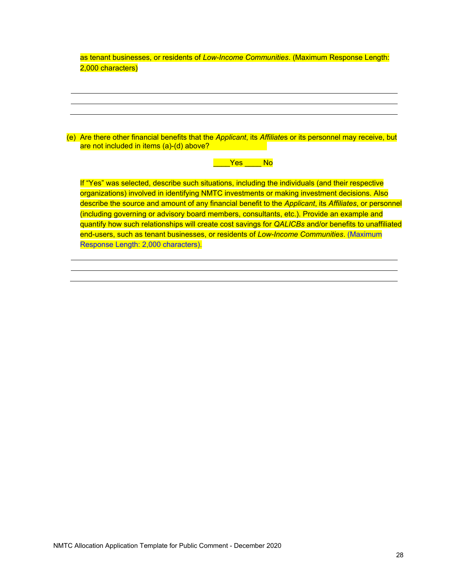| as tenant businesses, or residents of Low-Income Communities. (Maximum Response Length: |  |  |  |
|-----------------------------------------------------------------------------------------|--|--|--|
| 2,000 characters)                                                                       |  |  |  |

| (e) Are there other financial benefits that the <i>Applicant</i> , its <i>Affiliate</i> s or its personnel may receive, but |  |  |
|-----------------------------------------------------------------------------------------------------------------------------|--|--|
| are not included in items (a)-(d) above?                                                                                    |  |  |

### are <mark>Yes \_\_\_\_ No</mark>

If "Yes" was selected, describe such situations, including the individuals (and their respective organizations) involved in identifying NMTC investments or making investment decisions. Also describe the source and amount of any financial benefit to the *Applicant*, its *Affiliates*, or personnel (including governing or advisory board members, consultants, etc.). Provide an example and quantify how such relationships will create cost savings for *QALICBs* and/or benefits to unaffiliated end-users, such as tenant businesses, or residents of *Low-Income Communities*. (Maximum Response Length: 2,000 characters).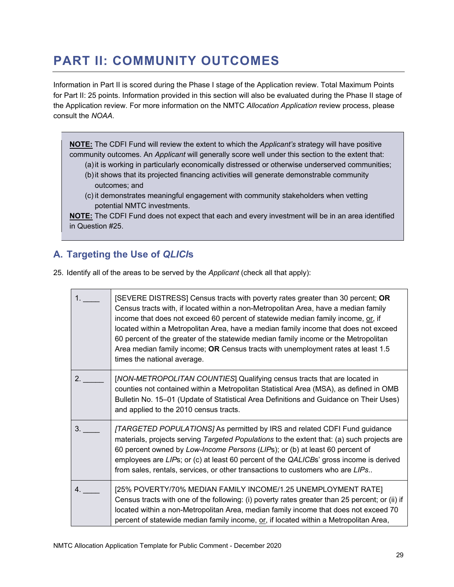# **PART II: COMMUNITY OUTCOMES**

Information in Part II is scored during the Phase I stage of the Application review. Total Maximum Points for Part II: 25 points. Information provided in this section will also be evaluated during the Phase II stage of the Application review. For more information on the NMTC *Allocation Application* review process, please consult the *NOAA*.

**NOTE:** The CDFI Fund will review the extent to which the *Applicant's* strategy will have positive community outcomes. An *Applicant* will generally score well under this section to the extent that:

- (a)it is working in particularly economically distressed or otherwise underserved communities;
- (b)it shows that its projected financing activities will generate demonstrable community outcomes; and
- (c) it demonstrates meaningful engagement with community stakeholders when vetting potential NMTC investments.

**NOTE:** The CDFI Fund does not expect that each and every investment will be in an area identified in Question #25.

## **A. Targeting the Use of** *QLICI***s**

25. Identify all of the areas to be served by the *Applicant* (check all that apply):

| 1 <sup>1</sup> | [SEVERE DISTRESS] Census tracts with poverty rates greater than 30 percent; OR<br>Census tracts with, if located within a non-Metropolitan Area, have a median family<br>income that does not exceed 60 percent of statewide median family income, or, if<br>located within a Metropolitan Area, have a median family income that does not exceed<br>60 percent of the greater of the statewide median family income or the Metropolitan<br>Area median family income; OR Census tracts with unemployment rates at least 1.5<br>times the national average. |
|----------------|-------------------------------------------------------------------------------------------------------------------------------------------------------------------------------------------------------------------------------------------------------------------------------------------------------------------------------------------------------------------------------------------------------------------------------------------------------------------------------------------------------------------------------------------------------------|
| 2.             | [NON-METROPOLITAN COUNTIES] Qualifying census tracts that are located in<br>counties not contained within a Metropolitan Statistical Area (MSA), as defined in OMB<br>Bulletin No. 15-01 (Update of Statistical Area Definitions and Guidance on Their Uses)<br>and applied to the 2010 census tracts.                                                                                                                                                                                                                                                      |
| 3.             | [TARGETED POPULATIONS] As permitted by IRS and related CDFI Fund guidance<br>materials, projects serving Targeted Populations to the extent that: (a) such projects are<br>60 percent owned by Low-Income Persons (LIPs); or (b) at least 60 percent of<br>employees are LIPs; or (c) at least 60 percent of the QALICBs' gross income is derived<br>from sales, rentals, services, or other transactions to customers who are LIPs                                                                                                                         |
| 4.             | [25% POVERTY/70% MEDIAN FAMILY INCOME/1.25 UNEMPLOYMENT RATE]<br>Census tracts with one of the following: (i) poverty rates greater than 25 percent; or (ii) if<br>located within a non-Metropolitan Area, median family income that does not exceed 70<br>percent of statewide median family income, or, if located within a Metropolitan Area,                                                                                                                                                                                                            |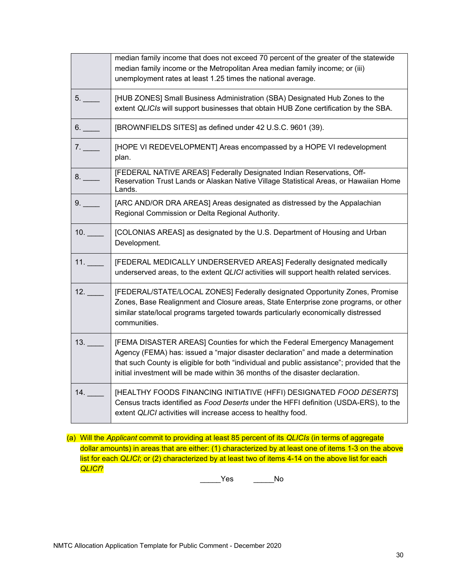|     | median family income that does not exceed 70 percent of the greater of the statewide<br>median family income or the Metropolitan Area median family income; or (iii)<br>unemployment rates at least 1.25 times the national average.                                                                                                           |
|-----|------------------------------------------------------------------------------------------------------------------------------------------------------------------------------------------------------------------------------------------------------------------------------------------------------------------------------------------------|
| 5.  | [HUB ZONES] Small Business Administration (SBA) Designated Hub Zones to the<br>extent QLICIs will support businesses that obtain HUB Zone certification by the SBA.                                                                                                                                                                            |
| 6.  | [BROWNFIELDS SITES] as defined under 42 U.S.C. 9601 (39).                                                                                                                                                                                                                                                                                      |
| 7.  | [HOPE VI REDEVELOPMENT] Areas encompassed by a HOPE VI redevelopment<br>plan.                                                                                                                                                                                                                                                                  |
| 8.  | [FEDERAL NATIVE AREAS] Federally Designated Indian Reservations, Off-<br>Reservation Trust Lands or Alaskan Native Village Statistical Areas, or Hawaiian Home<br>Lands.                                                                                                                                                                       |
| 9.  | [ARC AND/OR DRA AREAS] Areas designated as distressed by the Appalachian<br>Regional Commission or Delta Regional Authority.                                                                                                                                                                                                                   |
| 10. | [COLONIAS AREAS] as designated by the U.S. Department of Housing and Urban<br>Development.                                                                                                                                                                                                                                                     |
| 11. | [FEDERAL MEDICALLY UNDERSERVED AREAS] Federally designated medically<br>underserved areas, to the extent QLICI activities will support health related services.                                                                                                                                                                                |
| 12. | [FEDERAL/STATE/LOCAL ZONES] Federally designated Opportunity Zones, Promise<br>Zones, Base Realignment and Closure areas, State Enterprise zone programs, or other<br>similar state/local programs targeted towards particularly economically distressed<br>communities.                                                                       |
| 13. | [FEMA DISASTER AREAS] Counties for which the Federal Emergency Management<br>Agency (FEMA) has: issued a "major disaster declaration" and made a determination<br>that such County is eligible for both "individual and public assistance"; provided that the<br>initial investment will be made within 36 months of the disaster declaration. |
| 14. | [HEALTHY FOODS FINANCING INITIATIVE (HFFI) DESIGNATED FOOD DESERTS]<br>Census tracts identified as Food Deserts under the HFFI definition (USDA-ERS), to the<br>extent QLICI activities will increase access to healthy food.                                                                                                                  |

(a) Will the *Applicant* commit to providing at least 85 percent of its *QLICIs* (in terms of aggregate dollar amounts) in areas that are either: (1) characterized by at least one of items 1-3 on the above list for each *QLICI*; or (2) characterized by at least two of items 4-14 on the above list for each *QLICI*?

\_\_\_\_\_Yes \_\_\_\_\_No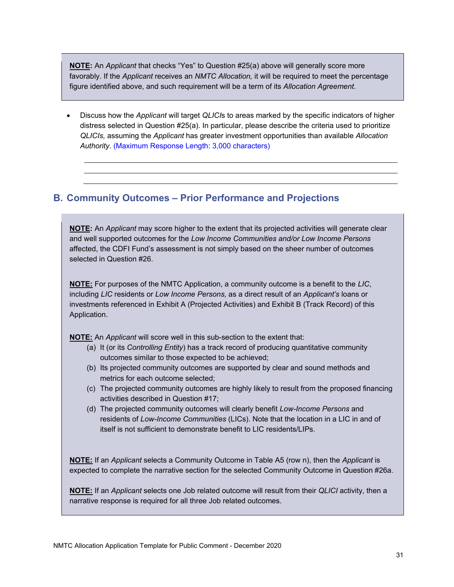**NOTE:** An *Applicant* that checks "Yes" to Question #25(a) above will generally score more favorably. If the *Applicant* receives an *NMTC Allocation,* it will be required to meet the percentage figure identified above, and such requirement will be a term of its *Allocation Agreement*.

 Discuss how the *Applicant* will target *QLICI*s to areas marked by the specific indicators of higher distress selected in Question #25(a). In particular, please describe the criteria used to prioritize *QLICIs,* assuming the *Applicant* has greater investment opportunities than available *Allocation Authority*. (Maximum Response Length: 3,000 characters)

### **B. Community Outcomes – Prior Performance and Projections**

**NOTE:** An *Applicant* may score higher to the extent that its projected activities will generate clear and well supported outcomes for the *Low Income Communities and/or Low Income Persons*  affected, the CDFI Fund's assessment is not simply based on the sheer number of outcomes selected in Question #26.

**NOTE:** For purposes of the NMTC Application, a community outcome is a benefit to the *LIC*, including *LIC* residents or *Low Income Persons,* as a direct result of an *Applicant's* loans or investments referenced in Exhibit A (Projected Activities) and Exhibit B (Track Record) of this Application.

**NOTE:** An *Applicant* will score well in this sub-section to the extent that:

- (a) It (or its *Controlling Entity*) has a track record of producing quantitative community outcomes similar to those expected to be achieved;
- (b) Its projected community outcomes are supported by clear and sound methods and metrics for each outcome selected;
- (c) The projected community outcomes are highly likely to result from the proposed financing activities described in Question #17;
- (d) The projected community outcomes will clearly benefit *Low-Income Persons* and residents of *Low-Income Communities* (LICs). Note that the location in a LIC in and of itself is not sufficient to demonstrate benefit to LIC residents/LIPs.

**NOTE:** If an *Applicant* selects a Community Outcome in Table A5 (row n), then the *Applicant* is expected to complete the narrative section for the selected Community Outcome in Question #26a.

**NOTE:** If an *Applicant* selects one Job related outcome will result from their *QLICI* activity, then a narrative response is required for all three Job related outcomes.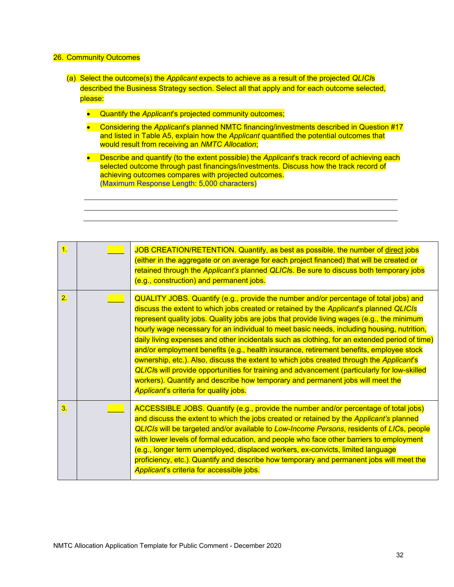### 26. Community Outcomes

- (a) Select the outcome(s) the *Applicant* expects to achieve as a result of the projected *QLICI*s described the Business Strategy section. Select all that apply and for each outcome selected, please:
	- **Quantify the Applicant's projected community outcomes;**
	- Considering the *Applicant*'s planned NMTC financing/investments described in Question #17 and listed in Table A5, explain how the *Applicant* quantified the potential outcomes that would result from receiving an *NMTC Allocation*;
	- **•** Describe and quantify (to the extent possible) the *Applicant's* track record of achieving each selected outcome through past financings/investments. Discuss how the track record of achieving outcomes compares with projected outcomes. (Maximum Response Length: 5,000 characters)

| $\overline{1}$   | JOB CREATION/RETENTION. Quantify, as best as possible, the number of direct jobs<br>(either in the aggregate or on average for each project financed) that will be created or<br>retained through the Applicant's planned QLICIs. Be sure to discuss both temporary jobs<br>(e.g., construction) and permanent jobs.                                                                                                                                                                                                                                                                                                                                                                                                                                                                                                                                                                                   |
|------------------|--------------------------------------------------------------------------------------------------------------------------------------------------------------------------------------------------------------------------------------------------------------------------------------------------------------------------------------------------------------------------------------------------------------------------------------------------------------------------------------------------------------------------------------------------------------------------------------------------------------------------------------------------------------------------------------------------------------------------------------------------------------------------------------------------------------------------------------------------------------------------------------------------------|
| $\overline{2}$ . | QUALITY JOBS. Quantify (e.g., provide the number and/or percentage of total jobs) and<br>discuss the extent to which jobs created or retained by the Applicant's planned QLICIs<br>represent quality jobs. Quality jobs are jobs that provide living wages (e.g., the minimum<br>hourly wage necessary for an individual to meet basic needs, including housing, nutrition,<br>daily living expenses and other incidentals such as clothing, for an extended period of time)<br>and/or employment benefits (e.g., health insurance, retirement benefits, employee stock<br>ownership, etc.). Also, discuss the extent to which jobs created through the Applicant's<br><b>QLICIs will provide opportunities for training and advancement (particularly for low-skilled</b><br>workers). Quantify and describe how temporary and permanent jobs will meet the<br>Applicant's criteria for quality jobs. |
| 3.               | ACCESSIBLE JOBS. Quantify (e.g., provide the number and/or percentage of total jobs)<br>and discuss the extent to which the jobs created or retained by the Applicant's planned<br>QLICIs will be targeted and/or available to Low-Income Persons, residents of LICs, people<br>with lower levels of formal education, and people who face other barriers to employment<br>(e.g., longer term unemployed, displaced workers, ex-convicts, limited language<br>proficiency, etc.). Quantify and describe how temporary and permanent jobs will meet the<br>Applicant's criteria for accessible jobs.                                                                                                                                                                                                                                                                                                    |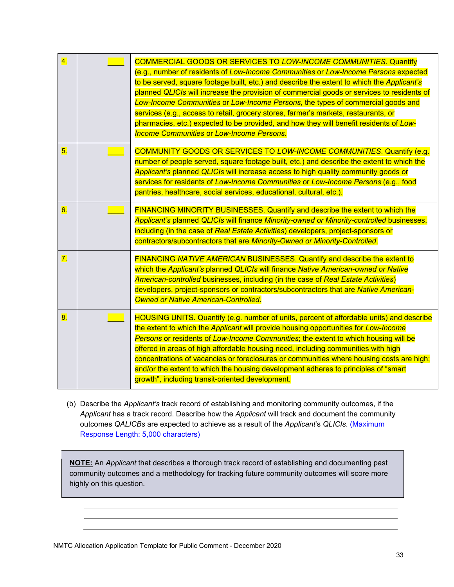| $\overline{4}$ .          | <b>COMMERCIAL GOODS OR SERVICES TO LOW-INCOME COMMUNITIES. Quantify</b><br>(e.g., number of residents of Low-Income Communities or Low-Income Persons expected<br>to be served, square footage built, etc.) and describe the extent to which the Applicant's<br>planned QLICIs will increase the provision of commercial goods or services to residents of<br>Low-Income Communities or Low-Income Persons, the types of commercial goods and<br>services (e.g., access to retail, grocery stores, farmer's markets, restaurants, or<br>pharmacies, etc.) expected to be provided, and how they will benefit residents of Low-<br><b>Income Communities or Low-Income Persons.</b> |
|---------------------------|------------------------------------------------------------------------------------------------------------------------------------------------------------------------------------------------------------------------------------------------------------------------------------------------------------------------------------------------------------------------------------------------------------------------------------------------------------------------------------------------------------------------------------------------------------------------------------------------------------------------------------------------------------------------------------|
| 5.                        | <b>COMMUNITY GOODS OR SERVICES TO LOW-INCOME COMMUNITIES. Quantify (e.g.</b><br>number of people served, square footage built, etc.) and describe the extent to which the<br>Applicant's planned QLICIs will increase access to high quality community goods or<br>services for residents of Low-Income Communities or Low-Income Persons (e.g., food<br>pantries, healthcare, social services, educational, cultural, etc.).                                                                                                                                                                                                                                                      |
| 6.                        | FINANCING MINORITY BUSINESSES. Quantify and describe the extent to which the<br>Applicant's planned QLICIs will finance Minority-owned or Minority-controlled businesses,<br>including (in the case of Real Estate Activities) developers, project-sponsors or<br>contractors/subcontractors that are Minority-Owned or Minority-Controlled.                                                                                                                                                                                                                                                                                                                                       |
| $\overline{7}$ .          | FINANCING NATIVE AMERICAN BUSINESSES. Quantify and describe the extent to<br>which the Applicant's planned QLICIs will finance Native American-owned or Native<br>American-controlled businesses, including (in the case of Real Estate Activities)<br>developers, project-sponsors or contractors/subcontractors that are Native American-<br>Owned or Native American-Controlled.                                                                                                                                                                                                                                                                                                |
| $\overline{\mathbf{8}}$ . | HOUSING UNITS. Quantify (e.g. number of units, percent of affordable units) and describe<br>the extent to which the Applicant will provide housing opportunities for Low-Income<br>Persons or residents of Low-Income Communities; the extent to which housing will be<br>offered in areas of high affordable housing need, including communities with high<br>concentrations of vacancies or foreclosures or communities where housing costs are high;<br>and/or the extent to which the housing development adheres to principles of "smart<br>growth", including transit-oriented development.                                                                                  |

(b) Describe the *Applicant's* track record of establishing and monitoring community outcomes, if the *Applicant* has a track record. Describe how the *Applicant* will track and document the community outcomes *QALICBs* are expected to achieve as a result of the *Applicant*'s *QLICIs*. (Maximum Response Length: 5,000 characters)

**NOTE:** An *Applicant* that describes a thorough track record of establishing and documenting past community outcomes and a methodology for tracking future community outcomes will score more highly on this question.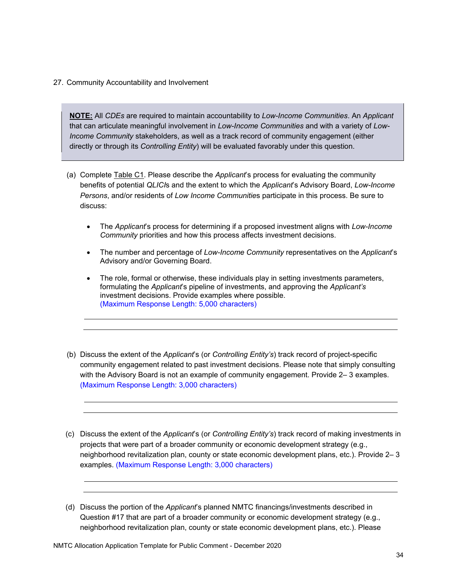### 27. Community Accountability and Involvement

**NOTE:** All *CDEs* are required to maintain accountability to *Low-Income Communities*. An *Applicant*  that can articulate meaningful involvement in *Low-Income Communities* and with a variety of *Low-Income Community* stakeholders, as well as a track record of community engagement (either directly or through its *Controlling Entity*) will be evaluated favorably under this question.

- discuss: (a) Complete Table C1. Please describe the *Applicant*'s process for evaluating the community benefits of potential *QLICI*s and the extent to which the *Applicant*'s Advisory Board, *Low-Income Persons*, and/or residents of *Low Income Communitie*s participate in this process. Be sure to
	- *Community* priorities and how this process affects investment decisions. The *Applicant*'s process for determining if a proposed investment aligns with *Low-Income*
	- The number and percentage of *Low-Income Community* representatives on the *Applicant*'s Advisory and/or Governing Board.
	- The role, formal or otherwise, these individuals play in setting investments parameters, formulating the *Applicant*'s pipeline of investments, and approving the *Applicant's*  investment decisions. Provide examples where possible. (Maximum Response Length: 5,000 characters)
- (b) Discuss the extent of the *Applicant*'s (or *Controlling Entity's*) track record of project-specific community engagement related to past investment decisions. Please note that simply consulting with the Advisory Board is not an example of community engagement. Provide 2– 3 examples. (Maximum Response Length: 3,000 characters)
- (c) Discuss the extent of the *Applicant*'s (or *Controlling Entity's*) track record of making investments in projects that were part of a broader community or economic development strategy (e.g., neighborhood revitalization plan, county or state economic development plans, etc.). Provide 2– 3 examples. (Maximum Response Length: 3,000 characters)

<sup>(</sup>d) Discuss the portion of the *Applicant*'s planned NMTC financings/investments described in Question #17 that are part of a broader community or economic development strategy (e.g., neighborhood revitalization plan, county or state economic development plans, etc.). Please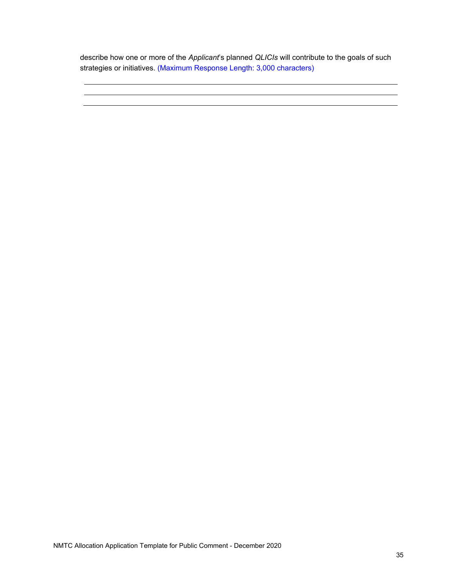describe how one or more of the *Applicant*'s planned *QLICIs* will contribute to the goals of such strategies or initiatives. (Maximum Response Length: 3,000 characters)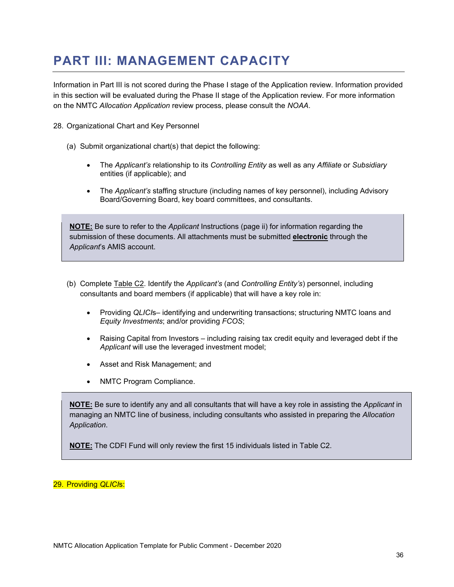## **PART III: MANAGEMENT CAPACITY**

Information in Part III is not scored during the Phase I stage of the Application review. Information provided in this section will be evaluated during the Phase II stage of the Application review. For more information on the NMTC *Allocation Application* review process, please consult the *NOAA*.

- 28. Organizational Chart and Key Personnel
	- (a) Submit organizational chart(s) that depict the following:
		- The *Applicant's* relationship to its *Controlling Entity* as well as any *Affiliate* or *Subsidiary*  entities (if applicable); and
		- The *Applicant's* staffing structure (including names of key personnel), including Advisory Board/Governing Board, key board committees, and consultants.

**NOTE:** Be sure to refer to the *Applicant* Instructions (page ii) for information regarding the submission of these documents. All attachments must be submitted **electronic** through the *Applicant*'s AMIS account.

- (b) Complete Table C2. Identify the *Applicant's* (and *Controlling Entity's*) personnel, including consultants and board members (if applicable) that will have a key role in:
	- Providing *QLICI*s– identifying and underwriting transactions; structuring NMTC loans and *Equity Investments*; and/or providing *FCOS*;
	- Raising Capital from Investors including raising tax credit equity and leveraged debt if the *Applicant* will use the leveraged investment model;
	- Asset and Risk Management; and
	- NMTC Program Compliance.

**NOTE:** Be sure to identify any and all consultants that will have a key role in assisting the *Applicant* in managing an NMTC line of business, including consultants who assisted in preparing the *Allocation Application*.

**NOTE:** The CDFI Fund will only review the first 15 individuals listed in Table C2.

#### 29. Providing *QLICI*s: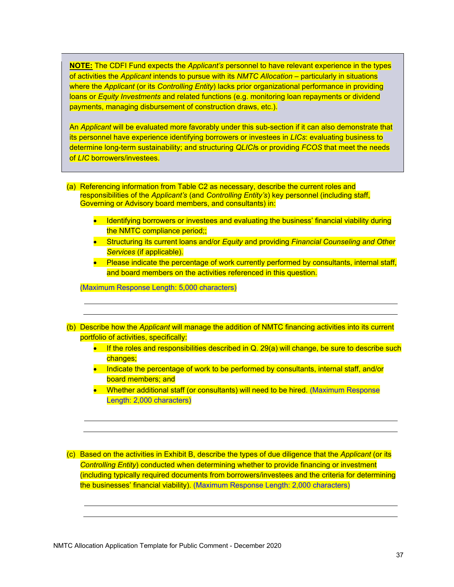**NOTE:** The CDFI Fund expects the *Applicant's* personnel to have relevant experience in the types of activities the *Applicant* intends to pursue with its *NMTC Allocation* – particularly in situations where the *Applicant* (or its *Controlling Entity*) lacks prior organizational performance in providing loans or *Equity Investments* and related functions (e.g. monitoring loan repayments or dividend payments, managing disbursement of construction draws, etc.).

An *Applicant* will be evaluated more favorably under this sub-section if it can also demonstrate that its personnel have experience identifying borrowers or investees in *LICs*: evaluating business to determine long-term sustainability; and structuring *QLICI*s or providing *FCOS* that meet the needs of *LIC* borrowers/investees.

(a) Referencing information from Table C2 as necessary, describe the current roles and responsibilities of the *Applicant's* (and *Controlling Entity's*) key personnel (including staff, Governing or Advisory board members, and consultants) in:

- Identifying borrowers or investees and evaluating the business' financial viability during the NMTC compliance period;;
- Structuring its current loans and/or *Equity* and providing *Financial Counseling and Other Services* (if applicable).
- Please indicate the percentage of work currently performed by consultants, internal staff, and board members on the activities referenced in this question.

(Maximum Response Length: 5,000 characters)

- (b) Describe how the *Applicant* will manage the addition of NMTC financing activities into its current portfolio of activities, specifically:
	- $\bullet$  If the roles and responsibilities described in Q. 29(a) will change, be sure to describe such changes;
	- Indicate the percentage of work to be performed by consultants, internal staff, and/or board members; and
	- Whether additional staff (or consultants) will need to be hired. (Maximum Response Length: 2,000 characters)

(c) Based on the activities in Exhibit B, describe the types of due diligence that the *Applicant* (or its *Controlling Entity*) conducted when determining whether to provide financing or investment (including typically required documents from borrowers/investees and the criteria for determining the businesses' financial viability). (Maximum Response Length: 2,000 characters)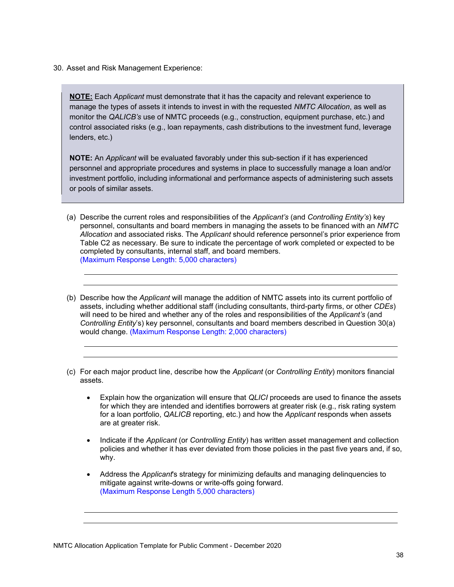30. Asset and Risk Management Experience:

**NOTE:** Each *Applicant* must demonstrate that it has the capacity and relevant experience to manage the types of assets it intends to invest in with the requested *NMTC Allocation*, as well as monitor the *QALICB's* use of NMTC proceeds (e.g., construction, equipment purchase, etc.) and control associated risks (e.g., loan repayments, cash distributions to the investment fund, leverage lenders, etc.)

**NOTE:** An *Applicant* will be evaluated favorably under this sub-section if it has experienced personnel and appropriate procedures and systems in place to successfully manage a loan and/or investment portfolio, including informational and performance aspects of administering such assets or pools of similar assets.

- (a) Describe the current roles and responsibilities of the *Applicant's* (and *Controlling Entity's*) key personnel, consultants and board members in managing the assets to be financed with an *NMTC Allocation* and associated risks. The *Applicant* should reference personnel's prior experience from Table C2 as necessary. Be sure to indicate the percentage of work completed or expected to be completed by consultants, internal staff, and board members. (Maximum Response Length: 5,000 characters)
- (b) Describe how the *Applicant* will manage the addition of NMTC assets into its current portfolio of assets, including whether additional staff (including consultants, third-party firms, or other *CDEs*) will need to be hired and whether any of the roles and responsibilities of the *Applicant's* (and *Controlling Entity*'s) key personnel, consultants and board members described in Question 30(a) would change. (Maximum Response Length: 2,000 characters)
- (c) For each major product line, describe how the *Applicant* (or *Controlling Entity*) monitors financial assets.
	- Explain how the organization will ensure that *QLICI* proceeds are used to finance the assets for which they are intended and identifies borrowers at greater risk (e.g., risk rating system for a loan portfolio, *QALICB* reporting, etc.) and how the *Applicant* responds when assets are at greater risk.
	- why. Indicate if the *Applicant* (or *Controlling Entity*) has written asset management and collection policies and whether it has ever deviated from those policies in the past five years and, if so,
	- Address the *Applicant*'s strategy for minimizing defaults and managing delinquencies to mitigate against write-downs or write-offs going forward. (Maximum Response Length 5,000 characters)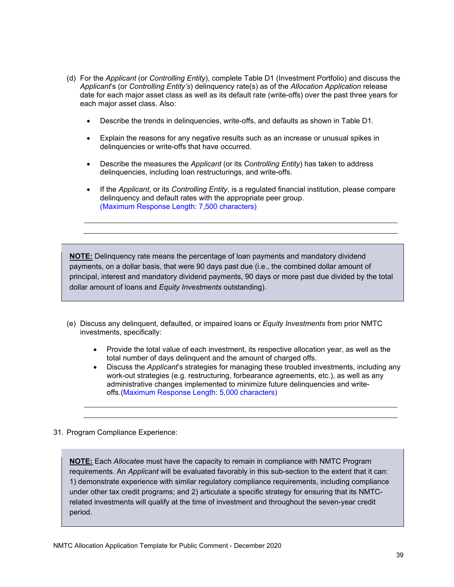- each major asset class. Also: (d) For the *Applicant* (or *Controlling Entity*), complete Table D1 (Investment Portfolio) and discuss the *Applicant*'s (or *Controlling Entity's*) delinquency rate(s) as of the *Allocation Application* release date for each major asset class as well as its default rate (write-offs) over the past three years for
	- Describe the trends in delinquencies, write-offs, and defaults as shown in Table D1.
	- Explain the reasons for any negative results such as an increase or unusual spikes in delinquencies or write-offs that have occurred.
	- Describe the measures the *Applicant* (or its *Controlling Entity*) has taken to address delinquencies, including loan restructurings, and write-offs.
	- If the *Applicant*, or its *Controlling Entity*, is a regulated financial institution, please compare delinquency and default rates with the appropriate peer group. (Maximum Response Length: 7,500 characters)

**NOTE:** Delinquency rate means the percentage of loan payments and mandatory dividend payments, on a dollar basis, that were 90 days past due (i.e., the combined dollar amount of principal, interest and mandatory dividend payments, 90 days or more past due divided by the total dollar amount of loans and *Equity Investments* outstanding).

- (e) Discuss any delinquent, defaulted, or impaired loans or *Equity Investments* from prior NMTC investments, specifically:
	- Provide the total value of each investment, its respective allocation year, as well as the total number of days delinquent and the amount of charged offs.
	- Discuss the *Applicant*'s strategies for managing these troubled investments, including any work-out strategies (e.g. restructuring, forbearance agreements, etc.), as well as any administrative changes implemented to minimize future delinquencies and writeoffs.(Maximum Response Length: 5,000 characters)
- 31. Program Compliance Experience:

**NOTE:** Each *Allocatee* must have the capacity to remain in compliance with NMTC Program requirements. An *Applicant* will be evaluated favorably in this sub-section to the extent that it can: 1) demonstrate experience with similar regulatory compliance requirements, including compliance under other tax credit programs; and 2) articulate a specific strategy for ensuring that its NMTCrelated investments will qualify at the time of investment and throughout the seven-year credit period.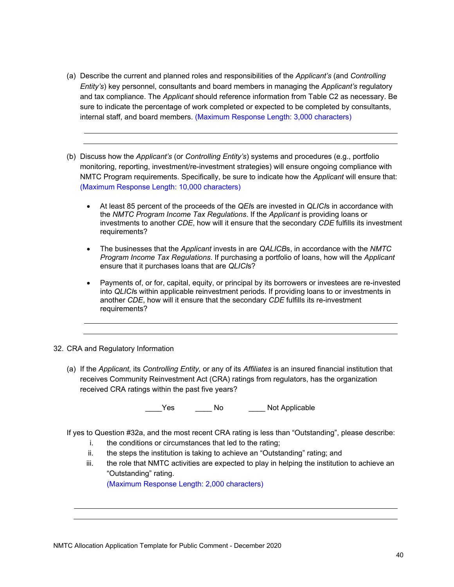- (a) Describe the current and planned roles and responsibilities of the *Applicant's* (and *Controlling Entity's*) key personnel, consultants and board members in managing the *Applicant's* regulatory and tax compliance. The *Applicant* should reference information from Table C2 as necessary. Be sure to indicate the percentage of work completed or expected to be completed by consultants, internal staff, and board members. (Maximum Response Length: 3,000 characters)
- (b) Discuss how the *Applicant's* (or *Controlling Entity's*) systems and procedures (e.g., portfolio monitoring, reporting, investment/re-investment strategies) will ensure ongoing compliance with NMTC Program requirements. Specifically, be sure to indicate how the *Applicant* will ensure that: (Maximum Response Length: 10,000 characters)
	- At least 85 percent of the proceeds of the *QEI*s are invested in *QLICI*s in accordance with the *NMTC Program Income Tax Regulations*. If the *Applicant* is providing loans or investments to another *CDE*, how will it ensure that the secondary *CDE* fulfills its investment requirements?
	- The businesses that the *Applicant* invests in are *QALICB*s, in accordance with the *NMTC Program Income Tax Regulations*. If purchasing a portfolio of loans, how will the *Applicant*  ensure that it purchases loans that are *QLICI*s?
	- Payments of, or for, capital, equity, or principal by its borrowers or investees are re-invested into *QLICI*s within applicable reinvestment periods. If providing loans to or investments in another *CDE*, how will it ensure that the secondary *CDE* fulfills its re-investment requirements?

#### 32. CRA and Regulatory Information

(a) If the *Applicant,* its *Controlling Entity,* or any of its *Affiliates* is an insured financial institution that receives Community Reinvestment Act (CRA) ratings from regulators, has the organization received CRA ratings within the past five years?

Yes Mo No Not Applicable

If yes to Question #32a, and the most recent CRA rating is less than "Outstanding", please describe:

- i. the conditions or circumstances that led to the rating;
- ii. the steps the institution is taking to achieve an "Outstanding" rating; and
- iii. the role that NMTC activities are expected to play in helping the institution to achieve an "Outstanding" rating.

(Maximum Response Length: 2,000 characters)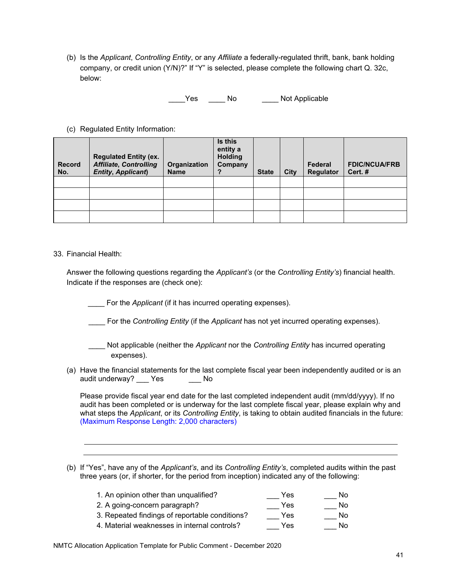(b) Is the *Applicant*, *Controlling Entity*, or any *Affiliate* a federally-regulated thrift, bank, bank holding company, or credit union (Y/N)?" If "Y" is selected, please complete the following chart Q. 32c, below:

\_\_\_\_Yes \_\_\_\_\_No \_\_\_\_\_Not Applicable

(c) Regulated Entity Information:

| <b>Record</b><br>No. | <b>Regulated Entity (ex.</b><br><b>Affiliate, Controlling</b><br><b>Entity, Applicant)</b> | Organization<br><b>Name</b> | Is this<br>entity a<br><b>Holding</b><br>Company | <b>State</b> | City | Federal<br>Regulator | <b>FDIC/NCUA/FRB</b><br>Cert.# |
|----------------------|--------------------------------------------------------------------------------------------|-----------------------------|--------------------------------------------------|--------------|------|----------------------|--------------------------------|
|                      |                                                                                            |                             |                                                  |              |      |                      |                                |
|                      |                                                                                            |                             |                                                  |              |      |                      |                                |
|                      |                                                                                            |                             |                                                  |              |      |                      |                                |
|                      |                                                                                            |                             |                                                  |              |      |                      |                                |

33. Financial Health:

Answer the following questions regarding the *Applicant's* (or the *Controlling Entity's*) financial health. Indicate if the responses are (check one):

For the *Applicant* (if it has incurred operating expenses).

\_\_\_\_ For the *Controlling Entity* (if the *Applicant* has not yet incurred operating expenses).

- \_\_\_\_ Not applicable (neither the *Applicant* nor the *Controlling Entity* has incurred operating expenses).
- (a) Have the financial statements for the last complete fiscal year been independently audited or is an audit underway? \_\_\_ Yes \_\_\_\_\_\_ No

Please provide fiscal year end date for the last completed independent audit (mm/dd/yyyy). If no audit has been completed or is underway for the last complete fiscal year, please explain why and what steps the *Applicant*, or its *Controlling Entity*, is taking to obtain audited financials in the future: (Maximum Response Length: 2,000 characters)

(b) If "Yes", have any of the *Applicant's*, and its *Controlling Entity's*, completed audits within the past three years (or, if shorter, for the period from inception) indicated any of the following:

| 1. An opinion other than unqualified?          | Yes | No. |
|------------------------------------------------|-----|-----|
| 2. A going-concern paragraph?                  | Yes | No. |
| 3. Repeated findings of reportable conditions? | Yes | No. |
| 4. Material weaknesses in internal controls?   | Yes | No. |
|                                                |     |     |

NMTC Allocation Application Template for Public Comment - December 2020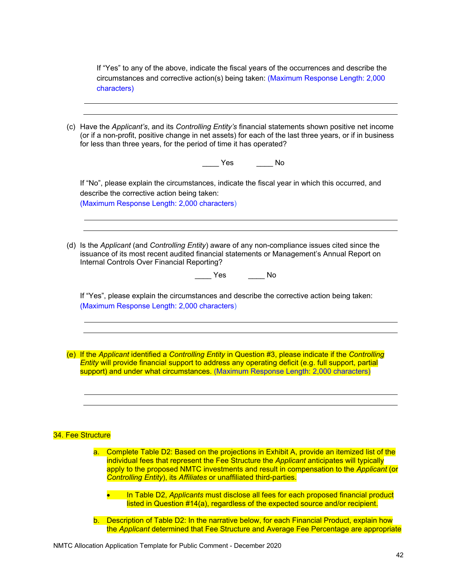If "Yes" to any of the above, indicate the fiscal years of the occurrences and describe the circumstances and corrective action(s) being taken: (Maximum Response Length: 2,000 characters)

| (or if a non-profit, positive change in net assets) for each of the last three years, or if in business<br>for less than three years, for the period of time it has operated?<br>___ Yes ___ __ No                                                                                                         |
|------------------------------------------------------------------------------------------------------------------------------------------------------------------------------------------------------------------------------------------------------------------------------------------------------------|
| If "No", please explain the circumstances, indicate the fiscal year in which this occurred, and<br>describe the corrective action being taken:<br>(Maximum Response Length: 2,000 characters)                                                                                                              |
| (d) Is the Applicant (and Controlling Entity) aware of any non-compliance issues cited since the<br>issuance of its most recent audited financial statements or Management's Annual Report on<br>Internal Controls Over Financial Reporting?<br>$\overline{\phantom{a}}$ No<br><b>Parage Yes</b>           |
| If "Yes", please explain the circumstances and describe the corrective action being taken:<br>(Maximum Response Length: 2,000 characters)                                                                                                                                                                  |
|                                                                                                                                                                                                                                                                                                            |
| (e) If the Applicant identified a Controlling Entity in Question #3, please indicate if the Controlling<br><b>Entity will provide financial support to address any operating deficit (e.g. full support, partial</b><br>support) and under what circumstances. (Maximum Response Length: 2,000 characters) |
| 34. Fee Structure                                                                                                                                                                                                                                                                                          |

b. Description of Table D2: In the narrative below, for each Financial Product, explain how the *Applicant* determined that Fee Structure and Average Fee Percentage are appropriate

listed in Question #14(a), regardless of the expected source and/or recipient.

NMTC Allocation Application Template for Public Comment - December 2020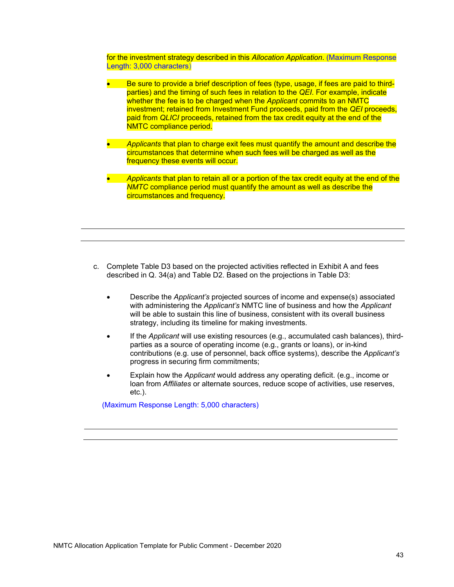for the investment strategy described in this *Allocation Application*. (Maximum Response Length: 3,000 characters)

- Be sure to provide a brief description of fees (type, usage, if fees are paid to thirdparties) and the timing of such fees in relation to the *QEI*. For example, indicate whether the fee is to be charged when the *Applicant* commits to an NMTC investment; retained from Investment Fund proceeds, paid from the *QEI* proceeds, paid from *QLICI* proceeds, retained from the tax credit equity at the end of the NMTC compliance period.
- *Applicants* that plan to charge exit fees must quantify the amount and describe the circumstances that determine when such fees will be charged as well as the frequency these events will occur.
- *Applicants* that plan to retain all or a portion of the tax credit equity at the end of the *NMTC* compliance period must quantify the amount as well as describe the circumstances and frequency.

- c. Complete Table D3 based on the projected activities reflected in Exhibit A and fees described in Q. 34(a) and Table D2. Based on the projections in Table D3:
	- Describe the *Applicant's* projected sources of income and expense(s) associated with administering the *Applicant's* NMTC line of business and how the *Applicant*  will be able to sustain this line of business, consistent with its overall business strategy, including its timeline for making investments.
	- If the *Applicant* will use existing resources (e.g., accumulated cash balances), thirdparties as a source of operating income (e.g., grants or loans), or in-kind contributions (e.g. use of personnel, back office systems), describe the *Applicant's*  progress in securing firm commitments;
	- Explain how the *Applicant* would address any operating deficit. (e.g., income or loan from *Affiliates* or alternate sources, reduce scope of activities, use reserves, etc.).

(Maximum Response Length: 5,000 characters)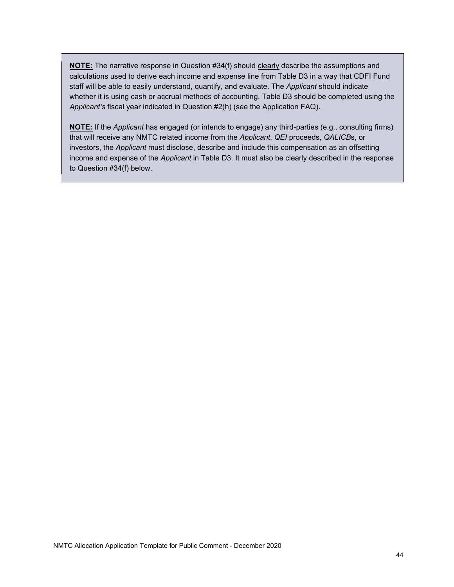**NOTE:** The narrative response in Question #34(f) should clearly describe the assumptions and calculations used to derive each income and expense line from Table D3 in a way that CDFI Fund staff will be able to easily understand, quantify, and evaluate. The *Applicant* should indicate whether it is using cash or accrual methods of accounting. Table D3 should be completed using the *Applicant's* fiscal year indicated in Question #2(h) (see the Application FAQ).

**NOTE:** If the *Applicant* has engaged (or intends to engage) any third-parties (e.g., consulting firms) that will receive any NMTC related income from the *Applicant*, *QEI* proceeds, *QALICB*s, or investors, the *Applicant* must disclose, describe and include this compensation as an offsetting income and expense of the *Applicant* in Table D3. It must also be clearly described in the response to Question #34(f) below.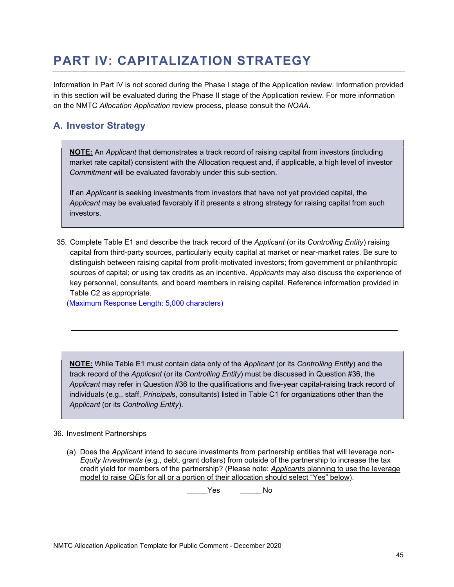# **PART IV: CAPITALIZATION STRATEGY**

Information in Part IV is not scored during the Phase I stage of the Application review. Information provided in this section will be evaluated during the Phase II stage of the Application review. For more information on the NMTC *Allocation Application* review process, please consult the *NOAA*.

## **A. Investor Strategy**

**NOTE:** An *Applicant* that demonstrates a track record of raising capital from investors (including market rate capital) consistent with the Allocation request and, if applicable, a high level of investor *Commitment* will be evaluated favorably under this sub-section.

If an *Applicant* is seeking investments from investors that have not yet provided capital, the *Applicant* may be evaluated favorably if it presents a strong strategy for raising capital from such investors.

35. Complete Table E1 and describe the track record of the *Applicant* (or its *Controlling Entity*) raising capital from third-party sources, particularly equity capital at market or near-market rates. Be sure to distinguish between raising capital from profit-motivated investors; from government or philanthropic sources of capital; or using tax credits as an incentive. *Applicants* may also discuss the experience of key personnel, consultants, and board members in raising capital. Reference information provided in Table C2 as appropriate.

(Maximum Response Length: 5,000 characters)

**NOTE:** While Table E1 must contain data only of the *Applicant* (or its *Controlling Entity*) and the track record of the *Applicant* (or its *Controlling Entity*) must be discussed in Question #36, the *Applicant* may refer in Question #36 to the qualifications and five-year capital-raising track record of individuals (e.g., staff, *Principal*s, consultants) listed in Table C1 for organizations other than the *Applicant* (or its *Controlling Entity*).

#### 36. Investment Partnerships

(a) Does the *Applicant* intend to secure investments from partnership entities that will leverage non-*Equity Investments* (e.g., debt, grant dollars) from outside of the partnership to increase the tax credit yield for members of the partnership? (Please note: *Applicants* planning to use the leverage model to raise *QEI*s for all or a portion of their allocation should select "Yes" below).

Yes No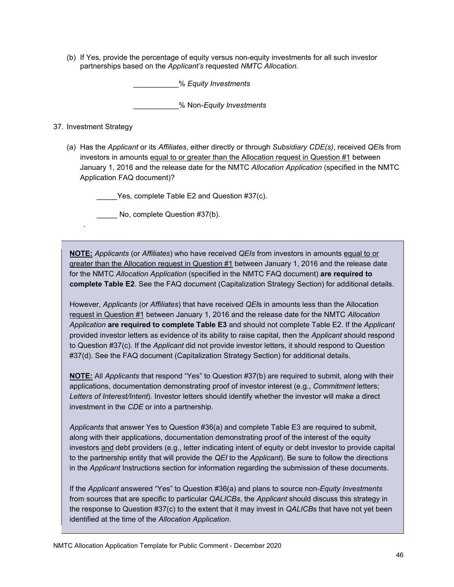(b) If Yes, provide the percentage of equity versus non-equity investments for all such investor partnerships based on the *Applicant's* requested *NMTC Allocation*.

\_\_\_\_\_\_\_\_\_\_\_% *Equity Investments* 

\_\_\_\_\_\_\_\_\_\_\_% Non-*Equity Investments* 

### 37. Investment Strategy

.

(a) Has the *Applicant* or its *Affiliates*, either directly or through *Subsidiary CDE(s)*, received *QEI*s from investors in amounts equal to or greater than the Allocation request in Question #1 between January 1, 2016 and the release date for the NMTC *Allocation Application* (specified in the NMTC Application FAQ document)?

\_\_\_\_\_Yes, complete Table E2 and Question #37(c).<br>\_\_\_\_\_ No, complete Question #37(b).

**NOTE:** *Applicants* (or *Affiliates*) who have received *QEIs* from investors in amounts equal to or greater than the Allocation request in Question #1 between January 1, 2016 and the release date for the NMTC *Allocation Application* (specified in the NMTC FAQ document) **are required to complete Table E2**. See the FAQ document (Capitalization Strategy Section) for additional details.

However, *Applicants* (or *Affiliates*) that have received *QEI*s in amounts less than the Allocation request in Question #1 between January 1, 2016 and the release date for the NMTC *Allocation Application* **are required to complete Table E3** and should not complete Table E2. If the *Applicant*  provided investor letters as evidence of its ability to raise capital, then the *Applicant* should respond to Question #37(c). If the *Applicant* did not provide investor letters, it should respond to Question #37(d). See the FAQ document (Capitalization Strategy Section) for additional details.

**NOTE:** All *Applicants* that respond "Yes" to Question #37(b) are required to submit, along with their applications, documentation demonstrating proof of investor interest (e.g., *Commitment* letters; *Letters of Interest/Intent*). Investor letters should identify whether the investor will make a direct investment in the *CDE* or into a partnership.

*Applicants* that answer Yes to Question #36(a) and complete Table E3 are required to submit, along with their applications, documentation demonstrating proof of the interest of the equity investors and debt providers (e.g., letter indicating intent of equity or debt investor to provide capital to the partnership entity that will provide the *QEI* to the *Applicant*). Be sure to follow the directions in the *Applicant* Instructions section for information regarding the submission of these documents.

If the *Applicant* answered "Yes" to Question #36(a) and plans to source non-*Equity Investments*  from sources that are specific to particular *QALICBs*, the *Applicant* should discuss this strategy in the response to Question #37(c) to the extent that it may invest in *QALICB*s that have not yet been identified at the time of the *Allocation Application*.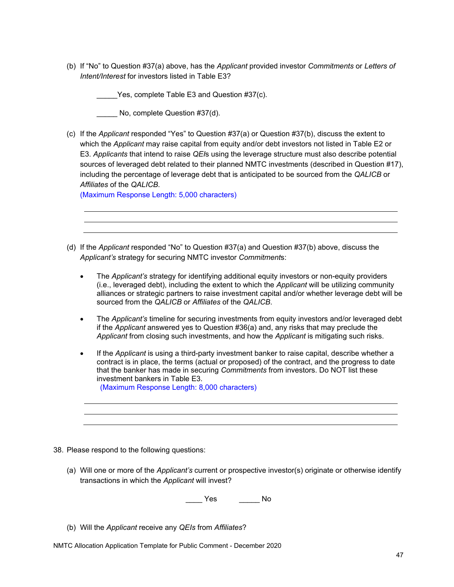(b) If "No" to Question #37(a) above, has the *Applicant* provided investor *Commitments* or *Letters of Intent/Interest* for investors listed in Table E3?

Yes, complete Table E3 and Question #37(c).

No, complete Question #37(d).

(c) If the *Applicant* responded "Yes" to Question #37(a) or Question #37(b), discuss the extent to which the *Applicant* may raise capital from equity and/or debt investors not listed in Table E2 or E3. *Applicants* that intend to raise *QEI*s using the leverage structure must also describe potential sources of leveraged debt related to their planned NMTC investments (described in Question #17), including the percentage of leverage debt that is anticipated to be sourced from the *QALICB* or *Affiliates* of the *QALICB*.

(Maximum Response Length: 5,000 characters)

- (d) If the *Applicant* responded "No" to Question #37(a) and Question #37(b) above, discuss the *Applicant's* strategy for securing NMTC investor *Commitment*s:
	- The *Applicant's* strategy for identifying additional equity investors or non-equity providers (i.e., leveraged debt), including the extent to which the *Applicant* will be utilizing community alliances or strategic partners to raise investment capital and/or whether leverage debt will be sourced from the *QALICB* or *Affiliates* of the *QALICB*.
	- The *Applicant's* timeline for securing investments from equity investors and/or leveraged debt if the *Applicant* answered yes to Question #36(a) and, any risks that may preclude the *Applicant* from closing such investments, and how the *Applicant* is mitigating such risks.
	- If the *Applicant* is using a third-party investment banker to raise capital, describe whether a contract is in place, the terms (actual or proposed) of the contract, and the progress to date that the banker has made in securing *Commitments* from investors. Do NOT list these investment bankers in Table E3. (Maximum Response Length: 8,000 characters)

38. Please respond to the following questions:

(a) Will one or more of the *Applicant's* current or prospective investor(s) originate or otherwise identify transactions in which the *Applicant* will invest?

\_\_\_\_ Yes \_\_\_\_\_ No

- (b) Will the *Applicant* receive any *QEIs* from *Affiliates*?
- NMTC Allocation Application Template for Public Comment December 2020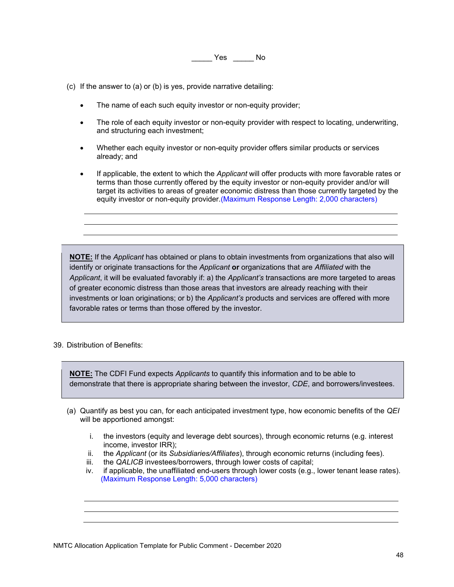\_\_\_\_\_ Yes \_\_\_\_\_ No

- (c) If the answer to (a) or (b) is yes, provide narrative detailing:
	- The name of each such equity investor or non-equity provider;
	- The role of each equity investor or non-equity provider with respect to locating, underwriting, and structuring each investment;
	- Whether each equity investor or non-equity provider offers similar products or services already; and
	- If applicable, the extent to which the *Applicant* will offer products with more favorable rates or terms than those currently offered by the equity investor or non-equity provider and/or will target its activities to areas of greater economic distress than those currently targeted by the equity investor or non-equity provider.(Maximum Response Length: 2,000 characters)

**NOTE:** If the *Applicant* has obtained or plans to obtain investments from organizations that also will identify or originate transactions for the *Applicant* **or** organizations that are *Affiliated* with the *Applicant*, it will be evaluated favorably if: a) the *Applicant's* transactions are more targeted to areas of greater economic distress than those areas that investors are already reaching with their investments or loan originations; or b) the *Applicant's* products and services are offered with more favorable rates or terms than those offered by the investor.

39. Distribution of Benefits:

**NOTE:** The CDFI Fund expects *Applicants* to quantify this information and to be able to demonstrate that there is appropriate sharing between the investor, *CDE*, and borrowers/investees.

- (a) Quantify as best you can, for each anticipated investment type, how economic benefits of the *QEI*  will be apportioned amongst:
	- i. the investors (equity and leverage debt sources), through economic returns (e.g. interest income, investor IRR);
	- ii. the *Applicant* (or its *Subsidiaries/Affiliates*), through economic returns (including fees).
	- iii. the *QALICB* investees/borrowers, through lower costs of capital;
	- iv. if applicable, the unaffiliated end-users through lower costs (e.g., lower tenant lease rates). (Maximum Response Length: 5,000 characters)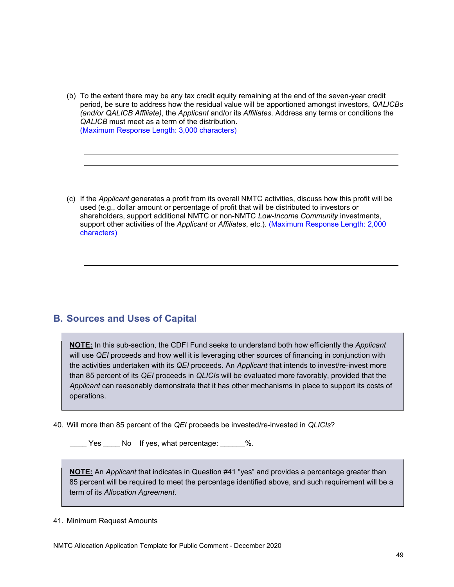(b) To the extent there may be any tax credit equity remaining at the end of the seven-year credit period, be sure to address how the residual value will be apportioned amongst investors, *QALICBs (and/or QALICB Affiliate)*, the *Applicant* and/or its *Affiliates*. Address any terms or conditions the *QALICB* must meet as a term of the distribution. (Maximum Response Length: 3,000 characters)

(c) If the *Applicant* generates a profit from its overall NMTC activities, discuss how this profit will be used (e.g., dollar amount or percentage of profit that will be distributed to investors or shareholders, support additional NMTC or non-NMTC *Low-Income Community* investments, support other activities of the *Applicant* or *Affiliates*, etc.). (Maximum Response Length: 2,000 characters)

### **B. Sources and Uses of Capital**

**NOTE:** In this sub-section, the CDFI Fund seeks to understand both how efficiently the *Applicant*  will use *QEI* proceeds and how well it is leveraging other sources of financing in conjunction with the activities undertaken with its *QEI* proceeds. An *Applicant* that intends to invest/re-invest more than 85 percent of its *QEI* proceeds in *QLICIs* will be evaluated more favorably, provided that the *Applicant* can reasonably demonstrate that it has other mechanisms in place to support its costs of operations.

40. Will more than 85 percent of the *QEI* proceeds be invested/re-invested in *QLICIs*?

Yes No If yes, what percentage: 2%.

**NOTE:** An *Applicant* that indicates in Question #41 "yes" and provides a percentage greater than 85 percent will be required to meet the percentage identified above, and such requirement will be a term of its *Allocation Agreement*.

#### 41. Minimum Request Amounts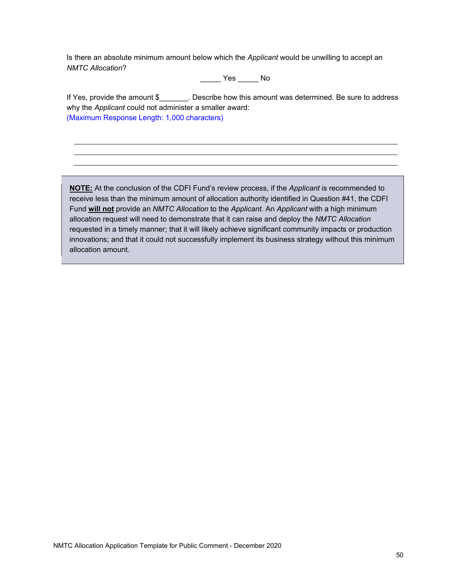Is there an absolute minimum amount below which the *Applicant* would be unwilling to accept an *NMTC Allocation*?

\_\_\_\_\_ Yes \_\_\_\_\_ No

If Yes, provide the amount \$\_\_\_\_\_\_\_. Describe how this amount was determined. Be sure to address why the *Applicant* could not administer a smaller award: (Maximum Response Length: 1,000 characters)

**NOTE:** At the conclusion of the CDFI Fund's review process, if the *Applicant* is recommended to receive less than the minimum amount of allocation authority identified in Question #41, the CDFI Fund **will not** provide an *NMTC Allocation* to the *Applicant*. An *Applicant* with a high minimum allocation request will need to demonstrate that it can raise and deploy the *NMTC Allocation*  requested in a timely manner; that it will likely achieve significant community impacts or production innovations; and that it could not successfully implement its business strategy without this minimum allocation amount.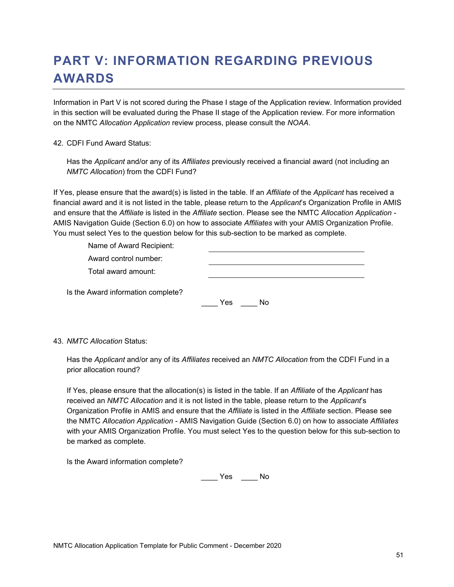# **PART V: INFORMATION REGARDING PREVIOUS AWARDS**

Information in Part V is not scored during the Phase I stage of the Application review. Information provided in this section will be evaluated during the Phase II stage of the Application review. For more information on the NMTC *Allocation Application* review process, please consult the *NOAA*.

42. CDFI Fund Award Status:

Has the *Applicant* and/or any of its *Affiliates* previously received a financial award (not including an *NMTC Allocation*) from the CDFI Fund?

If Yes, please ensure that the award(s) is listed in the table. If an *Affiliate* of the *Applicant* has received a financial award and it is not listed in the table, please return to the *Applicant*'s Organization Profile in AMIS and ensure that the *Affiliate* is listed in the *Affiliate* section. Please see the NMTC *Allocation Application -* AMIS Navigation Guide (Section 6.0) on how to associate *Affiliates* with your AMIS Organization Profile. You must select Yes to the question below for this sub-section to be marked as complete.

| Name of Award Recipient:           |           |
|------------------------------------|-----------|
| Award control number:              |           |
| Total award amount:                |           |
| Is the Award information complete? | Yes<br>Nο |

43. *NMTC Allocation* Status:

Has the *Applicant* and/or any of its *Affiliates* received an *NMTC Allocation* from the CDFI Fund in a prior allocation round?

If Yes, please ensure that the allocation(s) is listed in the table. If an *Affiliate* of the *Applicant* has received an *NMTC Allocation* and it is not listed in the table, please return to the *Applicant*'s Organization Profile in AMIS and ensure that the *Affiliate* is listed in the *Affiliate* section. Please see the NMTC *Allocation Application -* AMIS Navigation Guide (Section 6.0) on how to associate *Affiliates*  with your AMIS Organization Profile. You must select Yes to the question below for this sub-section to be marked as complete.

Is the Award information complete?

\_\_\_\_ Yes \_\_\_\_ No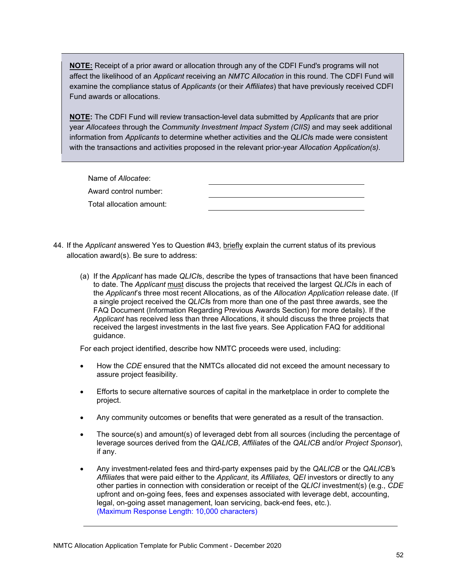**NOTE:** Receipt of a prior award or allocation through any of the CDFI Fund's programs will not affect the likelihood of an *Applicant* receiving an *NMTC Allocation* in this round. The CDFI Fund will examine the compliance status of *Applicants* (or their *Affiliates*) that have previously received CDFI Fund awards or allocations.

**NOTE:** The CDFI Fund will review transaction-level data submitted by *Applicants* that are prior year *Allocatees* through the *Community Investment Impact System (CIIS)* and may seek additional information from *Applicants* to determine whether activities and the *QLICI*s made were consistent with the transactions and activities proposed in the relevant prior-year *Allocation Application(s).* 

Name of *Allocatee*: Award control number: Total allocation amount:

- 44. If the *Applicant* answered Yes to Question #43, briefly explain the current status of its previous allocation award(s). Be sure to address:
	- (a) If the *Applicant* has made *QLICI*s, describe the types of transactions that have been financed to date. The *Applicant* must discuss the projects that received the largest *QLICI*s in each of the *Applicant*'s three most recent Allocations, as of the *Allocation Application* release date. (If a single project received the *QLICI*s from more than one of the past three awards, see the FAQ Document (Information Regarding Previous Awards Section) for more details). If the *Applicant* has received less than three Allocations, it should discuss the three projects that received the largest investments in the last five years. See Application FAQ for additional guidance.

For each project identified, describe how NMTC proceeds were used, including:

- How the *CDE* ensured that the NMTCs allocated did not exceed the amount necessary to assure project feasibility.
- Efforts to secure alternative sources of capital in the marketplace in order to complete the project.
- Any community outcomes or benefits that were generated as a result of the transaction.
- The source(s) and amount(s) of leveraged debt from all sources (including the percentage of leverage sources derived from the *QALICB*, *Affiliate*s of the *QALICB* and/or *Project Sponsor*), if any.
- Any investment-related fees and third-party expenses paid by the *QALICB* or the *QALICB'*s *Affiliate*s that were paid either to the *Applicant*, its *Affiliates, QEI* investors or directly to any other parties in connection with consideration or receipt of the *QLICI* investment(s) (e.g., *CDE*  upfront and on-going fees, fees and expenses associated with leverage debt, accounting, legal, on-going asset management, loan servicing, back-end fees, etc.). (Maximum Response Length: 10,000 characters)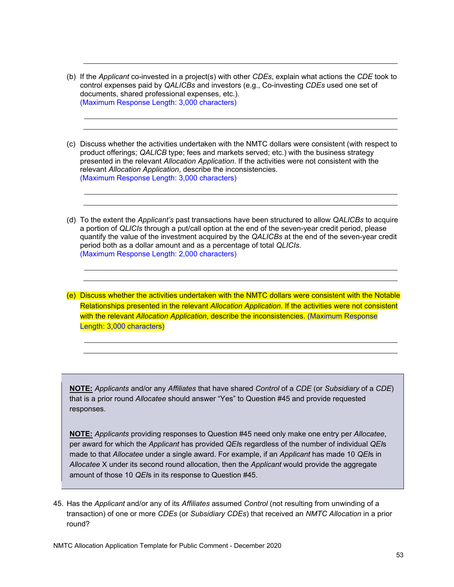- (b) If the *Applicant* co-invested in a project(s) with other *CDEs*, explain what actions the *CDE* took to control expenses paid by *QALICBs* and investors (e.g., Co-investing *CDEs* used one set of documents, shared professional expenses, etc.). (Maximum Response Length: 3,000 characters)
- (c) Discuss whether the activities undertaken with the NMTC dollars were consistent (with respect to product offerings; *QALICB* type; fees and markets served; etc.) with the business strategy presented in the relevant *Allocation Application*. If the activities were not consistent with the relevant *Allocation Application*, describe the inconsistencies. (Maximum Response Length: 3,000 characters)
- (d) To the extent the *Applicant's* past transactions have been structured to allow *QALICBs* to acquire a portion of *QLICIs* through a put/call option at the end of the seven-year credit period, please quantify the value of the investment acquired by the *QALICBs* at the end of the seven-year credit period both as a dollar amount and as a percentage of total *QLICIs*. (Maximum Response Length: 2,000 characters)
- (e) Discuss whether the activities undertaken with the NMTC dollars were consistent with the Notable Relationships presented in the relevant *Allocation Application*. If the activities were not consistent with the relevant *Allocation Application*, describe the inconsistencies. (Maximum Response Length: 3,000 characters)

 responses. **NOTE:** *Applicants* and/or any *Affiliates* that have shared *Control* of a *CDE* (or *Subsidiary* of a *CDE*) that is a prior round *Allocatee* should answer "Yes" to Question #45 and provide requested

**NOTE:** *Applicants* providing responses to Question #45 need only make one entry per *Allocatee*, per award for which the *Applicant* has provided *QEI*s regardless of the number of individual *QEI*s made to that *Allocatee* under a single award. For example, if an *Applicant* has made 10 *QEI*s in *Allocatee* X under its second round allocation, then the *Applicant* would provide the aggregate amount of those 10 *QEI*s in its response to Question #45.

45. Has the *Applicant* and/or any of its *Affiliates* assumed *Control* (not resulting from unwinding of a transaction) of one or more *CDEs* (or *Subsidiary CDEs*) that received an *NMTC Allocation* in a prior round?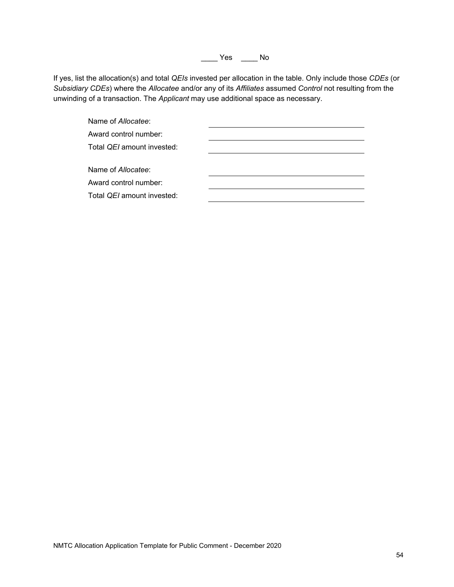\_\_\_\_ Yes \_\_\_\_ No

If yes, list the allocation(s) and total *QEIs* invested per allocation in the table. Only include those *CDEs* (or *Subsidiary CDEs*) where the *Allocatee* and/or any of its *Affiliates* assumed *Control* not resulting from the unwinding of a transaction. The *Applicant* may use additional space as necessary.

| Name of Allocatee:                                                      |  |
|-------------------------------------------------------------------------|--|
| Award control number:                                                   |  |
| Total QEI amount invested:                                              |  |
|                                                                         |  |
| Name of Allocatee:                                                      |  |
| Award control number:                                                   |  |
| Total QEI amount invested:                                              |  |
|                                                                         |  |
|                                                                         |  |
|                                                                         |  |
|                                                                         |  |
|                                                                         |  |
|                                                                         |  |
|                                                                         |  |
|                                                                         |  |
|                                                                         |  |
|                                                                         |  |
|                                                                         |  |
|                                                                         |  |
|                                                                         |  |
|                                                                         |  |
|                                                                         |  |
|                                                                         |  |
|                                                                         |  |
|                                                                         |  |
|                                                                         |  |
|                                                                         |  |
|                                                                         |  |
|                                                                         |  |
|                                                                         |  |
|                                                                         |  |
|                                                                         |  |
|                                                                         |  |
| NMTC Allocation Application Template for Public Comment - December 2020 |  |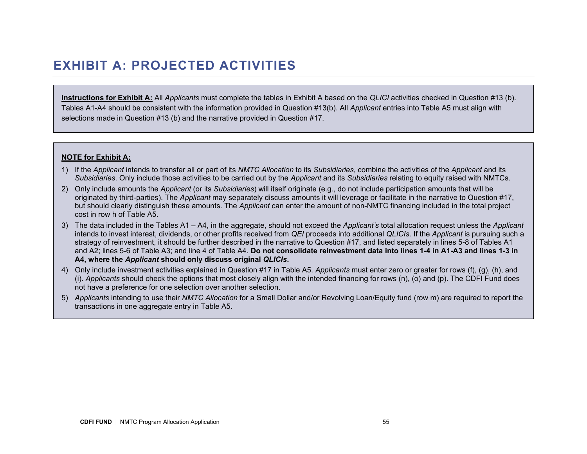### **EXHIBIT A: PROJECTED ACTIVITIES**

**Instructions for Exhibit A:** All *Applicants* must complete the tables in Exhibit A based on the *QLICI* activities checked in Question #13 (b). Tables A1-A4 should be consistent with the information provided in Question #13(b). All *Applicant* entries into Table A5 must align with selections made in Question #13 (b) and the narrative provided in Question #17.

#### **NOTE for Exhibit A:**

- 1) If the *Applicant* intends to transfer all or part of its *NMTC Allocation* to its *Subsidiaries*, combine the activities of the *Applicant* and its *Subsidiaries*. Only include those activities to be carried out by the *Applicant* and its *Subsidiaries* relating to equity raised with NMTCs.
- 2) Only include amounts the *Applicant* (or its *Subsidiaries*) will itself originate (e.g., do not include participation amounts that will be originated by third-parties). The *Applicant* may separately discuss amounts it will leverage or facilitate in the narrative to Question #17, but should clearly distinguish these amounts. The *Applicant* can enter the amount of non-NMTC financing included in the total project cost in row h of Table A5.
- 3) The data included in the Tables A1 A4, in the aggregate, should not exceed the *Applicant's* total allocation request unless the *Applicant*  intends to invest interest, dividends, or other profits received from *QEI* proceeds into additional *QLICIs*. If the *Applicant* is pursuing such a strategy of reinvestment, it should be further described in the narrative to Question #17, and listed separately in lines 5-8 of Tables A1 and A2; lines 5-6 of Table A3; and line 4 of Table A4. **Do not consolidate reinvestment data into lines 1-4 in A1-A3 and lines 1-3 in A4, where the** *Applicant* **should only discuss original** *QLICIs***.**
- 4) Only include investment activities explained in Question #17 in Table A5. *Applicants* must enter zero or greater for rows (f), (g), (h), and (i). *Applicants* should check the options that most closely align with the intended financing for rows (n), (o) and (p). The CDFI Fund does not have a preference for one selection over another selection.
- 5) *Applicants* intending to use their *NMTC Allocation* for a Small Dollar and/or Revolving Loan/Equity fund (row m) are required to report the transactions in one aggregate entry in Table A5.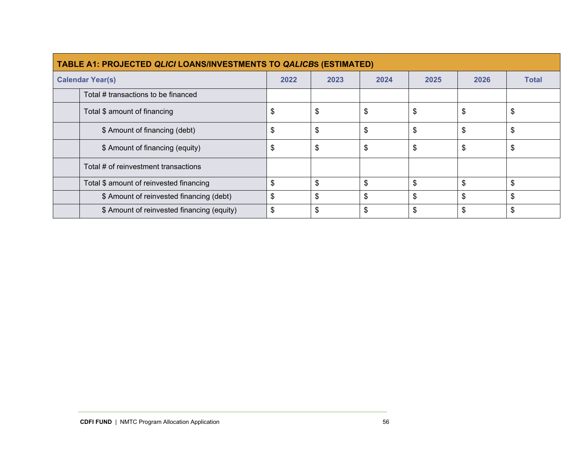| <b>TABLE A1: PROJECTED QLICI LOANS/INVESTMENTS TO QALICBS (ESTIMATED)</b> |      |      |      |      |      |              |  |  |  |  |
|---------------------------------------------------------------------------|------|------|------|------|------|--------------|--|--|--|--|
| <b>Calendar Year(s)</b>                                                   | 2022 | 2023 | 2024 | 2025 | 2026 | <b>Total</b> |  |  |  |  |
| Total # transactions to be financed                                       |      |      |      |      |      |              |  |  |  |  |
| Total \$ amount of financing                                              | \$   | S    | S    | S    | S    | \$           |  |  |  |  |
| \$ Amount of financing (debt)                                             | \$   | \$   | \$   | \$   | \$   | \$           |  |  |  |  |
| \$ Amount of financing (equity)                                           | \$   | \$   | \$   | \$   | \$   | \$           |  |  |  |  |
| Total # of reinvestment transactions                                      |      |      |      |      |      |              |  |  |  |  |
| Total \$ amount of reinvested financing                                   | \$   | \$   | \$   | \$   | \$   | \$           |  |  |  |  |
| \$ Amount of reinvested financing (debt)                                  | \$   | \$   | \$   | \$   | \$   | \$           |  |  |  |  |
| \$ Amount of reinvested financing (equity)                                | \$   | \$   | \$   | \$   | \$   | \$           |  |  |  |  |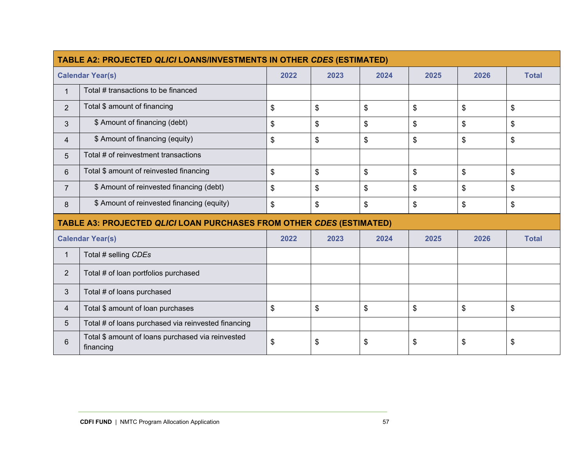|                | TABLE A2: PROJECTED QLICI LOANS/INVESTMENTS IN OTHER CDES (ESTIMATED) |                      |      |      |      |      |              |  |  |  |  |
|----------------|-----------------------------------------------------------------------|----------------------|------|------|------|------|--------------|--|--|--|--|
|                | <b>Calendar Year(s)</b>                                               | 2022                 | 2023 | 2024 | 2025 | 2026 | <b>Total</b> |  |  |  |  |
| $\mathbf{1}$   | Total # transactions to be financed                                   |                      |      |      |      |      |              |  |  |  |  |
| $\overline{2}$ | Total \$ amount of financing                                          | \$                   | \$   | \$   | \$   | \$   | \$           |  |  |  |  |
| 3              | \$ Amount of financing (debt)                                         | \$                   | \$   | \$   | \$   | \$   | \$           |  |  |  |  |
| 4              | \$ Amount of financing (equity)                                       | \$                   | \$   | \$   | \$   | \$   | \$           |  |  |  |  |
| 5              | Total # of reinvestment transactions                                  |                      |      |      |      |      |              |  |  |  |  |
| 6              | Total \$ amount of reinvested financing                               | \$<br>\$<br>\$<br>\$ |      |      |      |      | \$           |  |  |  |  |
| $\overline{7}$ | \$ Amount of reinvested financing (debt)                              | \$                   | \$   | \$   | \$   | \$   | \$           |  |  |  |  |
| 8              | \$ Amount of reinvested financing (equity)                            | \$                   | \$   | \$   | \$   | \$   | \$           |  |  |  |  |
|                | TABLE A3: PROJECTED QLICI LOAN PURCHASES FROM OTHER CDES (ESTIMATED)  |                      |      |      |      |      |              |  |  |  |  |
|                | <b>Calendar Year(s)</b>                                               | 2022                 | 2023 | 2024 | 2025 | 2026 | <b>Total</b> |  |  |  |  |
| $\mathbf{1}$   | Total # selling CDEs                                                  |                      |      |      |      |      |              |  |  |  |  |
| $\overline{2}$ | Total # of loan portfolios purchased                                  |                      |      |      |      |      |              |  |  |  |  |
| 3              | Total # of loans purchased                                            |                      |      |      |      |      |              |  |  |  |  |
| 4              | Total \$ amount of loan purchases                                     | \$                   | \$   | \$   | \$   | \$   | \$           |  |  |  |  |
| 5              | Total # of loans purchased via reinvested financing                   |                      |      |      |      |      |              |  |  |  |  |
| 6              | Total \$ amount of loans purchased via reinvested<br>financing        | \$                   | \$   | \$   | \$   | \$   | \$           |  |  |  |  |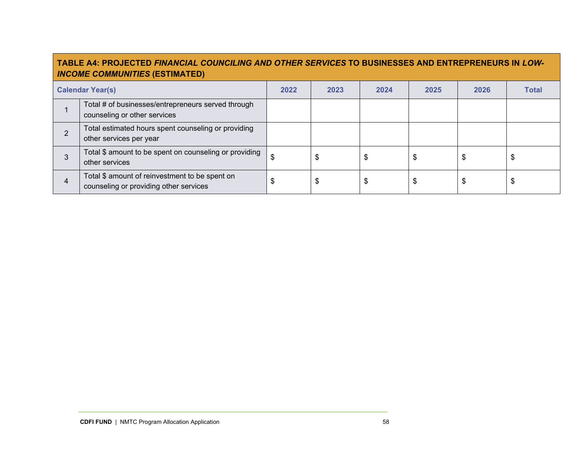|   | <b>TABLE A4: PROJECTED FINANCIAL COUNCILING AND OTHER SERVICES TO BUSINESSES AND ENTREPRENEURS IN LOW-</b><br><b>INCOME COMMUNITIES (ESTIMATED)</b> |      |      |      |      |      |              |  |  |  |
|---|-----------------------------------------------------------------------------------------------------------------------------------------------------|------|------|------|------|------|--------------|--|--|--|
|   | <b>Calendar Year(s)</b>                                                                                                                             | 2022 | 2023 | 2024 | 2025 | 2026 | <b>Total</b> |  |  |  |
|   | Total # of businesses/entrepreneurs served through<br>counseling or other services                                                                  |      |      |      |      |      |              |  |  |  |
| 2 | Total estimated hours spent counseling or providing<br>other services per year                                                                      |      |      |      |      |      |              |  |  |  |
|   | Total \$ amount to be spent on counseling or providing<br>other services                                                                            | \$   | \$   |      |      | \$   | \$           |  |  |  |
| 4 | Total \$ amount of reinvestment to be spent on<br>counseling or providing other services                                                            | \$   | \$   |      | \$   | \$   | \$           |  |  |  |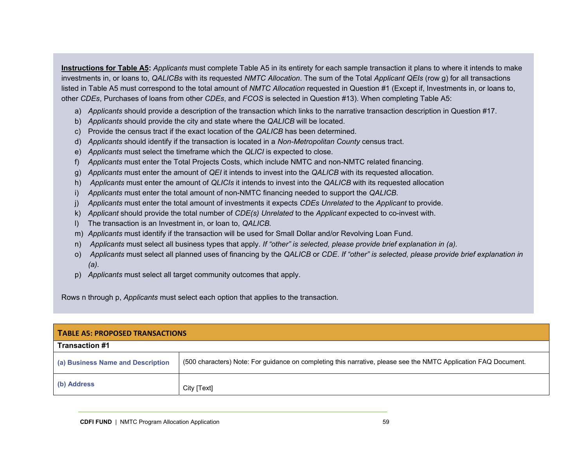**Instructions for Table A5:** *Applicants* must complete Table A5 in its entirety for each sample transaction it plans to where it intends to make investments in, or loans to, *QALICBs* with its requested *NMTC Allocation*. The sum of the Total *Applicant QEIs* (row g) for all transactions listed in Table A5 must correspond to the total amount of *NMTC Allocation* requested in Question #1 (Except if, Investments in, or loans to, other *CDEs*, Purchases of loans from other *CDEs*, and *FCOS* is selected in Question #13). When completing Table A5:

- a) *Applicants* should provide a description of the transaction which links to the narrative transaction description in Question #17.
- b) *Applicants* should provide the city and state where the *QALICB* will be located.
- c) Provide the census tract if the exact location of the *QALICB* has been determined.
- d) *Applicants* should identify if the transaction is located in a *Non-Metropolitan County* census tract.
- e) *Applicants* must select the timeframe which the *QLICI* is expected to close.
- f) *Applicants* must enter the Total Projects Costs, which include NMTC and non-NMTC related financing.
- g) *Applicants* must enter the amount of *QEI* it intends to invest into the *QALICB* with its requested allocation.
- h) *Applicants* must enter the amount of *QLICIs* it intends to invest into the *QALICB* with its requested allocation
- i) *Applicants* must enter the total amount of non-NMTC financing needed to support the *QALICB*.
- j) *Applicants* must enter the total amount of investments it expects *CDEs Unrelated* to the *Applicant* to provide.
- k) *Applicant* should provide the total number of *CDE(s) Unrelated* to the *Applicant* expected to co-invest with.
- l) The transaction is an Investment in, or loan to, *QALICB.*
- m) *Applicants* must identify if the transaction will be used for Small Dollar and/or Revolving Loan Fund.
- n) *Applicants* must select all business types that apply. *If "other" is selected, please provide brief explanation in (a).*
- o) *Applicants* must select all planned uses of financing by the *QALICB* or *CDE*. *If "other" is selected, please provide brief explanation in (a).*
- p) *Applicants* must select all target community outcomes that apply.

Rows n through p, *Applicants* must select each option that applies to the transaction*.* 

| <b>TABLE A5: PROPOSED TRANSACTIONS</b> |                                                                                                                 |  |  |  |  |  |  |  |
|----------------------------------------|-----------------------------------------------------------------------------------------------------------------|--|--|--|--|--|--|--|
| <b>Transaction #1</b>                  |                                                                                                                 |  |  |  |  |  |  |  |
| (a) Business Name and Description      | (500 characters) Note: For guidance on completing this narrative, please see the NMTC Application FAQ Document. |  |  |  |  |  |  |  |
| (b) Address                            | City [Text]                                                                                                     |  |  |  |  |  |  |  |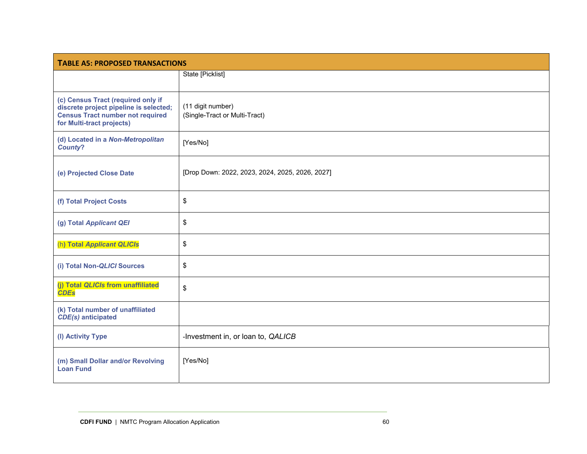| <b>TABLE A5: PROPOSED TRANSACTIONS</b>                                                                                                               |                                                    |  |  |  |  |  |  |  |
|------------------------------------------------------------------------------------------------------------------------------------------------------|----------------------------------------------------|--|--|--|--|--|--|--|
|                                                                                                                                                      | State [Picklist]                                   |  |  |  |  |  |  |  |
| (c) Census Tract (required only if<br>discrete project pipeline is selected;<br><b>Census Tract number not required</b><br>for Multi-tract projects) | (11 digit number)<br>(Single-Tract or Multi-Tract) |  |  |  |  |  |  |  |
| (d) Located in a Non-Metropolitan<br><b>County?</b>                                                                                                  | [Yes/No]                                           |  |  |  |  |  |  |  |
| (e) Projected Close Date                                                                                                                             | [Drop Down: 2022, 2023, 2024, 2025, 2026, 2027]    |  |  |  |  |  |  |  |
| (f) Total Project Costs                                                                                                                              | \$                                                 |  |  |  |  |  |  |  |
| (g) Total Applicant QEI                                                                                                                              | \$                                                 |  |  |  |  |  |  |  |
| (h) Total Applicant QLICIs                                                                                                                           | \$                                                 |  |  |  |  |  |  |  |
| (i) Total Non-QLICI Sources                                                                                                                          | \$                                                 |  |  |  |  |  |  |  |
| (j) Total QLICIs from unaffiliated<br><b>CDEs</b>                                                                                                    | \$                                                 |  |  |  |  |  |  |  |
| (k) Total number of unaffiliated<br><b>CDE(s)</b> anticipated                                                                                        |                                                    |  |  |  |  |  |  |  |
| (I) Activity Type                                                                                                                                    | -Investment in, or loan to, QALICB                 |  |  |  |  |  |  |  |
| (m) Small Dollar and/or Revolving<br><b>Loan Fund</b>                                                                                                | [Yes/No]                                           |  |  |  |  |  |  |  |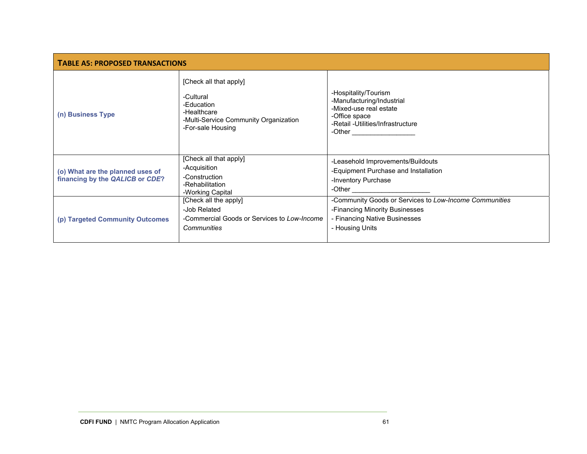| <b>TABLE A5: PROPOSED TRANSACTIONS</b>                              |                                                                                                                                |                                                                                                                                                             |  |  |  |  |  |  |  |  |
|---------------------------------------------------------------------|--------------------------------------------------------------------------------------------------------------------------------|-------------------------------------------------------------------------------------------------------------------------------------------------------------|--|--|--|--|--|--|--|--|
| (n) Business Type                                                   | [Check all that apply]<br>-Cultural<br>-Education<br>-Healthcare<br>-Multi-Service Community Organization<br>-For-sale Housing | -Hospitality/Tourism<br>-Manufacturing/Industrial<br>-Mixed-use real estate<br>-Office space<br>-Retail -Utilities/Infrastructure<br>-Other $\qquad \qquad$ |  |  |  |  |  |  |  |  |
| (o) What are the planned uses of<br>financing by the QALICB or CDE? | [Check all that apply]<br>-Acquisition<br>-Construction<br>-Rehabilitation<br>-Working Capital                                 | -Leasehold Improvements/Buildouts<br>-Equipment Purchase and Installation<br>-Inventory Purchase<br>-Other                                                  |  |  |  |  |  |  |  |  |
| (p) Targeted Community Outcomes                                     | [Check all the apply]<br>-Job Related<br>-Commercial Goods or Services to Low-Income<br>Communities                            | -Community Goods or Services to Low-Income Communities<br>-Financing Minority Businesses<br>- Financing Native Businesses<br>- Housing Units                |  |  |  |  |  |  |  |  |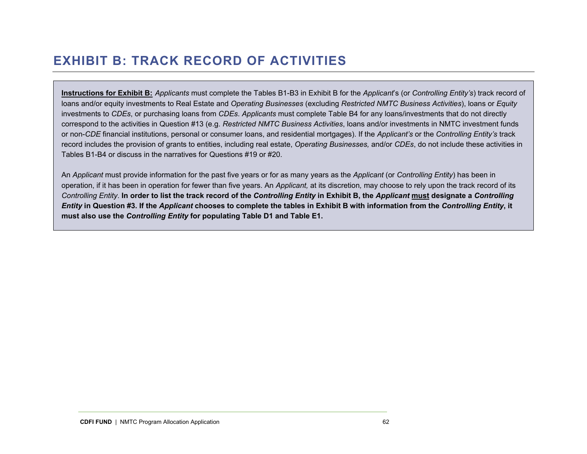## **EXHIBIT B: TRACK RECORD OF ACTIVITIES**

**Instructions for Exhibit B:** *Applicants* must complete the Tables B1-B3 in Exhibit B for the *Applicant*'s (or *Controlling Entity's*) track record of loans and/or equity investments to Real Estate and *Operating Businesses* (excluding *Restricted NMTC Business Activities*), loans or *Equity*  investments to *CDEs*, or purchasing loans from *CDEs*. *Applicants* must complete Table B4 for any loans/investments that do not directly correspond to the activities in Question #13 (e.g. *Restricted NMTC Business Activities*, loans and/or investments in NMTC investment funds or non-*CDE* financial institutions, personal or consumer loans, and residential mortgages). If the *Applicant's* or the *Controlling Entity's* track record includes the provision of grants to entities, including real estate, *Operating Businesses,* and/or *CDEs*, do not include these activities in Tables B1-B4 or discuss in the narratives for Questions #19 or #20.

An *Applicant* must provide information for the past five years or for as many years as the *Applicant* (or *Controlling Entity*) has been in operation, if it has been in operation for fewer than five years. An *Applicant,* at its discretion*,* may choose to rely upon the track record of its *Controlling Entity*. **In order to list the track record of the** *Controlling Entity* **in Exhibit B, the** *Applicant* **must designate a** *Controlling Entity* **in Question #3. If the** *Applicant* **chooses to complete the tables in Exhibit B with information from the** *Controlling Entity***, it must also use the** *Controlling Entity* **for populating Table D1 and Table E1.**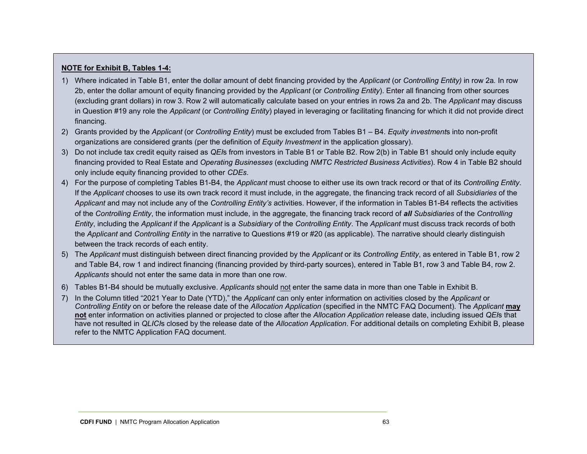#### **NOTE for Exhibit B, Tables 1-4:**

- 1) Where indicated in Table B1, enter the dollar amount of debt financing provided by the *Applicant* (or *Controlling Entity)* in row 2a*.* In row 2b, enter the dollar amount of equity financing provided by the *Applicant* (or *Controlling Entity*). Enter all financing from other sources (excluding grant dollars) in row 3. Row 2 will automatically calculate based on your entries in rows 2a and 2b. The *Applicant* may discuss in Question #19 any role the *Applicant* (or *Controlling Entity*) played in leveraging or facilitating financing for which it did not provide direct financing.
- 2) Grants provided by the *Applicant* (or *Controlling Entity*) must be excluded from Tables B1 B4. *Equity investment*s into non-profit organizations are considered grants (per the definition of *Equity Investment* in the application glossary).
- 3) Do not include tax credit equity raised as *QEI*s from investors in Table B1 or Table B2. Row 2(b) in Table B1 should only include equity financing provided to Real Estate and *Operating Businesses* (excluding *NMTC Restricted Business Activities*). Row 4 in Table B2 should only include equity financing provided to other *CDEs*.
- 4) For the purpose of completing Tables B1-B4, the *Applicant* must choose to either use its own track record or that of its *Controlling Entity*. If the *Applicant* chooses to use its own track record it must include, in the aggregate, the financing track record of all *Subsidiaries* of the *Applicant* and may not include any of the *Controlling Entity's* activities. However, if the information in Tables B1-B4 reflects the activities of the *Controlling Entity*, the information must include, in the aggregate, the financing track record of *all Subsidiaries* of the *Controlling Entity*, including the *Applicant* if the *Applicant* is a *Subsidiary* of the *Controlling Entity*. The *Applicant* must discuss track records of both the *Applicant* and *Controlling Entity* in the narrative to Questions #19 or #20 (as applicable). The narrative should clearly distinguish between the track records of each entity.
- 5) The *Applicant* must distinguish between direct financing provided by the *Applicant* or its *Controlling Entity*, as entered in Table B1, row 2 and Table B4, row 1 and indirect financing (financing provided by third-party sources), entered in Table B1, row 3 and Table B4, row 2. *Applicants* should not enter the same data in more than one row.
- 6) Tables B1-B4 should be mutually exclusive. *Applicants* should not enter the same data in more than one Table in Exhibit B.
- 7) In the Column titled "2021 Year to Date (YTD)," the *Applicant* can only enter information on activities closed by the *Applicant* or *Controlling Entity* on or before the release date of the *Allocation Application* (specified in the NMTC FAQ Document)*.* The *Applicant* **may not** enter information on activities planned or projected to close after the *Allocation Application* release date, including issued *QEI*s that have not resulted in *QLICI*s closed by the release date of the *Allocation Application*. For additional details on completing Exhibit B, please refer to the NMTC Application FAQ document.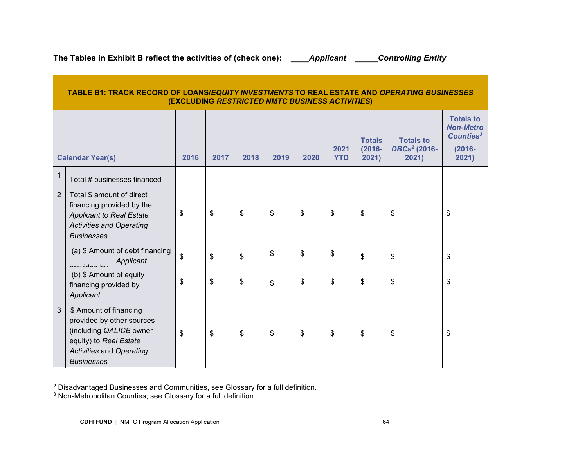**The Tables in Exhibit B reflect the activities of (check one): \_\_\_\_***Applicant* **\_\_\_\_\_***Controlling Entity* 

|                | <b>TABLE B1: TRACK RECORD OF LOANS/EQUITY INVESTMENTS TO REAL ESTATE AND OPERATING BUSINESSES</b><br>(EXCLUDING RESTRICTED NMTC BUSINESS ACTIVITIES)             |      |      |      |      |      |                    |                                     |                                                       |                                                                                     |  |  |
|----------------|------------------------------------------------------------------------------------------------------------------------------------------------------------------|------|------|------|------|------|--------------------|-------------------------------------|-------------------------------------------------------|-------------------------------------------------------------------------------------|--|--|
|                | <b>Calendar Year(s)</b>                                                                                                                                          | 2016 | 2017 | 2018 | 2019 | 2020 | 2021<br><b>YTD</b> | <b>Totals</b><br>$(2016 -$<br>2021) | <b>Totals to</b><br>DBCs <sup>2</sup> (2016-<br>2021) | <b>Totals to</b><br><b>Non-Metro</b><br>Counties <sup>3</sup><br>$(2016 -$<br>2021) |  |  |
| 1              | Total # businesses financed                                                                                                                                      |      |      |      |      |      |                    |                                     |                                                       |                                                                                     |  |  |
| $\overline{2}$ | Total \$ amount of direct<br>financing provided by the<br><b>Applicant to Real Estate</b><br><b>Activities and Operating</b><br><b>Businesses</b>                | \$   | \$   | \$   | \$   | \$   | \$                 | \$                                  | \$                                                    | \$                                                                                  |  |  |
|                | (a) \$ Amount of debt financing<br>Applicant<br>arovidad by                                                                                                      | \$   | \$   | \$   | \$   | \$   | \$                 | \$                                  | \$                                                    | $\boldsymbol{\mathsf{s}}$                                                           |  |  |
|                | (b) \$ Amount of equity<br>financing provided by<br>Applicant                                                                                                    | \$   | \$   | \$   | \$   | \$   | \$                 | \$                                  | \$                                                    | \$                                                                                  |  |  |
| 3              | \$ Amount of financing<br>provided by other sources<br>(including QALICB owner<br>equity) to Real Estate<br><b>Activities and Operating</b><br><b>Businesses</b> | \$   | \$   | \$   | \$   | \$   | \$                 | \$                                  | \$                                                    | \$                                                                                  |  |  |

 $^2$  Disadvantaged Businesses and Communities, see Glossary for a full definition.<br><sup>3</sup> Non-Metropolitan Counties, see Glossary for a full definition.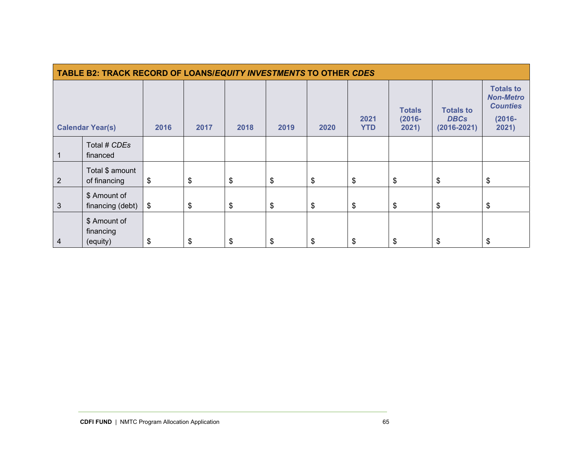| <b>TABLE B2: TRACK RECORD OF LOANS/EQUITY INVESTMENTS TO OTHER CDES</b> |                                       |      |      |      |        |       |                    |                                     |                                                    |                                                                               |  |
|-------------------------------------------------------------------------|---------------------------------------|------|------|------|--------|-------|--------------------|-------------------------------------|----------------------------------------------------|-------------------------------------------------------------------------------|--|
|                                                                         | <b>Calendar Year(s)</b>               | 2016 | 2017 | 2018 | 2019   | 2020  | 2021<br><b>YTD</b> | <b>Totals</b><br>$(2016 -$<br>2021) | <b>Totals to</b><br><b>DBCs</b><br>$(2016 - 2021)$ | <b>Totals to</b><br><b>Non-Metro</b><br><b>Counties</b><br>$(2016 -$<br>2021) |  |
|                                                                         | Total # CDEs<br>financed              |      |      |      |        |       |                    |                                     |                                                    |                                                                               |  |
| $\overline{2}$                                                          | Total \$ amount<br>of financing       | \$   | \$   | \$   | $\$\,$ | $\$\$ | \$                 | \$                                  | \$                                                 | \$                                                                            |  |
| $\mathbf{3}$                                                            | \$ Amount of<br>financing (debt)      | \$   | \$   | \$   | $\$\,$ | \$    | \$                 | \$                                  | \$                                                 | \$                                                                            |  |
| 4                                                                       | \$ Amount of<br>financing<br>(equity) | \$   | \$   | \$   | \$     | \$    | \$                 | \$                                  | \$                                                 | \$                                                                            |  |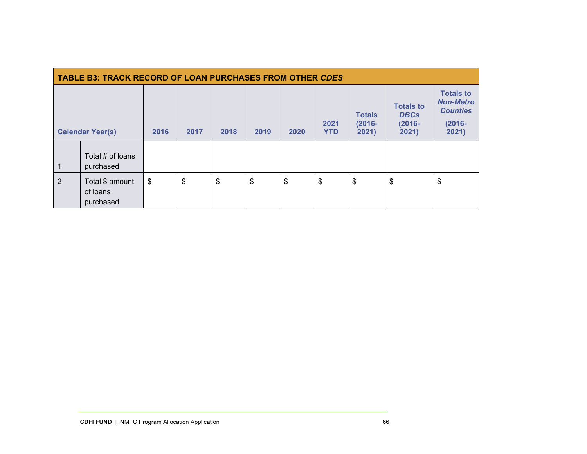| <b>TABLE B3: TRACK RECORD OF LOAN PURCHASES FROM OTHER CDES</b> |                                          |      |      |      |      |      |                    |                                     |                                                       |                                                                               |  |
|-----------------------------------------------------------------|------------------------------------------|------|------|------|------|------|--------------------|-------------------------------------|-------------------------------------------------------|-------------------------------------------------------------------------------|--|
| <b>Calendar Year(s)</b>                                         |                                          | 2016 | 2017 | 2018 | 2019 | 2020 | 2021<br><b>YTD</b> | <b>Totals</b><br>$(2016 -$<br>2021) | <b>Totals to</b><br><b>DBCs</b><br>$(2016 -$<br>2021) | <b>Totals to</b><br><b>Non-Metro</b><br><b>Counties</b><br>$(2016 -$<br>2021) |  |
| $\overline{1}$                                                  | Total # of loans<br>purchased            |      |      |      |      |      |                    |                                     |                                                       |                                                                               |  |
| $\overline{2}$                                                  | Total \$ amount<br>of loans<br>purchased | \$   | \$   | \$   | \$   | \$   | \$                 | \$                                  | \$                                                    | \$                                                                            |  |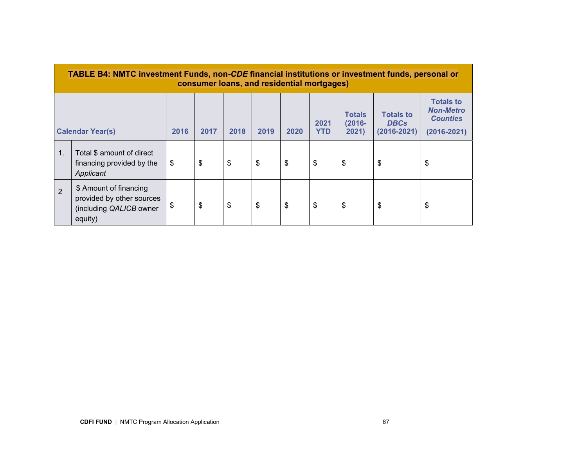|    | <b>TABLE B4: NMTC investment Funds, non-CDE financial institutions or investment funds, personal or</b><br>consumer loans, and residential mortgages) |                            |      |      |      |      |                    |                                     |                                                    |                                                                            |  |  |
|----|-------------------------------------------------------------------------------------------------------------------------------------------------------|----------------------------|------|------|------|------|--------------------|-------------------------------------|----------------------------------------------------|----------------------------------------------------------------------------|--|--|
|    | <b>Calendar Year(s)</b>                                                                                                                               | 2016                       | 2017 | 2018 | 2019 | 2020 | 2021<br><b>YTD</b> | <b>Totals</b><br>$(2016 -$<br>2021) | <b>Totals to</b><br><b>DBCs</b><br>$(2016 - 2021)$ | <b>Totals to</b><br><b>Non-Metro</b><br><b>Counties</b><br>$(2016 - 2021)$ |  |  |
| 1. | Total \$ amount of direct<br>financing provided by the<br>Applicant                                                                                   | $\boldsymbol{\mathcal{F}}$ | \$   | \$   | \$   | \$   | \$                 | \$                                  | \$                                                 | \$                                                                         |  |  |
| 2  | \$ Amount of financing<br>provided by other sources<br>(including QALICB owner<br>equity)                                                             | \$                         | \$   | \$   | \$   | \$   | \$                 | \$                                  | \$                                                 | \$                                                                         |  |  |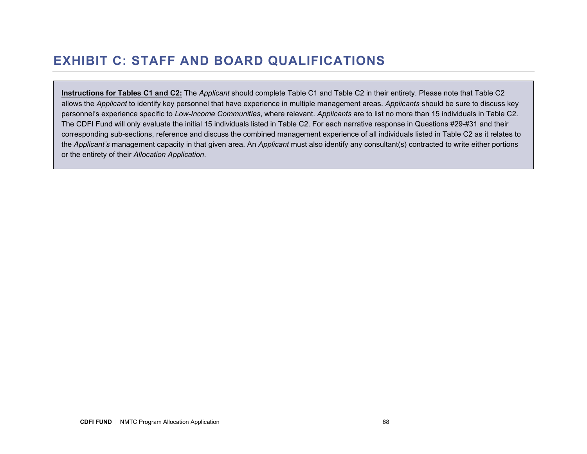## **EXHIBIT C: STAFF AND BOARD QUALIFICATIONS**

**Instructions for Tables C1 and C2:** The *Applicant* should complete Table C1 and Table C2 in their entirety. Please note that Table C2 allows the *Applicant* to identify key personnel that have experience in multiple management areas. *Applicants* should be sure to discuss key personnel's experience specific to *Low-Income Communities*, where relevant. *Applicants* are to list no more than 15 individuals in Table C2. The CDFI Fund will only evaluate the initial 15 individuals listed in Table C2. For each narrative response in Questions #29-#31 and their corresponding sub-sections, reference and discuss the combined management experience of all individuals listed in Table C2 as it relates to the *Applicant's* management capacity in that given area. An *Applicant* must also identify any consultant(s) contracted to write either portions or the entirety of their *Allocation Application*.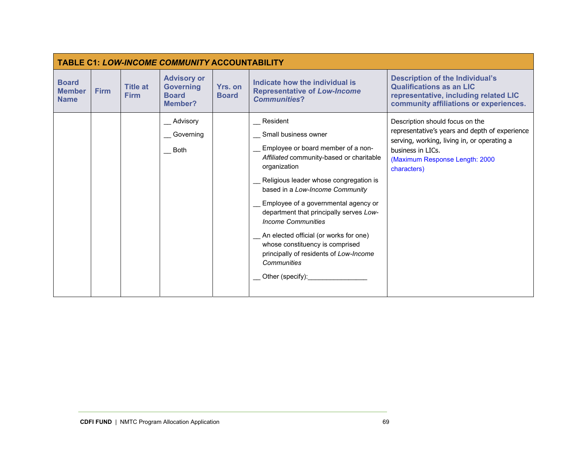| <b>TABLE C1: LOW-INCOME COMMUNITY ACCOUNTABILITY</b> |             |                                |                                                                   |                         |                                                                                                                                                                                                                                                                                                                                                                                                                                                                                                         |                                                                                                                                                                                                        |  |  |  |  |  |
|------------------------------------------------------|-------------|--------------------------------|-------------------------------------------------------------------|-------------------------|---------------------------------------------------------------------------------------------------------------------------------------------------------------------------------------------------------------------------------------------------------------------------------------------------------------------------------------------------------------------------------------------------------------------------------------------------------------------------------------------------------|--------------------------------------------------------------------------------------------------------------------------------------------------------------------------------------------------------|--|--|--|--|--|
| <b>Board</b><br><b>Member</b><br><b>Name</b>         | <b>Firm</b> | <b>Title at</b><br><b>Firm</b> | <b>Advisory or</b><br><b>Governing</b><br><b>Board</b><br>Member? | Yrs. on<br><b>Board</b> | Indicate how the individual is<br><b>Representative of Low-Income</b><br><b>Communities?</b>                                                                                                                                                                                                                                                                                                                                                                                                            | <b>Description of the Individual's</b><br><b>Qualifications as an LIC</b><br>representative, including related LIC<br>community affiliations or experiences.                                           |  |  |  |  |  |
|                                                      |             |                                | Advisory<br>Governing<br><b>Both</b>                              |                         | Resident<br>Small business owner<br>Employee or board member of a non-<br>Affiliated community-based or charitable<br>organization<br>Religious leader whose congregation is<br>based in a Low-Income Community<br>Employee of a governmental agency or<br>department that principally serves Low-<br><b>Income Communities</b><br>An elected official (or works for one)<br>whose constituency is comprised<br>principally of residents of Low-Income<br>Communities<br>$\_\$ Other (specify): $\_\_\$ | Description should focus on the<br>representative's years and depth of experience<br>serving, working, living in, or operating a<br>business in LICs.<br>(Maximum Response Length: 2000<br>characters) |  |  |  |  |  |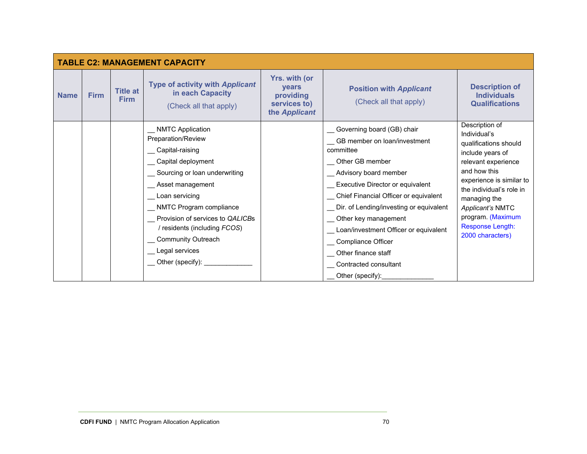|             |             |                                | <b>TABLE C2: MANAGEMENT CAPACITY</b>                                                                                                                                                                                                                                                          |                                                                                    |                                                                                                                                                                                                                                                                                                                                                             |                                                                                                                                                                                                                                                                                    |
|-------------|-------------|--------------------------------|-----------------------------------------------------------------------------------------------------------------------------------------------------------------------------------------------------------------------------------------------------------------------------------------------|------------------------------------------------------------------------------------|-------------------------------------------------------------------------------------------------------------------------------------------------------------------------------------------------------------------------------------------------------------------------------------------------------------------------------------------------------------|------------------------------------------------------------------------------------------------------------------------------------------------------------------------------------------------------------------------------------------------------------------------------------|
| <b>Name</b> | <b>Firm</b> | <b>Title at</b><br><b>Firm</b> | <b>Type of activity with Applicant</b><br>in each Capacity<br>(Check all that apply)                                                                                                                                                                                                          | <b>Yrs. with (or</b><br><b>vears</b><br>providing<br>services to)<br>the Applicant | <b>Position with Applicant</b><br>(Check all that apply)                                                                                                                                                                                                                                                                                                    | <b>Description of</b><br><b>Individuals</b><br><b>Qualifications</b>                                                                                                                                                                                                               |
|             |             |                                | NMTC Application<br>Preparation/Review<br>Capital-raising<br>Capital deployment<br>Sourcing or loan underwriting<br>Asset management<br>Loan servicing<br>NMTC Program compliance<br>Provision of services to QALICBs<br>/ residents (including FCOS)<br>Community Outreach<br>Legal services |                                                                                    | Governing board (GB) chair<br>GB member on loan/investment<br>committee<br>Other GB member<br>_ Advisory board member<br>Executive Director or equivalent<br>Chief Financial Officer or equivalent<br>Dir. of Lending/investing or equivalent<br>Other key management<br>Loan/investment Officer or equivalent<br>Compliance Officer<br>Other finance staff | Description of<br>Individual's<br>qualifications should<br>include years of<br>relevant experience<br>and how this<br>experience is similar to<br>the individual's role in<br>managing the<br>Applicant's NMTC<br>program. (Maximum<br><b>Response Length:</b><br>2000 characters) |
|             |             |                                | __ Other (specify): _______                                                                                                                                                                                                                                                                   |                                                                                    | Contracted consultant<br>Other (specify):                                                                                                                                                                                                                                                                                                                   |                                                                                                                                                                                                                                                                                    |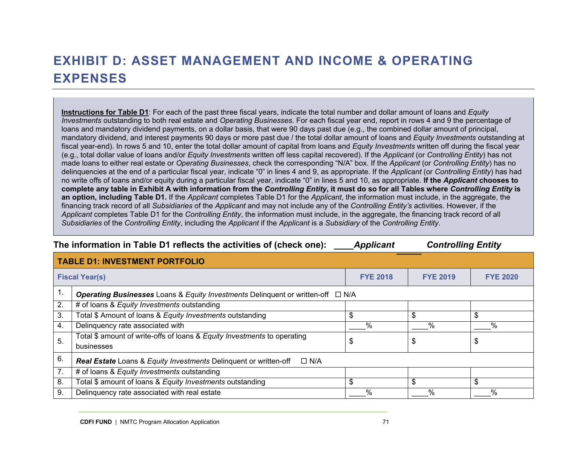# **EXHIBIT D: ASSET MANAGEMENT AND INCOME & OPERATING EXPENSES**

**Instructions for Table D1**: For each of the past three fiscal years, indicate the total number and dollar amount of loans and *Equity Investments* outstanding to both real estate and *Operating Businesses*. For each fiscal year end, report in rows 4 and 9 the percentage of loans and mandatory dividend payments, on a dollar basis, that were 90 days past due (e.g., the combined dollar amount of principal, mandatory dividend, and interest payments 90 days or more past due / the total dollar amount of loans and *Equity Investments* outstanding at fiscal year-end). In rows 5 and 10, enter the total dollar amount of capital from loans and *Equity Investments* written off during the fiscal year (e.g., total dollar value of loans and/or *Equity Investments* written off less capital recovered). If the *Applicant* (or *Controlling Entity*) has not made loans to either real estate or *Operating Businesses*, check the corresponding "N/A" box. If the *Applicant* (or *Controlling Entity*) has no delinquencies at the end of a particular fiscal year, indicate "0" in lines 4 and 9, as appropriate. If the *Applicant* (or *Controlling Entity*) has had no write offs of loans and/or equity during a particular fiscal year, indicate "0" in lines 5 and 10, as appropriate. **If the** *Applicant* **chooses to complete any table in Exhibit A with information from the** *Controlling Entity***, it must do so for all Tables where** *Controlling Entity* **is an option, including Table D1***.* If the *Applicant* completes Table D1 for the *Applicant*, the information must include, in the aggregate, the financing track record of all *Subsidiaries* of the *Applicant* and may not include any of the *Controlling Entity's* activities. However, if the *Applicant* completes Table D1 for the *Controlling Entity*, the information must include, in the aggregate, the financing track record of all *Subsidiaries* of the *Controlling Entity*, including the *Applicant* if the *Applicant* is a *Subsidiary* of the *Controlling Entity*.

|    | The information in Table D1 reflects the activities of (check one):<br><b>Controlling Entity</b><br><b>Applicant</b> |                 |                 |                 |  |  |  |  |
|----|----------------------------------------------------------------------------------------------------------------------|-----------------|-----------------|-----------------|--|--|--|--|
|    | <b>TABLE D1: INVESTMENT PORTFOLIO</b>                                                                                |                 |                 |                 |  |  |  |  |
|    | <b>Fiscal Year(s)</b>                                                                                                | <b>FYE 2018</b> | <b>FYE 2019</b> | <b>FYE 2020</b> |  |  |  |  |
| ι. | <b>Operating Businesses</b> Loans & Equity Investments Delinquent or written-off $\Box$ N/A                          |                 |                 |                 |  |  |  |  |
| 2. | # of loans & Equity Investments outstanding                                                                          |                 |                 |                 |  |  |  |  |
| 3. | Total \$ Amount of loans & Equity Investments outstanding                                                            | \$              | \$              | \$              |  |  |  |  |
| 4. | Delinquency rate associated with                                                                                     | %               | $\%$            | %               |  |  |  |  |
| 5. | Total \$ amount of write-offs of loans & Equity Investments to operating<br>businesses                               | \$              | S               | \$              |  |  |  |  |
| 6. | <b>Real Estate</b> Loans & Equity Investments Delinquent or written-off<br>$\Box$ N/A                                |                 |                 |                 |  |  |  |  |
| 7. | # of loans & Equity Investments outstanding                                                                          |                 |                 |                 |  |  |  |  |
| 8. | Total \$ amount of loans & Equity Investments outstanding                                                            | \$              | \$              | \$              |  |  |  |  |
| 9. | Delinquency rate associated with real estate                                                                         | %               | $\%$            | %               |  |  |  |  |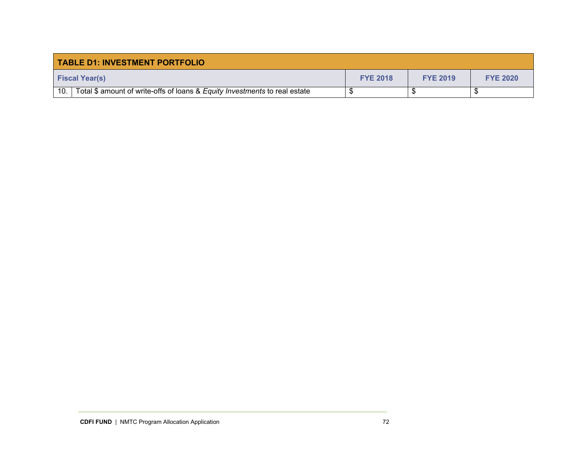| <b>TABLE D1: INVESTMENT PORTFOLIO</b>                                             |                 |                 |                 |  |  |  |
|-----------------------------------------------------------------------------------|-----------------|-----------------|-----------------|--|--|--|
| <b>Fiscal Year(s)</b>                                                             | <b>FYE 2018</b> | <b>FYE 2019</b> | <b>FYE 2020</b> |  |  |  |
| 10.<br>Total \$ amount of write-offs of loans & Equity Investments to real estate |                 |                 |                 |  |  |  |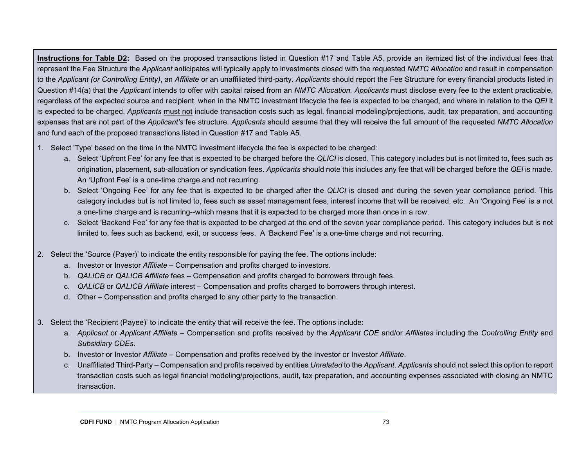**Instructions for Table D2:** Based on the proposed transactions listed in Question #17 and Table A5, provide an itemized list of the individual fees that represent the Fee Structure the *Applicant* anticipates will typically apply to investments closed with the requested *NMTC Allocation* and result in compensation to the *Applicant (or Controlling Entity)*, an *Affiliate* or an unaffiliated third-party. *Applicants* should report the Fee Structure for every financial products listed in Question #14(a) that the *Applicant* intends to offer with capital raised from an *NMTC Allocation. Applicants* must disclose every fee to the extent practicable, regardless of the expected source and recipient, when in the NMTC investment lifecycle the fee is expected to be charged, and where in relation to the *QEI* it is expected to be charged. *Applicants* must not include transaction costs such as legal, financial modeling/projections, audit, tax preparation, and accounting expenses that are not part of the *Applicant's* fee structure. *Applicants* should assume that they will receive the full amount of the requested *NMTC Allocation*  and fund each of the proposed transactions listed in Question #17 and Table A5.

- 1. Select 'Type' based on the time in the NMTC investment lifecycle the fee is expected to be charged:
	- a. Select 'Upfront Fee' for any fee that is expected to be charged before the *QLICI* is closed. This category includes but is not limited to, fees such as origination, placement, sub-allocation or syndication fees. *Applicants* should note this includes any fee that will be charged before the *QEI* is made. An 'Upfront Fee' is a one-time charge and not recurring.
	- b. Select 'Ongoing Fee' for any fee that is expected to be charged after the *QLICI* is closed and during the seven year compliance period. This category includes but is not limited to, fees such as asset management fees, interest income that will be received, etc. An 'Ongoing Fee' is a not a one-time charge and is recurring--which means that it is expected to be charged more than once in a row.
	- c. Select 'Backend Fee' for any fee that is expected to be charged at the end of the seven year compliance period. This category includes but is not limited to, fees such as backend, exit, or success fees. A 'Backend Fee' is a one-time charge and not recurring.
- 2. Select the 'Source (Payer)' to indicate the entity responsible for paying the fee. The options include:
	- a. Investor or Investor *Affiliate* Compensation and profits charged to investors.
	- b. *QALICB* or *QALICB Affiliate* fees Compensation and profits charged to borrowers through fees.
	- c. *QALICB* or *QALICB Affiliate* interest Compensation and profits charged to borrowers through interest.
	- d. Other Compensation and profits charged to any other party to the transaction.
- 3. Select the 'Recipient (Payee)' to indicate the entity that will receive the fee. The options include:
	- a. *Applicant* or *Applicant Affiliate* Compensation and profits received by the *Applicant CDE* and/or *Affiliates* including the *Controlling Entity* and *Subsidiary CDEs*.
	- b. Investor or Investor *Affiliate* Compensation and profits received by the Investor or Investor *Affiliate*.
	- c. Unaffiliated Third-Party Compensation and profits received by entities *Unrelated* to the *Applicant*. *Applicants* should not select this option to report transaction costs such as legal financial modeling/projections, audit, tax preparation, and accounting expenses associated with closing an NMTC transaction.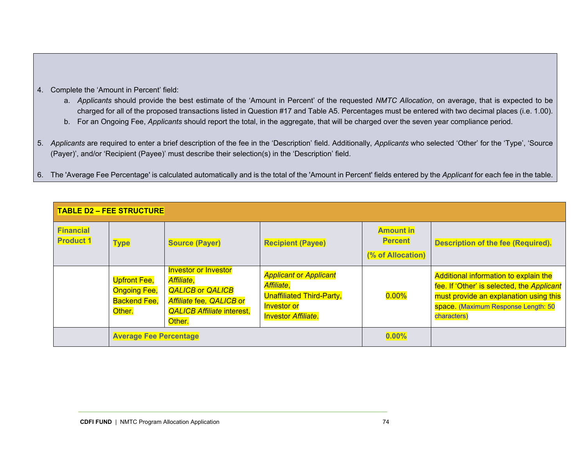- 4. Complete the 'Amount in Percent' field:
	- a. *Applicants* should provide the best estimate of the 'Amount in Percent' of the requested *NMTC Allocation*, on average, that is expected to be charged for all of the proposed transactions listed in Question #17 and Table A5. Percentages must be entered with two decimal places (i.e. 1.00).
	- b. For an Ongoing Fee, *Applicants* should report the total, in the aggregate, that will be charged over the seven year compliance period.
- 5. *Applicants* are required to enter a brief description of the fee in the 'Description' field. Additionally, *Applicants* who selected 'Other' for the 'Type', 'Source (Payer)', and/or 'Recipient (Payee)' must describe their selection(s) in the 'Description' field.
- 6. The 'Average Fee Percentage' is calculated automatically and is the total of the 'Amount in Percent' fields entered by the *Applicant* for each fee in the table.

|                                      | <b>TABLE D2 - FEE STRUCTURE</b>                                             |                                                                                                                                                 |                                                                                                                                     |                                                         |                                                                                                                                                                                     |  |  |  |  |
|--------------------------------------|-----------------------------------------------------------------------------|-------------------------------------------------------------------------------------------------------------------------------------------------|-------------------------------------------------------------------------------------------------------------------------------------|---------------------------------------------------------|-------------------------------------------------------------------------------------------------------------------------------------------------------------------------------------|--|--|--|--|
| <b>Financial</b><br><b>Product 1</b> | <b>Type</b>                                                                 | <b>Source (Payer)</b>                                                                                                                           | <b>Recipient (Payee)</b>                                                                                                            | <b>Amount in</b><br><b>Percent</b><br>(% of Allocation) | <b>Description of the fee (Required).</b>                                                                                                                                           |  |  |  |  |
|                                      | <b>Upfront Fee,</b><br><b>Ongoing Fee,</b><br><b>Backend Fee,</b><br>Other. | <b>Investor or Investor</b><br>Affiliate,<br><b>QALICB or QALICB</b><br>Affiliate fee, QALICB or<br><b>QALICB Affiliate interest,</b><br>Other. | <b>Applicant or Applicant</b><br>Affiliate,<br><b>Unaffiliated Third-Party,</b><br><b>Investor or</b><br><b>Investor Affiliate.</b> | $0.00\%$                                                | Additional information to explain the<br>fee. If 'Other' is selected, the Applicant<br>must provide an explanation using this<br>space. (Maximum Response Length: 50<br>characters) |  |  |  |  |
|                                      | <b>Average Fee Percentage</b>                                               |                                                                                                                                                 | 0.00%                                                                                                                               |                                                         |                                                                                                                                                                                     |  |  |  |  |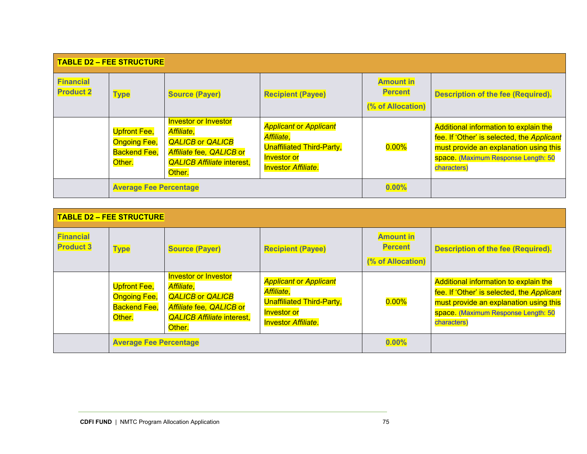|                                      | <b>TABLE D2 - FEE STRUCTURE</b>                                             |                                                                                                                                                 |                                                                                                                                     |                                                         |                                                                                                                                                                                     |  |  |  |  |
|--------------------------------------|-----------------------------------------------------------------------------|-------------------------------------------------------------------------------------------------------------------------------------------------|-------------------------------------------------------------------------------------------------------------------------------------|---------------------------------------------------------|-------------------------------------------------------------------------------------------------------------------------------------------------------------------------------------|--|--|--|--|
| <b>Financial</b><br><b>Product 2</b> | <b>Type</b>                                                                 | <b>Source (Payer)</b>                                                                                                                           | <b>Recipient (Payee)</b>                                                                                                            | <b>Amount in</b><br><b>Percent</b><br>(% of Allocation) | <b>Description of the fee (Required).</b>                                                                                                                                           |  |  |  |  |
|                                      | <b>Upfront Fee,</b><br><b>Ongoing Fee,</b><br><b>Backend Fee,</b><br>Other. | <b>Investor or Investor</b><br>Affiliate,<br><b>QALICB or QALICB</b><br>Affiliate fee, QALICB or<br><b>QALICB Affiliate interest,</b><br>Other. | <b>Applicant or Applicant</b><br>Affiliate,<br><b>Unaffiliated Third-Party,</b><br><b>Investor or</b><br><b>Investor Affiliate.</b> | $0.00\%$                                                | Additional information to explain the<br>fee. If 'Other' is selected, the Applicant<br>must provide an explanation using this<br>space. (Maximum Response Length: 50<br>characters) |  |  |  |  |
|                                      | <b>Average Fee Percentage</b>                                               |                                                                                                                                                 |                                                                                                                                     | 0.00%                                                   |                                                                                                                                                                                     |  |  |  |  |

|                                      | <b>TABLE D2 - FEE STRUCTURE</b>                                             |                                                                                                                                                        |                                                                                                                                     |                                                         |                                                                                                                                                                                     |
|--------------------------------------|-----------------------------------------------------------------------------|--------------------------------------------------------------------------------------------------------------------------------------------------------|-------------------------------------------------------------------------------------------------------------------------------------|---------------------------------------------------------|-------------------------------------------------------------------------------------------------------------------------------------------------------------------------------------|
| <b>Financial</b><br><b>Product 3</b> | <b>Type</b>                                                                 | <b>Source (Payer)</b>                                                                                                                                  | <b>Recipient (Payee)</b>                                                                                                            | <b>Amount in</b><br><b>Percent</b><br>(% of Allocation) | <b>Description of the fee (Required).</b>                                                                                                                                           |
|                                      | <b>Upfront Fee,</b><br><b>Ongoing Fee,</b><br><b>Backend Fee,</b><br>Other. | <b>Investor or Investor</b><br><b>Affiliate,</b><br><b>QALICB or QALICB</b><br>Affiliate fee, QALICB or<br><b>QALICB Affiliate interest,</b><br>Other. | <b>Applicant or Applicant</b><br>Affiliate,<br><b>Unaffiliated Third-Party,</b><br><b>Investor or</b><br><b>Investor Affiliate.</b> | $0.00\%$                                                | Additional information to explain the<br>fee. If 'Other' is selected, the Applicant<br>must provide an explanation using this<br>space. (Maximum Response Length: 50<br>characters) |
|                                      | <b>Average Fee Percentage</b>                                               |                                                                                                                                                        |                                                                                                                                     | 0.00%                                                   |                                                                                                                                                                                     |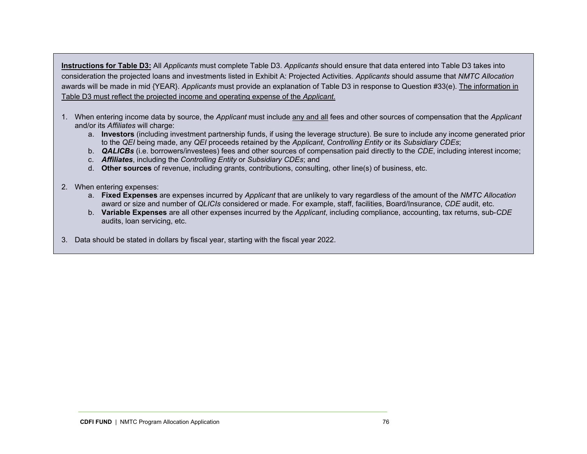**Instructions for Table D3:** All *Applicants* must complete Table D3. *Applicants* should ensure that data entered into Table D3 takes into consideration the projected loans and investments listed in Exhibit A: Projected Activities. *Applicants* should assume that *NMTC Allocation*  awards will be made in mid {YEAR}. *Applicants* must provide an explanation of Table D3 in response to Question #33(e). The information in Table D3 must reflect the projected income and operating expense of the *Applicant*.

- 1. When entering income data by source, the *Applicant* must include any and all fees and other sources of compensation that the *Applicant*  and/or its *Affiliates* will charge:
	- a. **Investors** (including investment partnership funds, if using the leverage structure). Be sure to include any income generated prior to the *QEI* being made, any *QEI* proceeds retained by the *Applicant*, *Controlling Entity* or its *Subsidiary CDEs*;
	- b. *QALICBs* (i.e. borrowers/investees) fees and other sources of compensation paid directly to the *CDE*, including interest income;
	- c. *Affiliates*, including the *Controlling Entity* or *Subsidiary CDEs*; and
	- d. **Other sources** of revenue, including grants, contributions, consulting, other line(s) of business, etc.
- 2. When entering expenses:
	- a. **Fixed Expenses** are expenses incurred by *Applicant* that are unlikely to vary regardless of the amount of the *NMTC Allocation*  award or size and number of *QLICIs* considered or made. For example, staff, facilities, Board/Insurance, *CDE* audit, etc.
	- b. **Variable Expenses** are all other expenses incurred by the *Applicant*, including compliance, accounting, tax returns, sub-*CDE*  audits, loan servicing, etc.
- 3. Data should be stated in dollars by fiscal year, starting with the fiscal year 2022.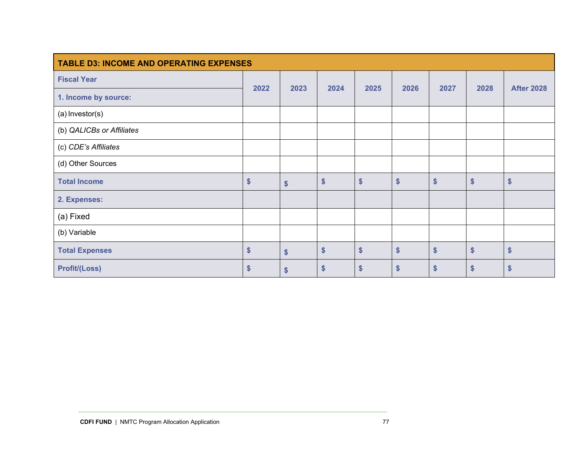| <b>TABLE D3: INCOME AND OPERATING EXPENSES</b> |      |                         |                   |                   |      |      |      |                   |
|------------------------------------------------|------|-------------------------|-------------------|-------------------|------|------|------|-------------------|
| <b>Fiscal Year</b>                             |      |                         |                   |                   |      |      |      |                   |
| 1. Income by source:                           | 2022 | 2023                    | 2024              | 2025              | 2026 | 2027 | 2028 | <b>After 2028</b> |
| (a) Investor(s)                                |      |                         |                   |                   |      |      |      |                   |
| (b) QALICBs or Affiliates                      |      |                         |                   |                   |      |      |      |                   |
| (c) CDE's Affiliates                           |      |                         |                   |                   |      |      |      |                   |
| (d) Other Sources                              |      |                         |                   |                   |      |      |      |                   |
| <b>Total Income</b>                            | \$   | $\boldsymbol{\$}$       | $\boldsymbol{\$}$ | \$                | \$   | \$   | \$   | \$                |
| 2. Expenses:                                   |      |                         |                   |                   |      |      |      |                   |
| (a) Fixed                                      |      |                         |                   |                   |      |      |      |                   |
| (b) Variable                                   |      |                         |                   |                   |      |      |      |                   |
| <b>Total Expenses</b>                          | \$   | $\sqrt[6]{\frac{1}{2}}$ | $\boldsymbol{\$}$ | $\boldsymbol{\$}$ | \$   | \$   | \$   | \$                |
| <b>Profit/(Loss)</b>                           | \$   | $\boldsymbol{\$}$       | \$                | $\boldsymbol{\$}$ | \$   | \$   | \$   | \$                |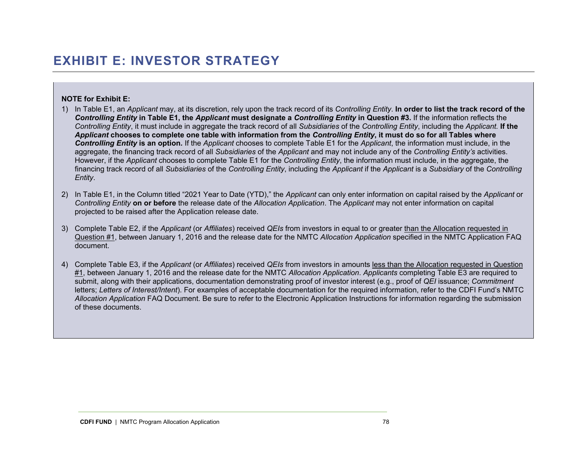#### **NOTE for Exhibit E:**

- 1) In Table E1, an *Applicant* may, at its discretion, rely upon the track record of its *Controlling Entity*. **In order to list the track record of the**  *Controlling Entity* **in Table E1, the** *Applicant* **must designate a** *Controlling Entity* **in Question #3.** If the information reflects the *Controlling Entity*, it must include in aggregate the track record of all *Subsidiaries* of the *Controlling Entity*, including the *Applicant.* **If the**  *Applicant* **chooses to complete one table with information from the** *Controlling Entity***, it must do so for all Tables where**  *Controlling Entity* **is an option***.* If the *Applicant* chooses to complete Table E1 for the *Applicant*, the information must include, in the aggregate, the financing track record of all *Subsidiaries* of the *Applicant* and may not include any of the *Controlling Entity's* activities. However, if the *Applicant* chooses to complete Table E1 for the *Controlling Entity*, the information must include, in the aggregate, the financing track record of all *Subsidiaries* of the *Controlling Entity*, including the *Applicant* if the *Applicant* is a *Subsidiary* of the *Controlling Entity*.
- 2) In Table E1, in the Column titled "2021 Year to Date (YTD)," the *Applicant* can only enter information on capital raised by the *Applicant* or *Controlling Entity* **on or before** the release date of the *Allocation Application*. The *Applicant* may not enter information on capital projected to be raised after the Application release date.
- 3) Complete Table E2, if the *Applicant* (or *Affiliates*) received *QEIs* from investors in equal to or greater than the Allocation requested in Question #1, between January 1, 2016 and the release date for the NMTC *Allocation Application* specified in the NMTC Application FAQ document.
- 4) Complete Table E3, if the *Applicant* (or *Affiliates*) received *QEIs* from investors in amounts less than the Allocation requested in Question #1, between January 1, 2016 and the release date for the NMTC *Allocation Application*. *Applicants* completing Table E3 are required to submit, along with their applications, documentation demonstrating proof of investor interest (e.g., proof of *QEI* issuance; *Commitment*  letters; *Letters of Interest/Intent*). For examples of acceptable documentation for the required information, refer to the CDFI Fund's NMTC *Allocation Application* FAQ Document. Be sure to refer to the Electronic Application Instructions for information regarding the submission of these documents.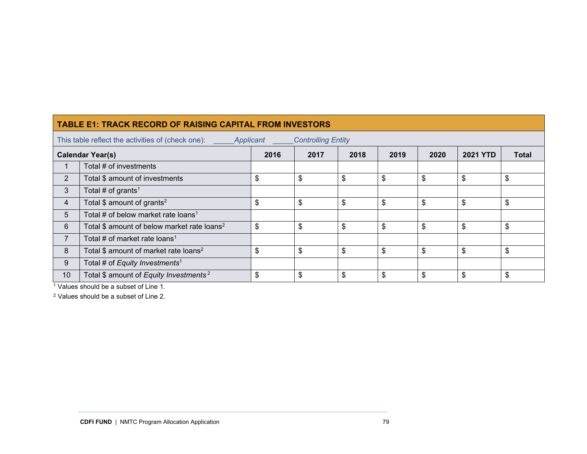|                         | <b>TABLE E1: TRACK RECORD OF RAISING CAPITAL FROM INVESTORS</b>                             |      |      |      |      |      |                 |              |  |
|-------------------------|---------------------------------------------------------------------------------------------|------|------|------|------|------|-----------------|--------------|--|
|                         | This table reflect the activities of (check one):<br><b>Controlling Entity</b><br>Applicant |      |      |      |      |      |                 |              |  |
| <b>Calendar Year(s)</b> |                                                                                             | 2016 | 2017 | 2018 | 2019 | 2020 | <b>2021 YTD</b> | <b>Total</b> |  |
|                         | Total # of investments                                                                      |      |      |      |      |      |                 |              |  |
| $\overline{2}$          | Total \$ amount of investments                                                              | \$   | \$   | \$   | \$   | \$   | \$              | \$           |  |
| 3                       | Total # of grants <sup>1</sup>                                                              |      |      |      |      |      |                 |              |  |
| 4                       | Total $$$ amount of grants <sup>2</sup>                                                     | \$   | \$   | \$   | \$   | \$   | \$              | \$           |  |
| 5                       | Total # of below market rate loans <sup>1</sup>                                             |      |      |      |      |      |                 |              |  |
| 6                       | Total \$ amount of below market rate loans <sup>2</sup>                                     | \$   | \$   | \$   | \$   | \$   | \$              | \$           |  |
| $\overline{ }$          | Total # of market rate loans <sup>1</sup>                                                   |      |      |      |      |      |                 |              |  |
| 8                       | Total \$ amount of market rate loans <sup>2</sup>                                           | \$   | \$   | \$   | \$   | \$   | \$              | \$           |  |
| 9                       | Total # of Equity Investments <sup>1</sup>                                                  |      |      |      |      |      |                 |              |  |
| 10                      | Total \$ amount of Equity Investments <sup>2</sup>                                          | \$   | \$   | \$   | \$   | \$   | \$              | \$           |  |

1 Values should be a subset of Line 1.

2 Values should be a subset of Line 2.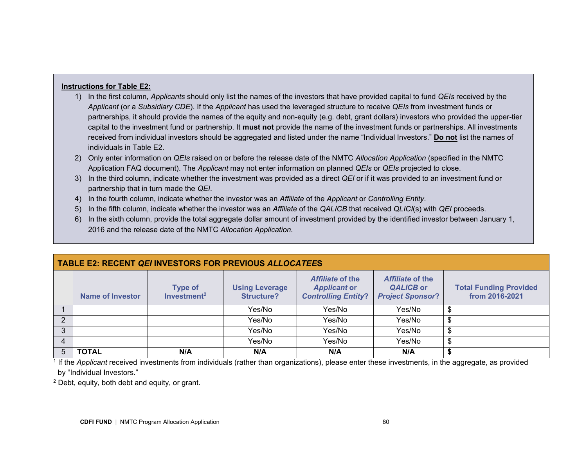#### **Instructions for Table E2:**

- 1) In the first column, *Applicants* should only list the names of the investors that have provided capital to fund *QEIs* received by the *Applicant* (or a *Subsidiary CDE*). If the *Applicant* has used the leveraged structure to receive *QEIs* from investment funds or partnerships, it should provide the names of the equity and non-equity (e.g. debt, grant dollars) investors who provided the upper-tier capital to the investment fund or partnership. It **must not** provide the name of the investment funds or partnerships. All investments received from individual investors should be aggregated and listed under the name "Individual Investors." **Do not** list the names of individuals in Table E2.
- 2) Only enter information on *QEIs* raised on or before the release date of the NMTC *Allocation Application* (specified in the NMTC Application FAQ document). The *Applicant* may not enter information on planned *QEIs* or *QEIs* projected to close.
- 3) In the third column, indicate whether the investment was provided as a direct *QEI* or if it was provided to an investment fund or partnership that in turn made the *QEI*.
- 4) In the fourth column, indicate whether the investor was an *Affiliate* of the *Applicant* or *Controlling Entity*.
- 5) In the fifth column, indicate whether the investor was an *Affiliate* of the *QALICB* that received *QLICI*(s) with *QEI* proceeds.
- 6) In the sixth column, provide the total aggregate dollar amount of investment provided by the identified investor between January 1, 2016 and the release date of the NMTC *Allocation Application*.

|   | <b>Name of Investor</b> | <b>Type of</b><br>Investment <sup>2</sup> | <b>Using Leverage</b><br><b>Structure?</b> | Affiliate of the<br><b>Applicant or</b><br><b>Controlling Entity?</b> | Affiliate of the<br><b>QALICB or</b><br><b>Project Sponsor?</b> | <b>Total Funding Provided</b><br>from 2016-2021 |  |  |
|---|-------------------------|-------------------------------------------|--------------------------------------------|-----------------------------------------------------------------------|-----------------------------------------------------------------|-------------------------------------------------|--|--|
|   |                         |                                           | Yes/No                                     | Yes/No                                                                | Yes/No                                                          |                                                 |  |  |
| າ |                         |                                           | Yes/No                                     | Yes/No                                                                | Yes/No                                                          |                                                 |  |  |
| 3 |                         |                                           | Yes/No                                     | Yes/No                                                                | Yes/No                                                          |                                                 |  |  |
| 4 |                         |                                           | Yes/No                                     | Yes/No                                                                | Yes/No                                                          |                                                 |  |  |
|   | <b>TOTAL</b>            | N/A                                       | N/A                                        | N/A                                                                   | N/A                                                             |                                                 |  |  |

### **TABLE E2: RECENT** *QEI* **INVESTORS FOR PREVIOUS** *ALLOCATEE***S**

<sup>1</sup> If the *Applicant* received investments from individuals (rather than organizations), please enter these investments, in the aggregate, as provided by "Individual Investors."

2 Debt, equity, both debt and equity, or grant.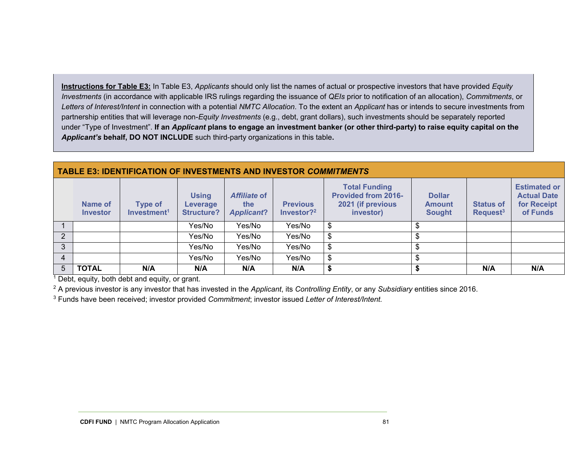**Instructions for Table E3:** In Table E3, *Applicants* should only list the names of actual or prospective investors that have provided *Equity Investments* (in accordance with applicable IRS rulings regarding the issuance of *QEIs* prior to notification of an allocation), *Commitments*, or *Letters of Interest/Intent* in connection with a potential *NMTC Allocation*. To the extent an *Applicant* has or intends to secure investments from partnership entities that will leverage non-*Equity Investments* (e.g., debt, grant dollars), such investments should be separately reported under "Type of Investment". **If an** *Applicant* **plans to engage an investment banker (or other third-party) to raise equity capital on the**  *Applicant's* **behalf, DO NOT INCLUDE** such third-party organizations in this table**.** 

#### **TABLE E3: IDENTIFICATION OF INVESTMENTS AND INVESTOR** *COMMITMENTS*

|   | Name of<br><b>Investor</b> | <b>Type of</b><br>Investment <sup>1</sup> | <b>Using</b><br>Leverage<br><b>Structure?</b> | Affiliate of<br>the<br><b>Applicant?</b> | <b>Previous</b><br>Investor? <sup>2</sup> | <b>Total Funding</b><br><b>Provided from 2016-</b><br>2021 (if previous<br>investor) | <b>Dollar</b><br><b>Amount</b><br><b>Sought</b> | <b>Status of</b><br>Request <sup>3</sup> | <b>Estimated or</b><br><b>Actual Date</b><br>for Receipt<br>of Funds |
|---|----------------------------|-------------------------------------------|-----------------------------------------------|------------------------------------------|-------------------------------------------|--------------------------------------------------------------------------------------|-------------------------------------------------|------------------------------------------|----------------------------------------------------------------------|
|   |                            |                                           | Yes/No                                        | Yes/No                                   | Yes/No                                    |                                                                                      |                                                 |                                          |                                                                      |
| າ |                            |                                           | Yes/No                                        | Yes/No                                   | Yes/No                                    | \$                                                                                   |                                                 |                                          |                                                                      |
| 3 |                            |                                           | Yes/No                                        | Yes/No                                   | Yes/No                                    | \$                                                                                   |                                                 |                                          |                                                                      |
| 4 |                            |                                           | Yes/No                                        | Yes/No                                   | Yes/No                                    | \$                                                                                   |                                                 |                                          |                                                                      |
| 5 | <b>TOTAL</b>               | N/A                                       | N/A                                           | N/A                                      | N/A                                       |                                                                                      |                                                 | N/A                                      | N/A                                                                  |

 $<sup>1</sup>$  Debt, equity, both debt and equity, or grant.</sup>

2 A previous investor is any investor that has invested in the *Applicant*, its *Controlling Entity*, or any *Subsidiary* entities since 2016.

3 Funds have been received; investor provided *Commitment*; investor issued *Letter of Interest/Intent.*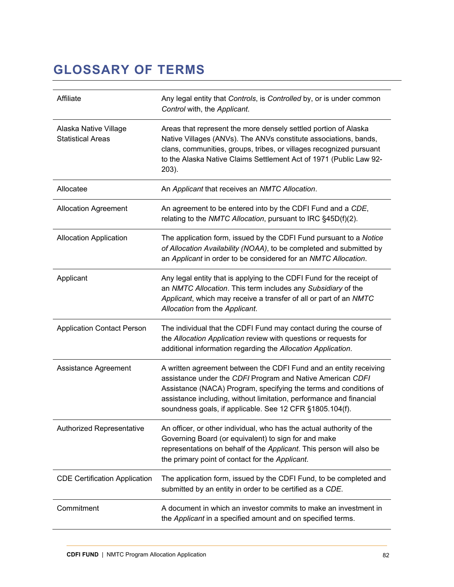### **GLOSSARY OF TERMS**

| Affiliate                                         | Any legal entity that Controls, is Controlled by, or is under common<br>Control with, the Applicant.                                                                                                                                                                                                                                    |
|---------------------------------------------------|-----------------------------------------------------------------------------------------------------------------------------------------------------------------------------------------------------------------------------------------------------------------------------------------------------------------------------------------|
| Alaska Native Village<br><b>Statistical Areas</b> | Areas that represent the more densely settled portion of Alaska<br>Native Villages (ANVs). The ANVs constitute associations, bands,<br>clans, communities, groups, tribes, or villages recognized pursuant<br>to the Alaska Native Claims Settlement Act of 1971 (Public Law 92-<br>203).                                               |
| Allocatee                                         | An Applicant that receives an NMTC Allocation.                                                                                                                                                                                                                                                                                          |
| <b>Allocation Agreement</b>                       | An agreement to be entered into by the CDFI Fund and a CDE,<br>relating to the NMTC Allocation, pursuant to IRC §45D(f)(2).                                                                                                                                                                                                             |
| Allocation Application                            | The application form, issued by the CDFI Fund pursuant to a Notice<br>of Allocation Availability (NOAA), to be completed and submitted by<br>an Applicant in order to be considered for an NMTC Allocation.                                                                                                                             |
| Applicant                                         | Any legal entity that is applying to the CDFI Fund for the receipt of<br>an NMTC Allocation. This term includes any Subsidiary of the<br>Applicant, which may receive a transfer of all or part of an NMTC<br>Allocation from the Applicant.                                                                                            |
| <b>Application Contact Person</b>                 | The individual that the CDFI Fund may contact during the course of<br>the Allocation Application review with questions or requests for<br>additional information regarding the Allocation Application.                                                                                                                                  |
| Assistance Agreement                              | A written agreement between the CDFI Fund and an entity receiving<br>assistance under the CDFI Program and Native American CDFI<br>Assistance (NACA) Program, specifying the terms and conditions of<br>assistance including, without limitation, performance and financial<br>soundness goals, if applicable. See 12 CFR §1805.104(f). |
| Authorized Representative                         | An officer, or other individual, who has the actual authority of the<br>Governing Board (or equivalent) to sign for and make<br>representations on behalf of the Applicant. This person will also be<br>the primary point of contact for the Applicant.                                                                                 |
| <b>CDE Certification Application</b>              | The application form, issued by the CDFI Fund, to be completed and<br>submitted by an entity in order to be certified as a CDE.                                                                                                                                                                                                         |
| Commitment                                        | A document in which an investor commits to make an investment in<br>the Applicant in a specified amount and on specified terms.                                                                                                                                                                                                         |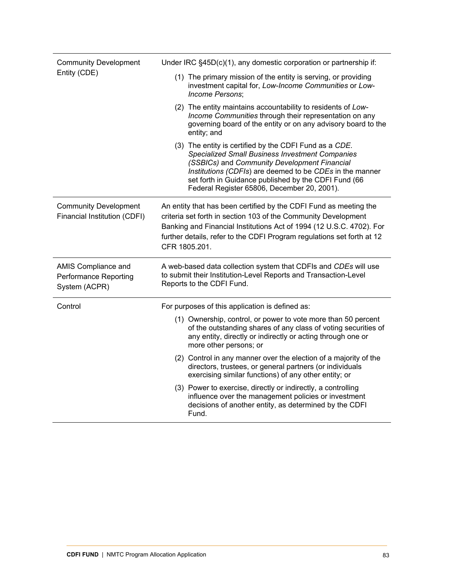| <b>Community Development</b>                                         | Under IRC §45D(c)(1), any domestic corporation or partnership if:                                                                                                                                                                                                                                                                   |  |  |  |  |
|----------------------------------------------------------------------|-------------------------------------------------------------------------------------------------------------------------------------------------------------------------------------------------------------------------------------------------------------------------------------------------------------------------------------|--|--|--|--|
| Entity (CDE)                                                         | (1) The primary mission of the entity is serving, or providing<br>investment capital for, Low-Income Communities or Low-<br>Income Persons;                                                                                                                                                                                         |  |  |  |  |
|                                                                      | (2) The entity maintains accountability to residents of Low-<br>Income Communities through their representation on any<br>governing board of the entity or on any advisory board to the<br>entity; and                                                                                                                              |  |  |  |  |
|                                                                      | (3) The entity is certified by the CDFI Fund as a CDE.<br><b>Specialized Small Business Investment Companies</b><br>(SSBICs) and Community Development Financial<br>Institutions (CDFIs) are deemed to be CDEs in the manner<br>set forth in Guidance published by the CDFI Fund (66<br>Federal Register 65806, December 20, 2001). |  |  |  |  |
| <b>Community Development</b><br>Financial Institution (CDFI)         | An entity that has been certified by the CDFI Fund as meeting the<br>criteria set forth in section 103 of the Community Development<br>Banking and Financial Institutions Act of 1994 (12 U.S.C. 4702). For<br>further details, refer to the CDFI Program regulations set forth at 12<br>CFR 1805.201.                              |  |  |  |  |
| AMIS Compliance and<br><b>Performance Reporting</b><br>System (ACPR) | A web-based data collection system that CDFIs and CDEs will use<br>to submit their Institution-Level Reports and Transaction-Level<br>Reports to the CDFI Fund.                                                                                                                                                                     |  |  |  |  |
| Control                                                              | For purposes of this application is defined as:                                                                                                                                                                                                                                                                                     |  |  |  |  |
|                                                                      | (1) Ownership, control, or power to vote more than 50 percent<br>of the outstanding shares of any class of voting securities of<br>any entity, directly or indirectly or acting through one or<br>more other persons; or                                                                                                            |  |  |  |  |
|                                                                      | (2) Control in any manner over the election of a majority of the<br>directors, trustees, or general partners (or individuals<br>exercising similar functions) of any other entity; or                                                                                                                                               |  |  |  |  |
|                                                                      | (3) Power to exercise, directly or indirectly, a controlling<br>influence over the management policies or investment<br>decisions of another entity, as determined by the CDFI<br>Fund.                                                                                                                                             |  |  |  |  |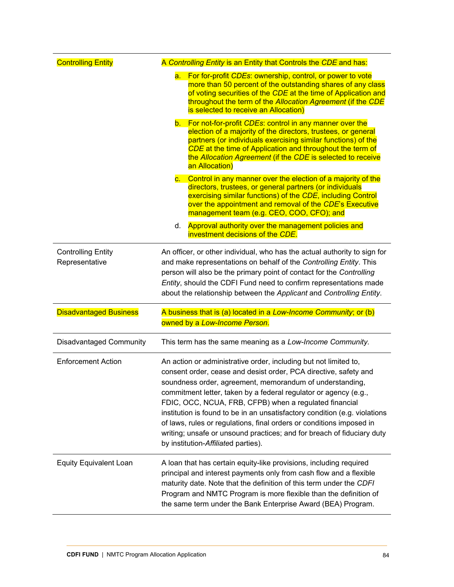| <b>Controlling Entity</b>                   | A Controlling Entity is an Entity that Controls the CDE and has:                                                                                                                                                                                                                                                                                                                                                                                                                                                                                                                                      |
|---------------------------------------------|-------------------------------------------------------------------------------------------------------------------------------------------------------------------------------------------------------------------------------------------------------------------------------------------------------------------------------------------------------------------------------------------------------------------------------------------------------------------------------------------------------------------------------------------------------------------------------------------------------|
|                                             | For for-profit CDEs: ownership, control, or power to vote<br>a.<br>more than 50 percent of the outstanding shares of any class<br>of voting securities of the CDE at the time of Application and<br>throughout the term of the Allocation Agreement (if the CDE<br>is selected to receive an Allocation)                                                                                                                                                                                                                                                                                              |
|                                             | b. For not-for-profit CDEs: control in any manner over the<br>election of a majority of the directors, trustees, or general<br>partners (or individuals exercising similar functions) of the<br>CDE at the time of Application and throughout the term of<br>the Allocation Agreement (if the CDE is selected to receive<br>an Allocation)                                                                                                                                                                                                                                                            |
|                                             | Control in any manner over the election of a majority of the<br>$\mathsf{C}$ .<br>directors, trustees, or general partners (or individuals<br>exercising similar functions) of the CDE, including Control<br>over the appointment and removal of the CDE's Executive<br>management team (e.g. CEO, COO, CFO); and                                                                                                                                                                                                                                                                                     |
|                                             | Approval authority over the management policies and<br>d.<br>investment decisions of the CDE.                                                                                                                                                                                                                                                                                                                                                                                                                                                                                                         |
| <b>Controlling Entity</b><br>Representative | An officer, or other individual, who has the actual authority to sign for<br>and make representations on behalf of the Controlling Entity. This<br>person will also be the primary point of contact for the Controlling<br>Entity, should the CDFI Fund need to confirm representations made                                                                                                                                                                                                                                                                                                          |
|                                             | about the relationship between the Applicant and Controlling Entity.                                                                                                                                                                                                                                                                                                                                                                                                                                                                                                                                  |
| <b>Disadvantaged Business</b>               | A business that is (a) located in a Low-Income Community; or (b)<br>owned by a Low-Income Person.                                                                                                                                                                                                                                                                                                                                                                                                                                                                                                     |
| <b>Disadvantaged Community</b>              | This term has the same meaning as a Low-Income Community.                                                                                                                                                                                                                                                                                                                                                                                                                                                                                                                                             |
| <b>Enforcement Action</b>                   | An action or administrative order, including but not limited to,<br>consent order, cease and desist order, PCA directive, safety and<br>soundness order, agreement, memorandum of understanding,<br>commitment letter, taken by a federal regulator or agency (e.g.,<br>FDIC, OCC, NCUA, FRB, CFPB) when a regulated financial<br>institution is found to be in an unsatisfactory condition (e.g. violations<br>of laws, rules or regulations, final orders or conditions imposed in<br>writing; unsafe or unsound practices; and for breach of fiduciary duty<br>by institution-Affiliated parties). |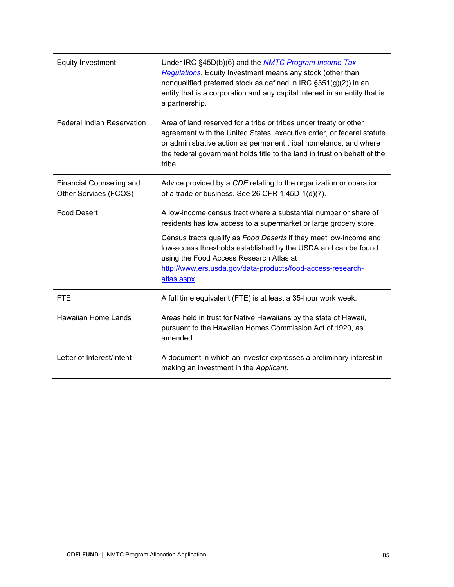| <b>Equity Investment</b>                                 | Under IRC §45D(b)(6) and the NMTC Program Income Tax<br>Regulations, Equity Investment means any stock (other than<br>nonqualified preferred stock as defined in IRC §351(g)(2)) in an<br>entity that is a corporation and any capital interest in an entity that is<br>a partnership.                |
|----------------------------------------------------------|-------------------------------------------------------------------------------------------------------------------------------------------------------------------------------------------------------------------------------------------------------------------------------------------------------|
| <b>Federal Indian Reservation</b>                        | Area of land reserved for a tribe or tribes under treaty or other<br>agreement with the United States, executive order, or federal statute<br>or administrative action as permanent tribal homelands, and where<br>the federal government holds title to the land in trust on behalf of the<br>tribe. |
| <b>Financial Counseling and</b><br>Other Services (FCOS) | Advice provided by a CDE relating to the organization or operation<br>of a trade or business. See 26 CFR 1.45D-1(d)(7).                                                                                                                                                                               |
| <b>Food Desert</b>                                       | A low-income census tract where a substantial number or share of<br>residents has low access to a supermarket or large grocery store.                                                                                                                                                                 |
|                                                          | Census tracts qualify as Food Deserts if they meet low-income and<br>low-access thresholds established by the USDA and can be found<br>using the Food Access Research Atlas at<br>http://www.ers.usda.gov/data-products/food-access-research-<br>atlas.aspx                                           |
| <b>FTE</b>                                               | A full time equivalent (FTE) is at least a 35-hour work week.                                                                                                                                                                                                                                         |
| <b>Hawaiian Home Lands</b>                               | Areas held in trust for Native Hawaiians by the state of Hawaii,<br>pursuant to the Hawaiian Homes Commission Act of 1920, as<br>amended.                                                                                                                                                             |
| Letter of Interest/Intent                                | A document in which an investor expresses a preliminary interest in<br>making an investment in the Applicant.                                                                                                                                                                                         |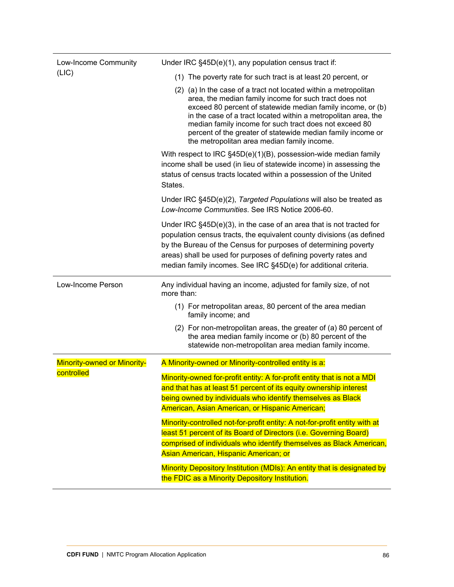| Low-Income Community               | Under IRC §45D(e)(1), any population census tract if:                                                                                                                                                                                                                                                                                                                                                                               |
|------------------------------------|-------------------------------------------------------------------------------------------------------------------------------------------------------------------------------------------------------------------------------------------------------------------------------------------------------------------------------------------------------------------------------------------------------------------------------------|
| (LIC)                              | (1) The poverty rate for such tract is at least 20 percent, or                                                                                                                                                                                                                                                                                                                                                                      |
|                                    | (2) (a) In the case of a tract not located within a metropolitan<br>area, the median family income for such tract does not<br>exceed 80 percent of statewide median family income, or (b)<br>in the case of a tract located within a metropolitan area, the<br>median family income for such tract does not exceed 80<br>percent of the greater of statewide median family income or<br>the metropolitan area median family income. |
|                                    | With respect to IRC §45D(e)(1)(B), possession-wide median family<br>income shall be used (in lieu of statewide income) in assessing the<br>status of census tracts located within a possession of the United<br>States.                                                                                                                                                                                                             |
|                                    | Under IRC §45D(e)(2), Targeted Populations will also be treated as<br>Low-Income Communities. See IRS Notice 2006-60.                                                                                                                                                                                                                                                                                                               |
|                                    | Under IRC $§$ 45D(e)(3), in the case of an area that is not tracted for<br>population census tracts, the equivalent county divisions (as defined<br>by the Bureau of the Census for purposes of determining poverty<br>areas) shall be used for purposes of defining poverty rates and<br>median family incomes. See IRC §45D(e) for additional criteria.                                                                           |
| Low-Income Person                  | Any individual having an income, adjusted for family size, of not<br>more than:                                                                                                                                                                                                                                                                                                                                                     |
|                                    | (1) For metropolitan areas, 80 percent of the area median<br>family income; and                                                                                                                                                                                                                                                                                                                                                     |
|                                    |                                                                                                                                                                                                                                                                                                                                                                                                                                     |
|                                    | (2) For non-metropolitan areas, the greater of (a) 80 percent of<br>the area median family income or (b) 80 percent of the<br>statewide non-metropolitan area median family income.                                                                                                                                                                                                                                                 |
| <b>Minority-owned or Minority-</b> | A Minority-owned or Minority-controlled entity is a:                                                                                                                                                                                                                                                                                                                                                                                |
| controlled                         | Minority-owned for-profit entity: A for-profit entity that is not a MDI<br>and that has at least 51 percent of its equity ownership interest<br>being owned by individuals who identify themselves as Black<br>American, Asian American, or Hispanic American;                                                                                                                                                                      |
|                                    | Minority-controlled not-for-profit entity: A not-for-profit entity with at<br>least 51 percent of its Board of Directors (i.e. Governing Board)<br>comprised of individuals who identify themselves as Black American,<br>Asian American, Hispanic American; or                                                                                                                                                                     |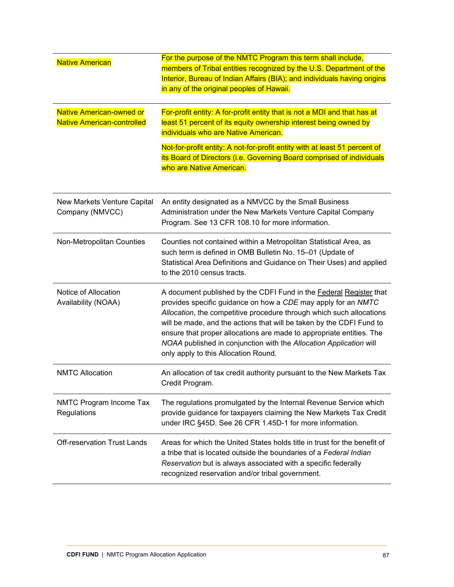| <b>Native American</b><br><b>Native American-owned or</b><br><b>Native American-controlled</b> | For the purpose of the NMTC Program this term shall include,<br>members of Tribal entities recognized by the U.S. Department of the<br>Interior, Bureau of Indian Affairs (BIA); and individuals having origins<br>in any of the original peoples of Hawaii.<br>For-profit entity: A for-profit entity that is not a MDI and that has at<br>least 51 percent of its equity ownership interest being owned by<br>individuals who are Native American.<br>Not-for-profit entity: A not-for-profit entity with at least 51 percent of<br>its Board of Directors (i.e. Governing Board comprised of individuals<br>who are Native American. |
|------------------------------------------------------------------------------------------------|-----------------------------------------------------------------------------------------------------------------------------------------------------------------------------------------------------------------------------------------------------------------------------------------------------------------------------------------------------------------------------------------------------------------------------------------------------------------------------------------------------------------------------------------------------------------------------------------------------------------------------------------|
| New Markets Venture Capital<br>Company (NMVCC)                                                 | An entity designated as a NMVCC by the Small Business<br>Administration under the New Markets Venture Capital Company<br>Program. See 13 CFR 108.10 for more information.                                                                                                                                                                                                                                                                                                                                                                                                                                                               |
| Non-Metropolitan Counties                                                                      | Counties not contained within a Metropolitan Statistical Area, as<br>such term is defined in OMB Bulletin No. 15-01 (Update of<br>Statistical Area Definitions and Guidance on Their Uses) and applied<br>to the 2010 census tracts.                                                                                                                                                                                                                                                                                                                                                                                                    |
| Notice of Allocation<br>Availability (NOAA)                                                    | A document published by the CDFI Fund in the Federal Register that<br>provides specific guidance on how a CDE may apply for an NMTC<br>Allocation, the competitive procedure through which such allocations<br>will be made, and the actions that will be taken by the CDFI Fund to<br>ensure that proper allocations are made to appropriate entities. The<br>NOAA published in conjunction with the Allocation Application will<br>only apply to this Allocation Round.                                                                                                                                                               |
| <b>NMTC Allocation</b>                                                                         | An allocation of tax credit authority pursuant to the New Markets Tax<br>Credit Program.                                                                                                                                                                                                                                                                                                                                                                                                                                                                                                                                                |
| NMTC Program Income Tax<br>Regulations                                                         | The regulations promulgated by the Internal Revenue Service which<br>provide guidance for taxpayers claiming the New Markets Tax Credit<br>under IRC §45D. See 26 CFR 1.45D-1 for more information.                                                                                                                                                                                                                                                                                                                                                                                                                                     |
| <b>Off-reservation Trust Lands</b>                                                             | Areas for which the United States holds title in trust for the benefit of<br>a tribe that is located outside the boundaries of a Federal Indian<br>Reservation but is always associated with a specific federally<br>recognized reservation and/or tribal government.                                                                                                                                                                                                                                                                                                                                                                   |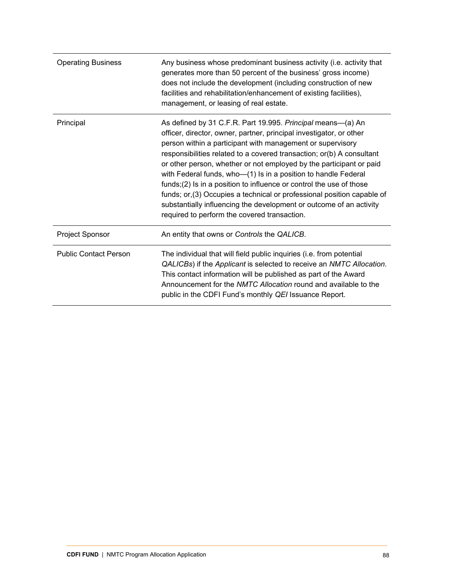| <b>Operating Business</b>    | Any business whose predominant business activity (i.e. activity that<br>generates more than 50 percent of the business' gross income)<br>does not include the development (including construction of new<br>facilities and rehabilitation/enhancement of existing facilities),<br>management, or leasing of real estate.                                                                                                                                                                                                                                                                                                                                                                       |
|------------------------------|------------------------------------------------------------------------------------------------------------------------------------------------------------------------------------------------------------------------------------------------------------------------------------------------------------------------------------------------------------------------------------------------------------------------------------------------------------------------------------------------------------------------------------------------------------------------------------------------------------------------------------------------------------------------------------------------|
| Principal                    | As defined by 31 C.F.R. Part 19.995. Principal means—(a) An<br>officer, director, owner, partner, principal investigator, or other<br>person within a participant with management or supervisory<br>responsibilities related to a covered transaction; or(b) A consultant<br>or other person, whether or not employed by the participant or paid<br>with Federal funds, who-(1) Is in a position to handle Federal<br>funds; $(2)$ Is in a position to influence or control the use of those<br>funds; or, (3) Occupies a technical or professional position capable of<br>substantially influencing the development or outcome of an activity<br>required to perform the covered transaction. |
| Project Sponsor              | An entity that owns or Controls the QALICB.                                                                                                                                                                                                                                                                                                                                                                                                                                                                                                                                                                                                                                                    |
| <b>Public Contact Person</b> | The individual that will field public inquiries (i.e. from potential<br>QALICBs) if the Applicant is selected to receive an NMTC Allocation.<br>This contact information will be published as part of the Award<br>Announcement for the <i>NMTC Allocation</i> round and available to the<br>public in the CDFI Fund's monthly QEI Issuance Report.                                                                                                                                                                                                                                                                                                                                            |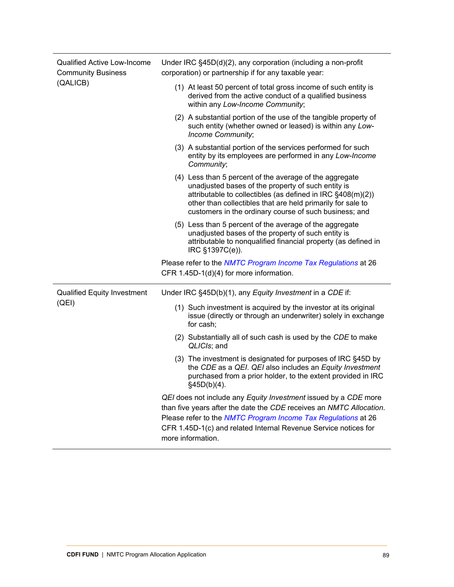| <b>Qualified Active Low-Income</b><br><b>Community Business</b><br>(QALICB) | Under IRC $\S$ 45D(d)(2), any corporation (including a non-profit<br>corporation) or partnership if for any taxable year:                                                                                                                                                                             |
|-----------------------------------------------------------------------------|-------------------------------------------------------------------------------------------------------------------------------------------------------------------------------------------------------------------------------------------------------------------------------------------------------|
|                                                                             | (1) At least 50 percent of total gross income of such entity is<br>derived from the active conduct of a qualified business<br>within any Low-Income Community;                                                                                                                                        |
|                                                                             | (2) A substantial portion of the use of the tangible property of<br>such entity (whether owned or leased) is within any Low-<br>Income Community;                                                                                                                                                     |
|                                                                             | (3) A substantial portion of the services performed for such<br>entity by its employees are performed in any Low-Income<br>Community;                                                                                                                                                                 |
|                                                                             | (4) Less than 5 percent of the average of the aggregate<br>unadjusted bases of the property of such entity is<br>attributable to collectibles (as defined in IRC §408(m)(2))<br>other than collectibles that are held primarily for sale to<br>customers in the ordinary course of such business; and |
|                                                                             | (5) Less than 5 percent of the average of the aggregate<br>unadjusted bases of the property of such entity is<br>attributable to nonqualified financial property (as defined in<br>IRC §1397C(e)).                                                                                                    |
|                                                                             | Please refer to the NMTC Program Income Tax Regulations at 26<br>CFR 1.45D-1(d)(4) for more information.                                                                                                                                                                                              |
| <b>Qualified Equity Investment</b><br>(QEI)                                 | Under IRC §45D(b)(1), any Equity Investment in a CDE if:                                                                                                                                                                                                                                              |
|                                                                             | (1) Such investment is acquired by the investor at its original<br>issue (directly or through an underwriter) solely in exchange<br>for cash;                                                                                                                                                         |
|                                                                             | (2) Substantially all of such cash is used by the CDE to make<br>QLICIs; and                                                                                                                                                                                                                          |
|                                                                             | (3) The investment is designated for purposes of IRC §45D by<br>the CDE as a QEI. QEI also includes an Equity Investment<br>purchased from a prior holder, to the extent provided in IRC<br>§45D(b)(4).                                                                                               |
|                                                                             | QEI does not include any Equity Investment issued by a CDE more<br>than five years after the date the CDE receives an NMTC Allocation.<br>Please refer to the NMTC Program Income Tax Regulations at 26<br>CFR 1.45D-1(c) and related Internal Revenue Service notices for<br>more information.       |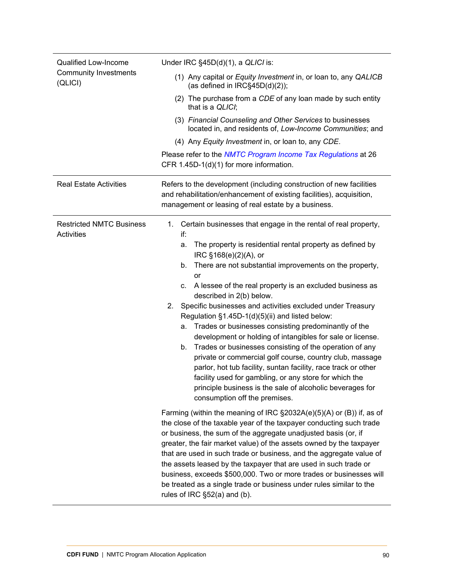| <b>Qualified Low-Income</b><br><b>Community Investments</b><br>(QLICI) | Under IRC §45D(d)(1), a QLICI is:                                                                                                                                                                                                                                                                                                                                                                                                                                                                                                                                                                                                                                                                                                                                                                                                                                                                                                                      |
|------------------------------------------------------------------------|--------------------------------------------------------------------------------------------------------------------------------------------------------------------------------------------------------------------------------------------------------------------------------------------------------------------------------------------------------------------------------------------------------------------------------------------------------------------------------------------------------------------------------------------------------------------------------------------------------------------------------------------------------------------------------------------------------------------------------------------------------------------------------------------------------------------------------------------------------------------------------------------------------------------------------------------------------|
|                                                                        | (1) Any capital or Equity Investment in, or loan to, any QALICB<br>(as defined in $IRC\$ 45D(d)(2));                                                                                                                                                                                                                                                                                                                                                                                                                                                                                                                                                                                                                                                                                                                                                                                                                                                   |
|                                                                        | (2) The purchase from a CDE of any loan made by such entity<br>that is a QLICI;                                                                                                                                                                                                                                                                                                                                                                                                                                                                                                                                                                                                                                                                                                                                                                                                                                                                        |
|                                                                        | (3) Financial Counseling and Other Services to businesses<br>located in, and residents of, Low-Income Communities; and                                                                                                                                                                                                                                                                                                                                                                                                                                                                                                                                                                                                                                                                                                                                                                                                                                 |
|                                                                        | (4) Any Equity Investment in, or loan to, any CDE.                                                                                                                                                                                                                                                                                                                                                                                                                                                                                                                                                                                                                                                                                                                                                                                                                                                                                                     |
|                                                                        | Please refer to the NMTC Program Income Tax Regulations at 26<br>CFR 1.45D-1(d)(1) for more information.                                                                                                                                                                                                                                                                                                                                                                                                                                                                                                                                                                                                                                                                                                                                                                                                                                               |
| <b>Real Estate Activities</b>                                          | Refers to the development (including construction of new facilities<br>and rehabilitation/enhancement of existing facilities), acquisition,<br>management or leasing of real estate by a business.                                                                                                                                                                                                                                                                                                                                                                                                                                                                                                                                                                                                                                                                                                                                                     |
| <b>Restricted NMTC Business</b><br><b>Activities</b>                   | Certain businesses that engage in the rental of real property,<br>1.<br>if:<br>The property is residential rental property as defined by<br>a.<br>IRC §168(e)(2)(A), or<br>There are not substantial improvements on the property,<br>b.<br>or<br>A lessee of the real property is an excluded business as<br>C.<br>described in 2(b) below.<br>Specific businesses and activities excluded under Treasury<br>2.<br>Regulation §1.45D-1(d)(5)(ii) and listed below:<br>Trades or businesses consisting predominantly of the<br>а.<br>development or holding of intangibles for sale or license.<br>Trades or businesses consisting of the operation of any<br>b.<br>private or commercial golf course, country club, massage<br>parlor, hot tub facility, suntan facility, race track or other<br>facility used for gambling, or any store for which the<br>principle business is the sale of alcoholic beverages for<br>consumption off the premises. |
|                                                                        | Farming (within the meaning of IRC §2032A(e)(5)(A) or (B)) if, as of<br>the close of the taxable year of the taxpayer conducting such trade<br>or business, the sum of the aggregate unadjusted basis (or, if<br>greater, the fair market value) of the assets owned by the taxpayer<br>that are used in such trade or business, and the aggregate value of<br>the assets leased by the taxpayer that are used in such trade or<br>business, exceeds \$500,000. Two or more trades or businesses will<br>be treated as a single trade or business under rules similar to the<br>rules of IRC §52(a) and (b).                                                                                                                                                                                                                                                                                                                                           |